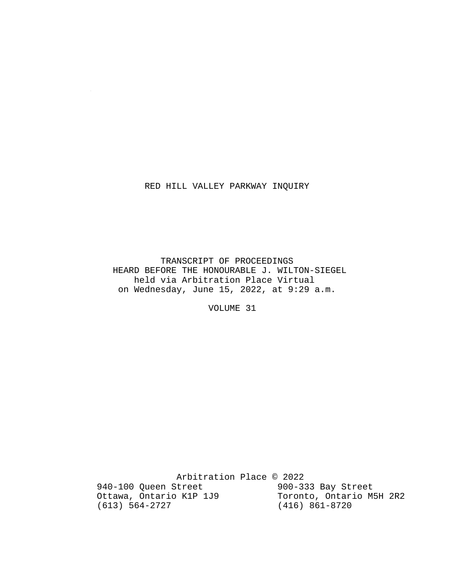#### RED HILL VALLEY PARKWAY INQUIRY

 $\sim 10^7$ 

 TRANSCRIPT OF PROCEEDINGS HEARD BEFORE THE HONOURABLE J. WILTON-SIEGEL held via Arbitration Place Virtual on Wednesday, June 15, 2022, at 9:29 a.m.

VOLUME 31

Arbitration Place © 2022<br>Street 900-333 Bay Street 940-100 Queen Street 900-333 Bay Street<br>Ottawa, Ontario K1P 1J9 Toronto, Ontario M5H 2R2 Ottawa, Ontario K1P 1J9<br>(613) 564-2727 (416) 861-8720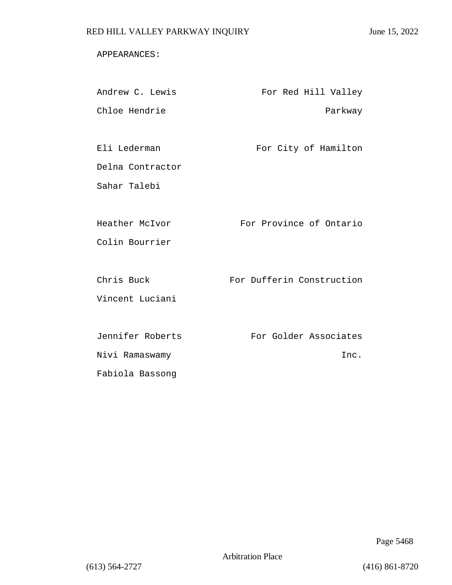#### APPEARANCES:

| Andrew C. Lewis  | For Red Hill Valley       |
|------------------|---------------------------|
| Chloe Hendrie    | Parkway                   |
|                  |                           |
| Eli Lederman     | For City of Hamilton      |
| Delna Contractor |                           |
| Sahar Talebi     |                           |
|                  |                           |
| Heather McIvor   | For Province of Ontario   |
| Colin Bourrier   |                           |
|                  |                           |
| Chris Buck       | For Dufferin Construction |
| Vincent Luciani  |                           |
|                  |                           |
| Jennifer Roberts | For Golder Associates     |
| Nivi Ramaswamy   | Inc.                      |
| Fabiola Bassong  |                           |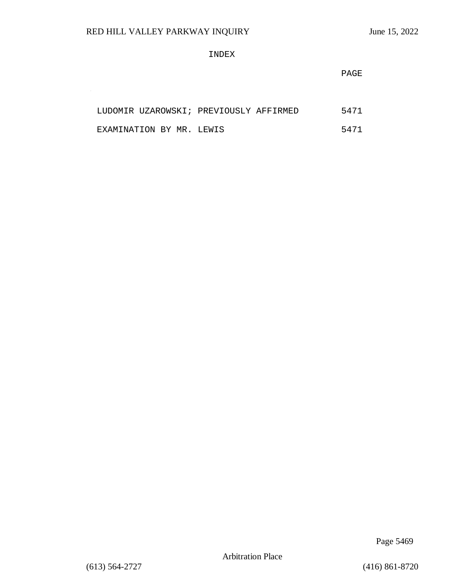$\sim$ 

#### INDEX

**PAGE** 

|                          |  | LUDOMIR UZAROWSKI; PREVIOUSLY AFFIRMED |  | 5471 |
|--------------------------|--|----------------------------------------|--|------|
| EXAMINATION BY MR. LEWIS |  |                                        |  | 5471 |

Page 5469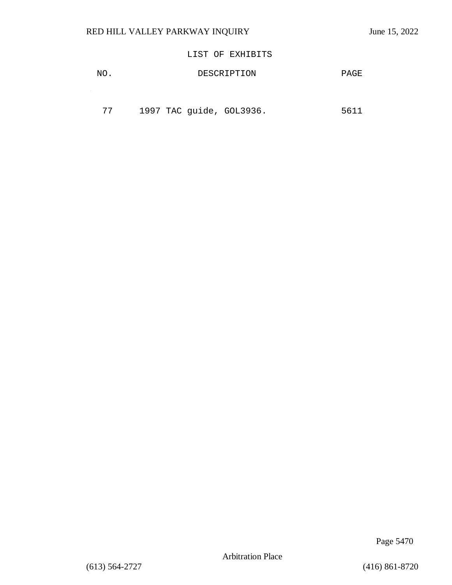### LIST OF EXHIBITS

| NO. | DESCRIPTION | PAGE |
|-----|-------------|------|
|     |             |      |

| 77 | 1997 TAC guide, GOL3936. |  |  | 5611 |
|----|--------------------------|--|--|------|
|----|--------------------------|--|--|------|

Page 5470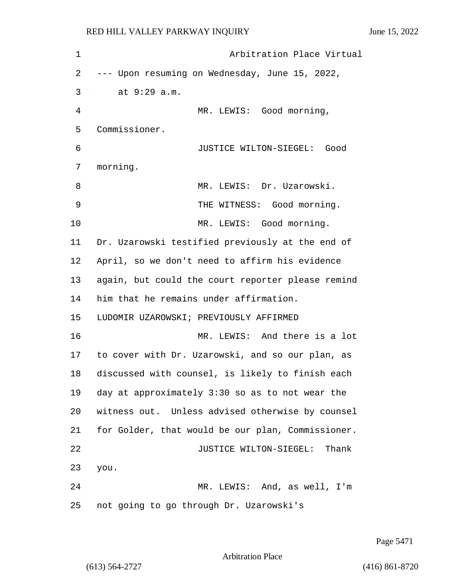1 Arbitration Place Virtual 2 --- Upon resuming on Wednesday, June 15, 2022, 3 at 9:29 a.m. 4 MR. LEWIS: Good morning, 5 Commissioner. 6 JUSTICE WILTON-SIEGEL: Good 7 morning. 8 MR. LEWIS: Dr. Uzarowski. 9 THE WITNESS: Good morning. 10 MR. LEWIS: Good morning. 11 Dr. Uzarowski testified previously at the end of 12 April, so we don't need to affirm his evidence 13 again, but could the court reporter please remind 14 him that he remains under affirmation. 15 LUDOMIR UZAROWSKI; PREVIOUSLY AFFIRMED 16 MR. LEWIS: And there is a lot 17 to cover with Dr. Uzarowski, and so our plan, as 18 discussed with counsel, is likely to finish each 19 day at approximately 3:30 so as to not wear the 20 witness out. Unless advised otherwise by counsel 21 for Golder, that would be our plan, Commissioner. 22 JUSTICE WILTON-SIEGEL: Thank 23 you. 24 MR. LEWIS: And, as well, I'm 25 not going to go through Dr. Uzarowski's

Page 5471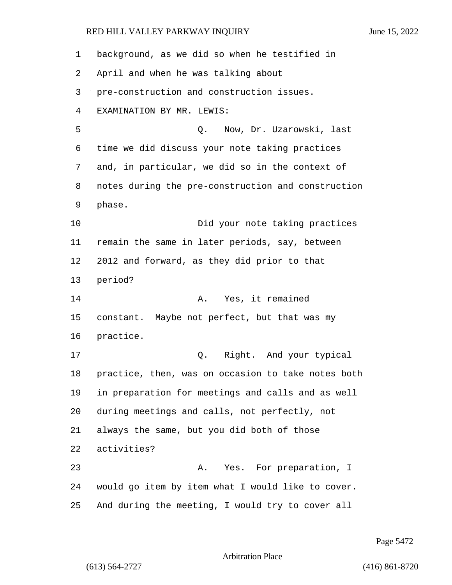background, as we did so when he testified in April and when he was talking about pre-construction and construction issues. EXAMINATION BY MR. LEWIS: 5 Q. Now, Dr. Uzarowski, last time we did discuss your note taking practices and, in particular, we did so in the context of notes during the pre-construction and construction phase. 10 Did your note taking practices remain the same in later periods, say, between 2012 and forward, as they did prior to that period? 14 A. Yes, it remained constant. Maybe not perfect, but that was my practice. 17 Q. Right. And your typical practice, then, was on occasion to take notes both in preparation for meetings and calls and as well during meetings and calls, not perfectly, not always the same, but you did both of those activities? 23 A. Yes. For preparation, I would go item by item what I would like to cover. And during the meeting, I would try to cover all

Page 5472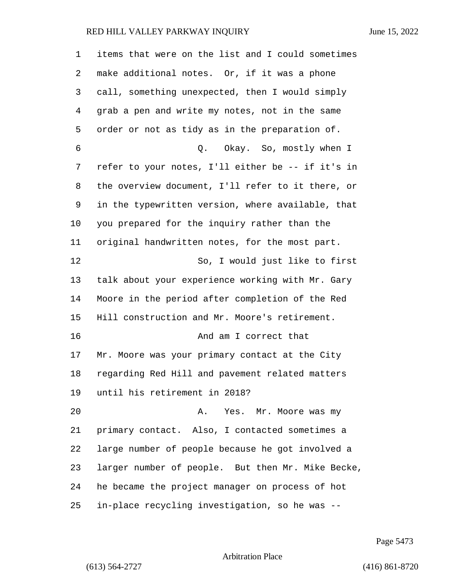| 1  | items that were on the list and I could sometimes |
|----|---------------------------------------------------|
| 2  | make additional notes. Or, if it was a phone      |
| 3  | call, something unexpected, then I would simply   |
| 4  | grab a pen and write my notes, not in the same    |
| 5  | order or not as tidy as in the preparation of.    |
| 6  | Q. Okay. So, mostly when I                        |
| 7  | refer to your notes, I'll either be -- if it's in |
| 8  | the overview document, I'll refer to it there, or |
| 9  | in the typewritten version, where available, that |
| 10 | you prepared for the inquiry rather than the      |
| 11 | original handwritten notes, for the most part.    |
| 12 | So, I would just like to first                    |
| 13 | talk about your experience working with Mr. Gary  |
| 14 | Moore in the period after completion of the Red   |
| 15 | Hill construction and Mr. Moore's retirement.     |
| 16 | And am I correct that                             |
| 17 | Mr. Moore was your primary contact at the City    |
| 18 | regarding Red Hill and pavement related matters   |
| 19 | until his retirement in 2018?                     |
| 20 | Α.<br>Yes. Mr. Moore was my                       |
| 21 | primary contact. Also, I contacted sometimes a    |
| 22 | large number of people because he got involved a  |
| 23 | larger number of people. But then Mr. Mike Becke, |
| 24 | he became the project manager on process of hot   |
| 25 | in-place recycling investigation, so he was --    |

Page 5473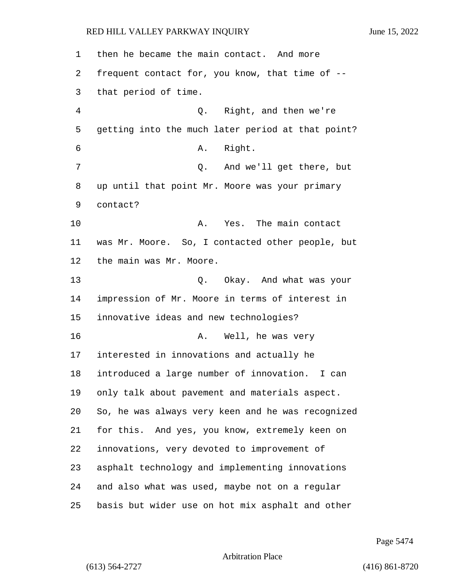| 1  | then he became the main contact. And more         |
|----|---------------------------------------------------|
| 2  | frequent contact for, you know, that time of --   |
| 3  | that period of time.                              |
| 4  | Right, and then we're<br>Q.                       |
| 5  | getting into the much later period at that point? |
| 6  | Right.<br>Α.                                      |
| 7  | And we'll get there, but<br>Q.                    |
| 8  | up until that point Mr. Moore was your primary    |
| 9  | contact?                                          |
| 10 | The main contact<br>Α.<br>Yes.                    |
| 11 | was Mr. Moore. So, I contacted other people, but  |
| 12 | the main was Mr. Moore.                           |
| 13 | Q. Okay. And what was your                        |
| 14 | impression of Mr. Moore in terms of interest in   |
| 15 | innovative ideas and new technologies?            |
| 16 | Well, he was very<br>Α.                           |
| 17 | interested in innovations and actually he         |
| 18 | introduced a large number of innovation.<br>I can |
| 19 | only talk about pavement and materials aspect.    |
| 20 | So, he was always very keen and he was recognized |
| 21 | for this. And yes, you know, extremely keen on    |
| 22 | innovations, very devoted to improvement of       |
| 23 | asphalt technology and implementing innovations   |
| 24 | and also what was used, maybe not on a regular    |
| 25 | basis but wider use on hot mix asphalt and other  |

Page 5474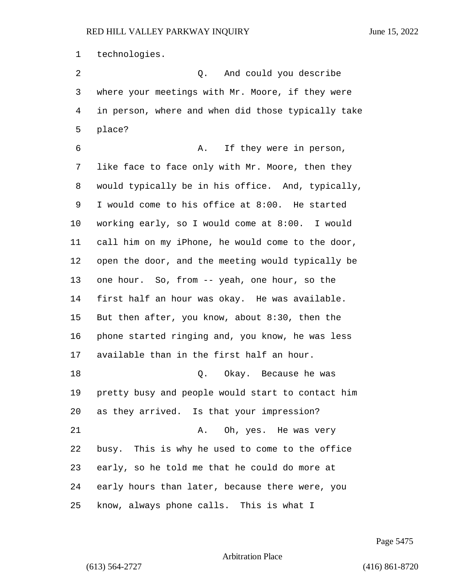technologies.

2 Q. And could you describe where your meetings with Mr. Moore, if they were in person, where and when did those typically take place? 6 A. If they were in person, like face to face only with Mr. Moore, then they would typically be in his office. And, typically, I would come to his office at 8:00. He started working early, so I would come at 8:00. I would call him on my iPhone, he would come to the door, open the door, and the meeting would typically be one hour. So, from -- yeah, one hour, so the first half an hour was okay. He was available. But then after, you know, about 8:30, then the phone started ringing and, you know, he was less available than in the first half an hour. 18 Q. Okay. Because he was pretty busy and people would start to contact him as they arrived. Is that your impression? 21 A. Oh, yes. He was very busy. This is why he used to come to the office early, so he told me that he could do more at early hours than later, because there were, you know, always phone calls. This is what I

Page 5475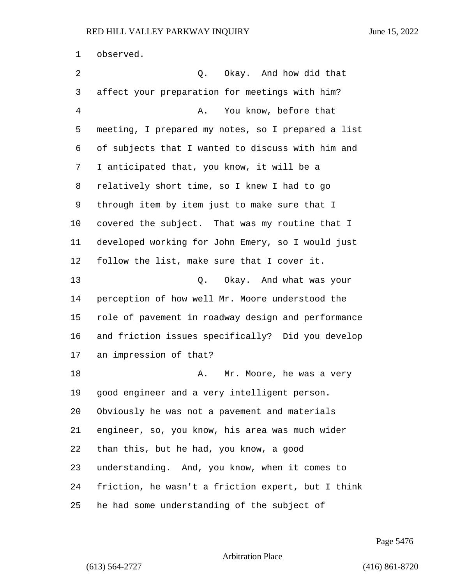observed.

2 0. Okay. And how did that affect your preparation for meetings with him? 4 A. You know, before that meeting, I prepared my notes, so I prepared a list of subjects that I wanted to discuss with him and I anticipated that, you know, it will be a relatively short time, so I knew I had to go through item by item just to make sure that I covered the subject. That was my routine that I developed working for John Emery, so I would just follow the list, make sure that I cover it. 13 Q. Okay. And what was your perception of how well Mr. Moore understood the role of pavement in roadway design and performance and friction issues specifically? Did you develop an impression of that? 18 A. Mr. Moore, he was a very good engineer and a very intelligent person. Obviously he was not a pavement and materials engineer, so, you know, his area was much wider than this, but he had, you know, a good understanding. And, you know, when it comes to friction, he wasn't a friction expert, but I think he had some understanding of the subject of

Page 5476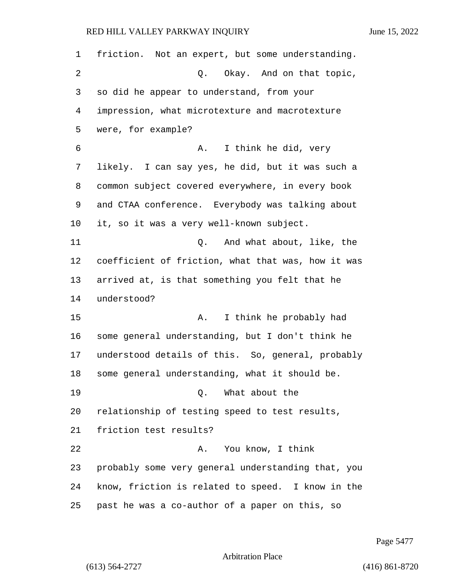friction. Not an expert, but some understanding. 2 Q. Okay. And on that topic, so did he appear to understand, from your impression, what microtexture and macrotexture were, for example? 6 A. I think he did, very likely. I can say yes, he did, but it was such a common subject covered everywhere, in every book and CTAA conference. Everybody was talking about it, so it was a very well-known subject. 11 Q. And what about, like, the coefficient of friction, what that was, how it was arrived at, is that something you felt that he understood? 15 A. I think he probably had some general understanding, but I don't think he understood details of this. So, general, probably some general understanding, what it should be. 19 Q. What about the relationship of testing speed to test results, friction test results? 22 A. You know, I think probably some very general understanding that, you know, friction is related to speed. I know in the past he was a co-author of a paper on this, so

Page 5477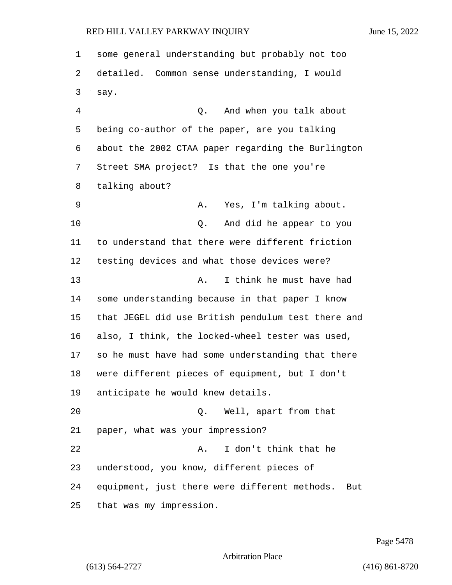some general understanding but probably not too detailed. Common sense understanding, I would say. 4 Q. And when you talk about being co-author of the paper, are you talking about the 2002 CTAA paper regarding the Burlington Street SMA project? Is that the one you're talking about? 9 A. Yes, I'm talking about. 10 Q. And did he appear to you to understand that there were different friction testing devices and what those devices were? 13 A. I think he must have had some understanding because in that paper I know that JEGEL did use British pendulum test there and also, I think, the locked-wheel tester was used, so he must have had some understanding that there were different pieces of equipment, but I don't anticipate he would knew details. 20 Q. Well, apart from that paper, what was your impression? 22 A. I don't think that he understood, you know, different pieces of equipment, just there were different methods. But that was my impression.

Page 5478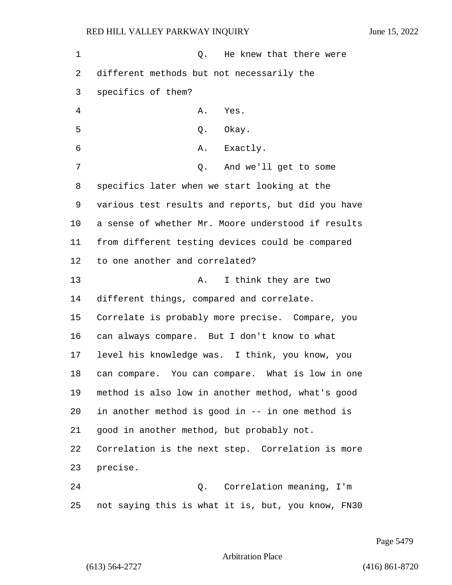1 and 1 Q. He knew that there were different methods but not necessarily the specifics of them? 4 A. Yes. 5 Q. Okay. 6 A. Exactly. 7 Q. And we'll get to some specifics later when we start looking at the various test results and reports, but did you have a sense of whether Mr. Moore understood if results from different testing devices could be compared to one another and correlated? 13 A. I think they are two different things, compared and correlate. Correlate is probably more precise. Compare, you can always compare. But I don't know to what level his knowledge was. I think, you know, you can compare. You can compare. What is low in one method is also low in another method, what's good in another method is good in -- in one method is good in another method, but probably not. Correlation is the next step. Correlation is more precise. 24 Q. Correlation meaning, I'm not saying this is what it is, but, you know, FN30

Page 5479

Arbitration Place

(613) 564-2727 (416) 861-8720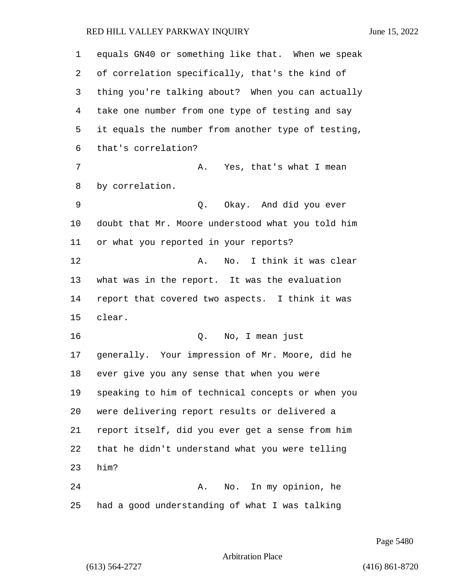| $\mathbf 1$     | equals GN40 or something like that. When we speak  |
|-----------------|----------------------------------------------------|
| 2               | of correlation specifically, that's the kind of    |
| 3               | thing you're talking about? When you can actually  |
| 4               | take one number from one type of testing and say   |
| 5               | it equals the number from another type of testing, |
| 6               | that's correlation?                                |
| 7               | A. Yes, that's what I mean                         |
| 8               | by correlation.                                    |
| 9               | Q. Okay. And did you ever                          |
| 10              | doubt that Mr. Moore understood what you told him  |
| 11              | or what you reported in your reports?              |
| 12              | No. I think it was clear<br>Α.                     |
| 13              | what was in the report. It was the evaluation      |
| 14              | report that covered two aspects. I think it was    |
| 15              | clear.                                             |
| 16              | Q. No, I mean just                                 |
| 17 <sub>2</sub> | generally. Your impression of Mr. Moore, did he    |
| 18              | ever give you any sense that when you were         |
| 19              | speaking to him of technical concepts or when you  |
| 20              | were delivering report results or delivered a      |
| 21              | report itself, did you ever get a sense from him   |
| 22              | that he didn't understand what you were telling    |
| 23              | him?                                               |
| 24              | No. In my opinion, he<br>Α.                        |
| 25              | had a good understanding of what I was talking     |

Page 5480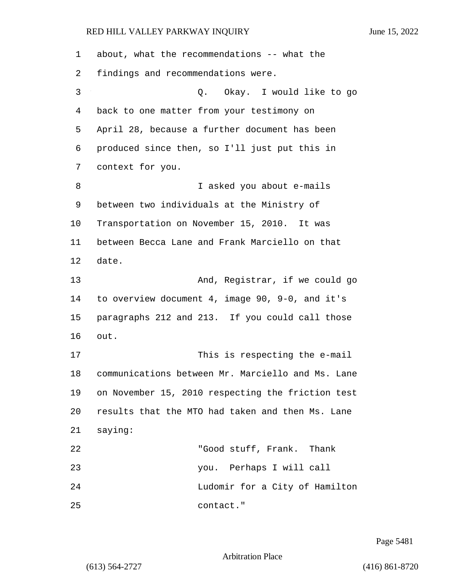| 1  | about, what the recommendations -- what the       |
|----|---------------------------------------------------|
| 2  | findings and recommendations were.                |
| 3  | Q. Okay. I would like to go                       |
| 4  | back to one matter from your testimony on         |
| 5  | April 28, because a further document has been     |
| 6  | produced since then, so I'll just put this in     |
| 7  | context for you.                                  |
| 8  | I asked you about e-mails                         |
| 9  | between two individuals at the Ministry of        |
| 10 | Transportation on November 15, 2010. It was       |
| 11 | between Becca Lane and Frank Marciello on that    |
| 12 | date.                                             |
| 13 | And, Registrar, if we could go                    |
| 14 | to overview document 4, image 90, 9-0, and it's   |
| 15 | paragraphs 212 and 213. If you could call those   |
| 16 | out.                                              |
| 17 | This is respecting the e-mail                     |
| 18 | communications between Mr. Marciello and Ms. Lane |
| 19 | on November 15, 2010 respecting the friction test |
| 20 | results that the MTO had taken and then Ms. Lane  |
| 21 | saying:                                           |
| 22 | "Good stuff, Frank. Thank                         |
| 23 | you. Perhaps I will call                          |
| 24 | Ludomir for a City of Hamilton                    |
| 25 | contact."                                         |

Page 5481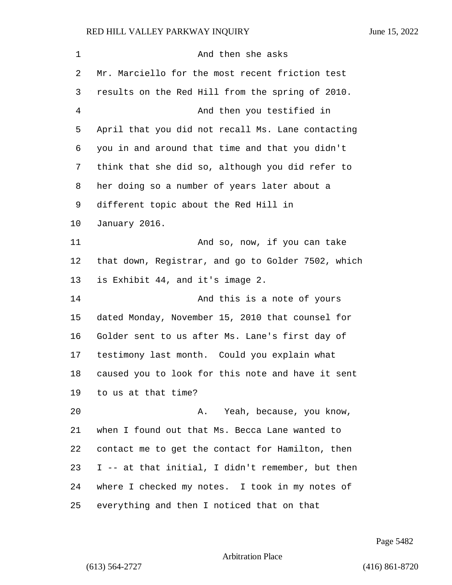| 1  | And then she asks                                  |
|----|----------------------------------------------------|
| 2  | Mr. Marciello for the most recent friction test    |
| 3  | results on the Red Hill from the spring of 2010.   |
| 4  | And then you testified in                          |
| 5  | April that you did not recall Ms. Lane contacting  |
| 6  | you in and around that time and that you didn't    |
| 7  | think that she did so, although you did refer to   |
| 8  | her doing so a number of years later about a       |
| 9  | different topic about the Red Hill in              |
| 10 | January 2016.                                      |
| 11 | And so, now, if you can take                       |
| 12 | that down, Registrar, and go to Golder 7502, which |
| 13 | is Exhibit 44, and it's image 2.                   |
| 14 | And this is a note of yours                        |
| 15 | dated Monday, November 15, 2010 that counsel for   |
| 16 | Golder sent to us after Ms. Lane's first day of    |
| 17 | testimony last month. Could you explain what       |
| 18 | caused you to look for this note and have it sent  |
| 19 | to us at that time?                                |
| 20 | Yeah, because, you know,<br>Α.                     |
| 21 | when I found out that Ms. Becca Lane wanted to     |
| 22 | contact me to get the contact for Hamilton, then   |
| 23 | I -- at that initial, I didn't remember, but then  |
| 24 | where I checked my notes. I took in my notes of    |
| 25 | everything and then I noticed that on that         |

Page 5482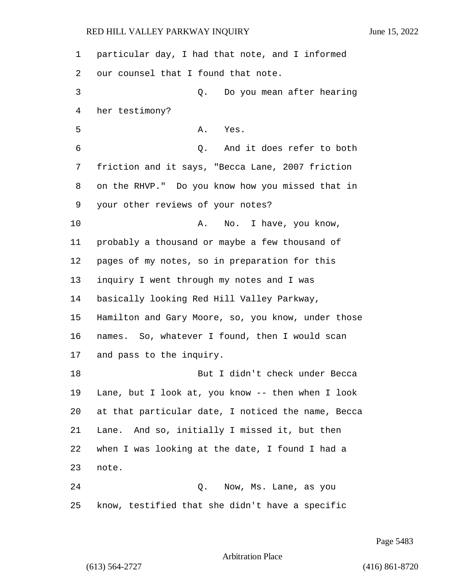| 1  | particular day, I had that note, and I informed    |
|----|----------------------------------------------------|
| 2  | our counsel that I found that note.                |
| 3  | Do you mean after hearing<br>Q.                    |
| 4  | her testimony?                                     |
| 5  | Α.<br>Yes.                                         |
| 6  | Q. And it does refer to both                       |
| 7  | friction and it says, "Becca Lane, 2007 friction   |
| 8  | on the RHVP." Do you know how you missed that in   |
| 9  | your other reviews of your notes?                  |
| 10 | No. I have, you know,<br>Α.                        |
| 11 | probably a thousand or maybe a few thousand of     |
| 12 | pages of my notes, so in preparation for this      |
| 13 | inquiry I went through my notes and I was          |
| 14 | basically looking Red Hill Valley Parkway,         |
| 15 | Hamilton and Gary Moore, so, you know, under those |
| 16 | names. So, whatever I found, then I would scan     |
| 17 | and pass to the inquiry.                           |
| 18 | But I didn't check under Becca                     |
| 19 | Lane, but I look at, you know -- then when I look  |
| 20 | at that particular date, I noticed the name, Becca |
| 21 | Lane. And so, initially I missed it, but then      |
| 22 | when I was looking at the date, I found I had a    |
| 23 | note.                                              |
| 24 | Now, Ms. Lane, as you<br>Q.                        |
| 25 | know, testified that she didn't have a specific    |

Page 5483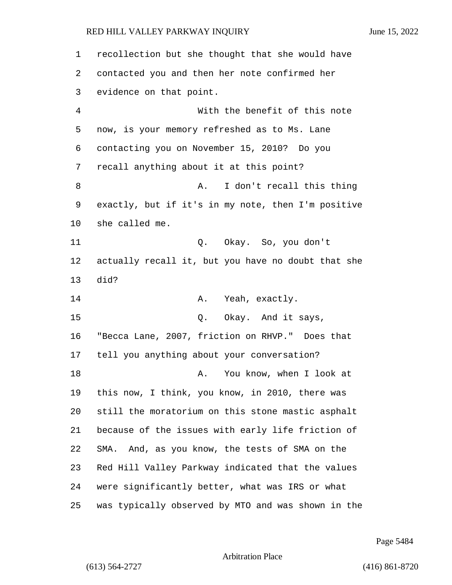| 1              | recollection but she thought that she would have   |
|----------------|----------------------------------------------------|
| 2              | contacted you and then her note confirmed her      |
| 3              | evidence on that point.                            |
| $\overline{4}$ | With the benefit of this note                      |
| 5              | now, is your memory refreshed as to Ms. Lane       |
| 6              | contacting you on November 15, 2010? Do you        |
| 7              | recall anything about it at this point?            |
| 8              | I don't recall this thing<br>Α.                    |
| 9              | exactly, but if it's in my note, then I'm positive |
| 10             | she called me.                                     |
| 11             | Q. Okay. So, you don't                             |
| 12             | actually recall it, but you have no doubt that she |
| 13             | did?                                               |
| 14             | A. Yeah, exactly.                                  |
| 15             | Q.<br>Okay. And it says,                           |
| 16             | "Becca Lane, 2007, friction on RHVP." Does that    |
| 17             | tell you anything about your conversation?         |
| 18             | You know, when I look at<br>Α.                     |
| 19             | this now, I think, you know, in 2010, there was    |
| 20             | still the moratorium on this stone mastic asphalt  |
| 21             | because of the issues with early life friction of  |
| 22             | And, as you know, the tests of SMA on the<br>SMA.  |
| 23             | Red Hill Valley Parkway indicated that the values  |
| 24             | were significantly better, what was IRS or what    |
| 25             | was typically observed by MTO and was shown in the |

Page 5484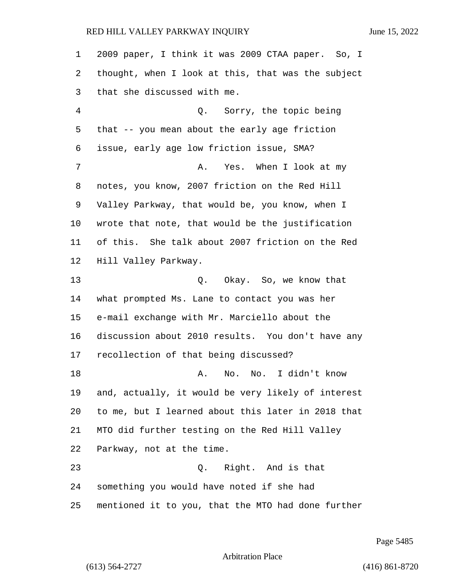2009 paper, I think it was 2009 CTAA paper. So, I thought, when I look at this, that was the subject that she discussed with me. 4 Q. Sorry, the topic being that -- you mean about the early age friction issue, early age low friction issue, SMA? 7 A. Yes. When I look at my notes, you know, 2007 friction on the Red Hill Valley Parkway, that would be, you know, when I wrote that note, that would be the justification of this. She talk about 2007 friction on the Red Hill Valley Parkway. 13 Q. Okay. So, we know that what prompted Ms. Lane to contact you was her e-mail exchange with Mr. Marciello about the discussion about 2010 results. You don't have any recollection of that being discussed? 18 A. No. No. I didn't know and, actually, it would be very likely of interest to me, but I learned about this later in 2018 that MTO did further testing on the Red Hill Valley Parkway, not at the time. 23 Q. Right. And is that something you would have noted if she had mentioned it to you, that the MTO had done further

Page 5485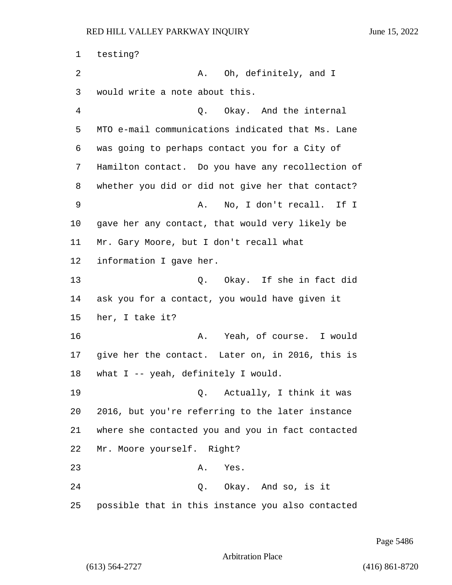1 testing? 2 A. Oh, definitely, and I would write a note about this. 4 Q. Okay. And the internal MTO e-mail communications indicated that Ms. Lane was going to perhaps contact you for a City of Hamilton contact. Do you have any recollection of whether you did or did not give her that contact? 9 A. No, I don't recall. If I gave her any contact, that would very likely be Mr. Gary Moore, but I don't recall what information I gave her. 13 Q. Okay. If she in fact did ask you for a contact, you would have given it her, I take it? 16 A. Yeah, of course. I would give her the contact. Later on, in 2016, this is what I -- yeah, definitely I would. 19 Q. Actually, I think it was 2016, but you're referring to the later instance where she contacted you and you in fact contacted Mr. Moore yourself. Right? 23 A. Yes. 24 Q. Okay. And so, is it possible that in this instance you also contacted

Page 5486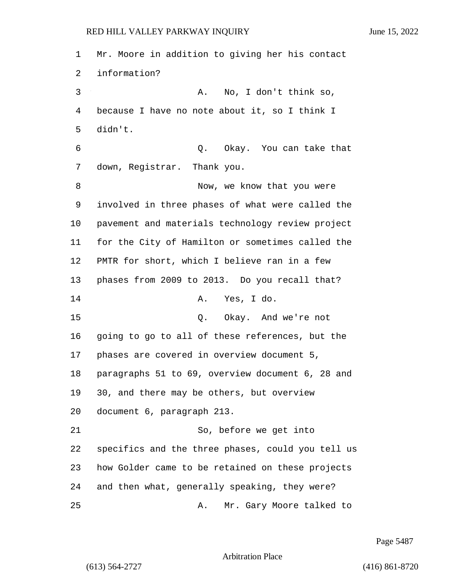Mr. Moore in addition to giving her his contact information? 3 A. No, I don't think so, because I have no note about it, so I think I didn't. 6 Q. Okay. You can take that down, Registrar. Thank you. 8 Now, we know that you were involved in three phases of what were called the pavement and materials technology review project for the City of Hamilton or sometimes called the PMTR for short, which I believe ran in a few phases from 2009 to 2013. Do you recall that? 14 A. Yes, I do. 15 Q. Okay. And we're not going to go to all of these references, but the phases are covered in overview document 5, paragraphs 51 to 69, overview document 6, 28 and 30, and there may be others, but overview document 6, paragraph 213. 21 So, before we get into specifics and the three phases, could you tell us how Golder came to be retained on these projects and then what, generally speaking, they were? 25 A. Mr. Gary Moore talked to

Page 5487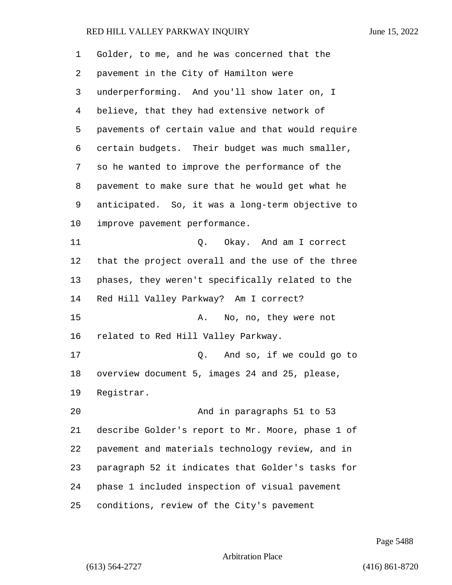| 1  | Golder, to me, and he was concerned that the      |
|----|---------------------------------------------------|
| 2  | pavement in the City of Hamilton were             |
| 3  | underperforming. And you'll show later on, I      |
| 4  | believe, that they had extensive network of       |
| 5  | pavements of certain value and that would require |
| 6  | certain budgets. Their budget was much smaller,   |
| 7  | so he wanted to improve the performance of the    |
| 8  | pavement to make sure that he would get what he   |
| 9  | anticipated. So, it was a long-term objective to  |
| 10 | improve pavement performance.                     |
| 11 | Q. Okay. And am I correct                         |
| 12 | that the project overall and the use of the three |
| 13 | phases, they weren't specifically related to the  |
| 14 | Red Hill Valley Parkway? Am I correct?            |
| 15 | No, no, they were not<br>Α.                       |
| 16 | related to Red Hill Valley Parkway.               |
| 17 | Q. And so, if we could go to                      |
| 18 | overview document 5, images 24 and 25, please,    |
| 19 | Registrar.                                        |
| 20 | And in paragraphs 51 to 53                        |
| 21 | describe Golder's report to Mr. Moore, phase 1 of |
| 22 | pavement and materials technology review, and in  |
| 23 | paragraph 52 it indicates that Golder's tasks for |
| 24 | phase 1 included inspection of visual pavement    |
| 25 | conditions, review of the City's pavement         |

Page 5488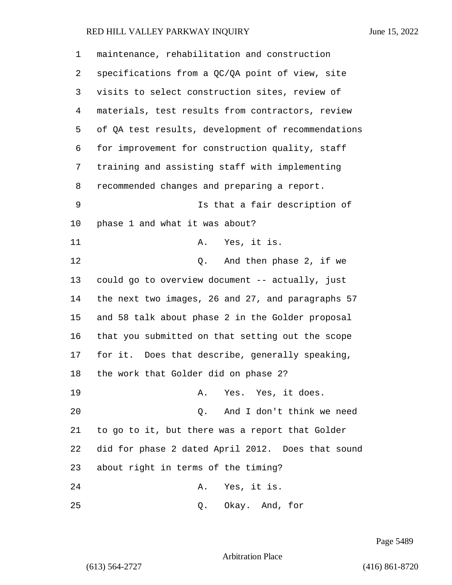| 1              | maintenance, rehabilitation and construction       |
|----------------|----------------------------------------------------|
| 2              | specifications from a QC/QA point of view, site    |
| 3              | visits to select construction sites, review of     |
| $\overline{4}$ | materials, test results from contractors, review   |
| 5              | of QA test results, development of recommendations |
| 6              | for improvement for construction quality, staff    |
| 7              | training and assisting staff with implementing     |
| 8              | recommended changes and preparing a report.        |
| 9              | Is that a fair description of                      |
| 10             | phase 1 and what it was about?                     |
| 11             | Yes, it is.<br>Α.                                  |
| 12             | Q. And then phase 2, if we                         |
| 13             | could go to overview document -- actually, just    |
| 14             | the next two images, 26 and 27, and paragraphs 57  |
| 15             | and 58 talk about phase 2 in the Golder proposal   |
| 16             | that you submitted on that setting out the scope   |
| 17             | for it. Does that describe, generally speaking,    |
| 18             | the work that Golder did on phase 2?               |
| 19             | Yes. Yes, it does.<br>Α.                           |
| 20             | Q. And I don't think we need                       |
| 21             | to go to it, but there was a report that Golder    |
| 22             | did for phase 2 dated April 2012. Does that sound  |
| 23             | about right in terms of the timing?                |
| 24             | Yes, it is.<br>Α.                                  |
| 25             | Okay. And, for<br>Q.                               |

Page 5489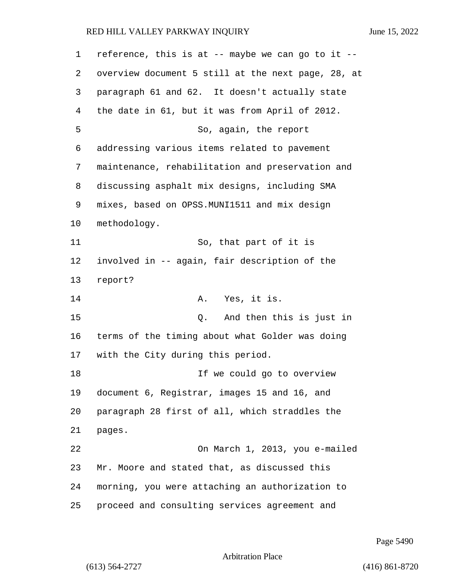| $\mathbf 1$ | reference, this is at -- maybe we can go to it --  |
|-------------|----------------------------------------------------|
| 2           | overview document 5 still at the next page, 28, at |
| 3           | paragraph 61 and 62. It doesn't actually state     |
| 4           | the date in 61, but it was from April of 2012.     |
| 5           | So, again, the report                              |
| 6           | addressing various items related to pavement       |
| 7           | maintenance, rehabilitation and preservation and   |
| 8           | discussing asphalt mix designs, including SMA      |
| 9           | mixes, based on OPSS.MUNI1511 and mix design       |
| 10          | methodology.                                       |
| 11          | So, that part of it is                             |
| 12          | involved in -- again, fair description of the      |
| 13          | report?                                            |
| 14          | Yes, it is.<br>Α.                                  |
| 15          | And then this is just in<br>Q.                     |
| 16          | terms of the timing about what Golder was doing    |
| 17          | with the City during this period.                  |
| 18          | If we could go to overview                         |
| 19          | document 6, Registrar, images 15 and 16, and       |
| 20          | paragraph 28 first of all, which straddles the     |
| 21          | pages.                                             |
| 22          | On March 1, 2013, you e-mailed                     |
| 23          | Mr. Moore and stated that, as discussed this       |
| 24          | morning, you were attaching an authorization to    |
| 25          | proceed and consulting services agreement and      |

Page 5490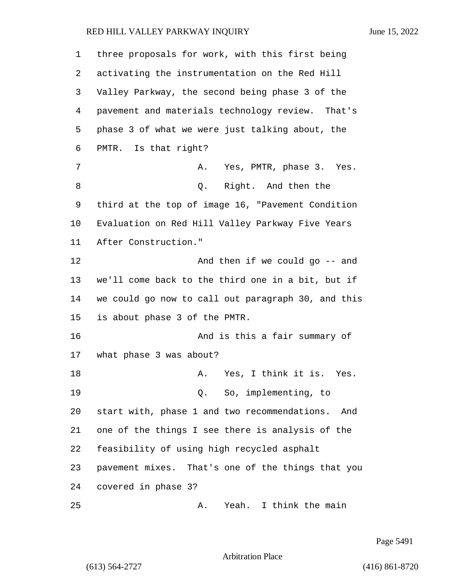| 1  | three proposals for work, with this first being     |
|----|-----------------------------------------------------|
| 2  | activating the instrumentation on the Red Hill      |
| 3  | Valley Parkway, the second being phase 3 of the     |
| 4  | pavement and materials technology review. That's    |
| 5  | phase 3 of what we were just talking about, the     |
| 6  | PMTR. Is that right?                                |
| 7  | A. Yes, PMTR, phase 3. Yes.                         |
| 8  | Right. And then the<br>Q.                           |
| 9  | third at the top of image 16, "Pavement Condition   |
| 10 | Evaluation on Red Hill Valley Parkway Five Years    |
| 11 | After Construction."                                |
| 12 | And then if we could go -- and                      |
| 13 | we'll come back to the third one in a bit, but if   |
| 14 | we could go now to call out paragraph 30, and this  |
| 15 | is about phase 3 of the PMTR.                       |
| 16 | And is this a fair summary of                       |
| 17 | what phase 3 was about?                             |
| 18 | A. Yes, I think it is. Yes.                         |
| 19 | Q. So, implementing, to                             |
| 20 | start with, phase 1 and two recommendations.<br>And |
| 21 | one of the things I see there is analysis of the    |
| 22 | feasibility of using high recycled asphalt          |
| 23 | pavement mixes. That's one of the things that you   |
| 24 | covered in phase 3?                                 |
| 25 | Yeah. I think the main<br>Α.                        |

Page 5491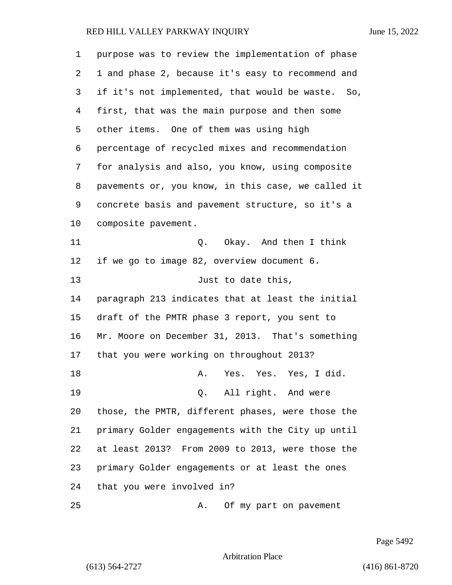purpose was to review the implementation of phase 1 and phase 2, because it's easy to recommend and if it's not implemented, that would be waste. So, first, that was the main purpose and then some other items. One of them was using high percentage of recycled mixes and recommendation for analysis and also, you know, using composite pavements or, you know, in this case, we called it concrete basis and pavement structure, so it's a composite pavement. 11 Q. Okay. And then I think if we go to image 82, overview document 6. 13 Just to date this, paragraph 213 indicates that at least the initial draft of the PMTR phase 3 report, you sent to Mr. Moore on December 31, 2013. That's something that you were working on throughout 2013? 18 A. Yes. Yes. Yes, I did. 19 Q. All right. And were those, the PMTR, different phases, were those the primary Golder engagements with the City up until at least 2013? From 2009 to 2013, were those the primary Golder engagements or at least the ones that you were involved in? 25 A. Of my part on pavement

Page 5492

Arbitration Place

(613) 564-2727 (416) 861-8720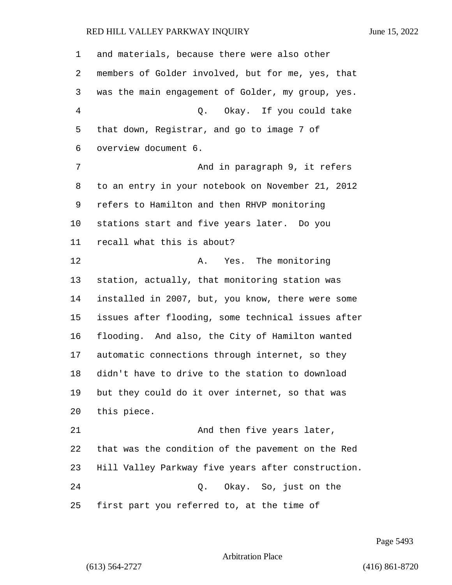and materials, because there were also other members of Golder involved, but for me, yes, that was the main engagement of Golder, my group, yes. 4 Q. Okay. If you could take that down, Registrar, and go to image 7 of overview document 6. 7 And in paragraph 9, it refers to an entry in your notebook on November 21, 2012 refers to Hamilton and then RHVP monitoring stations start and five years later. Do you recall what this is about? 12 A. Yes. The monitoring station, actually, that monitoring station was installed in 2007, but, you know, there were some issues after flooding, some technical issues after flooding. And also, the City of Hamilton wanted automatic connections through internet, so they didn't have to drive to the station to download but they could do it over internet, so that was this piece. 21 And then five years later, that was the condition of the pavement on the Red Hill Valley Parkway five years after construction. 24 Q. Okay. So, just on the first part you referred to, at the time of

Page 5493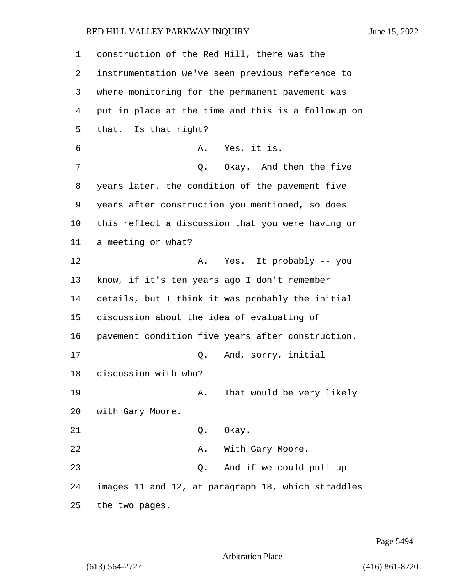construction of the Red Hill, there was the instrumentation we've seen previous reference to where monitoring for the permanent pavement was put in place at the time and this is a followup on that. Is that right? 6 A. Yes, it is. 7 C. Okay. And then the five years later, the condition of the pavement five years after construction you mentioned, so does this reflect a discussion that you were having or a meeting or what? 12 A. Yes. It probably -- you know, if it's ten years ago I don't remember details, but I think it was probably the initial discussion about the idea of evaluating of pavement condition five years after construction. 17 Q. And, sorry, initial discussion with who? 19 A. That would be very likely with Gary Moore. 21 Q. Okay. 22 A. With Gary Moore. 23 Q. And if we could pull up images 11 and 12, at paragraph 18, which straddles

25 the two pages.

Page 5494

Arbitration Place

(613) 564-2727 (416) 861-8720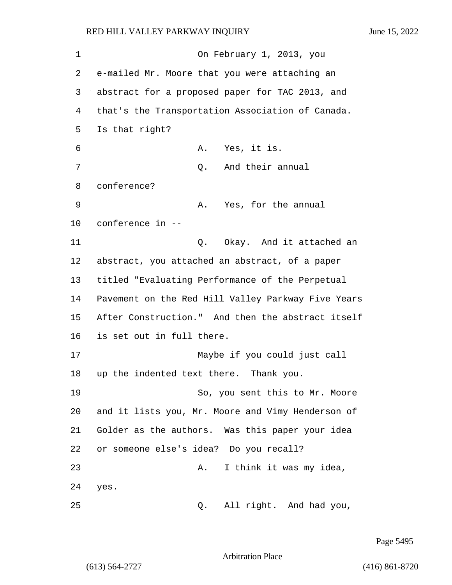1 On February 1, 2013, you 2 e-mailed Mr. Moore that you were attaching an 3 abstract for a proposed paper for TAC 2013, and 4 that's the Transportation Association of Canada. 5 Is that right? 6 A. Yes, it is. 7 Q. And their annual 8 conference? 9 A. Yes, for the annual 10 conference in -- 11 C. Okay. And it attached an 12 abstract, you attached an abstract, of a paper 13 titled "Evaluating Performance of the Perpetual 14 Pavement on the Red Hill Valley Parkway Five Years 15 After Construction." And then the abstract itself 16 is set out in full there. 17 Maybe if you could just call 18 up the indented text there. Thank you. 19 So, you sent this to Mr. Moore 20 and it lists you, Mr. Moore and Vimy Henderson of 21 Golder as the authors. Was this paper your idea 22 or someone else's idea? Do you recall? 23 A. I think it was my idea, 24 yes. 25 Q. All right. And had you,

Page 5495

Arbitration Place

(613) 564-2727 (416) 861-8720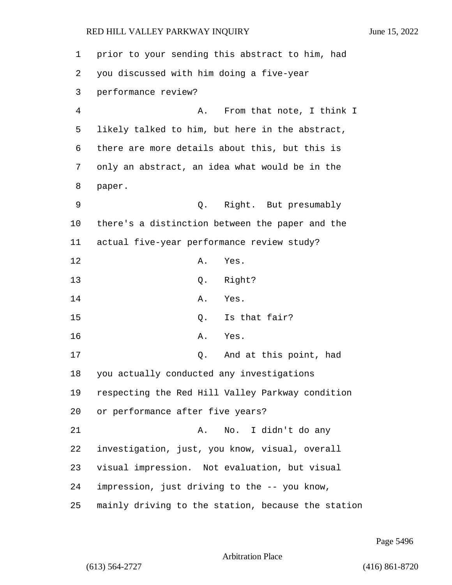| 1  | prior to your sending this abstract to him, had    |
|----|----------------------------------------------------|
| 2  | you discussed with him doing a five-year           |
| 3  | performance review?                                |
| 4  | From that note, I think I<br>Α.                    |
| 5  | likely talked to him, but here in the abstract,    |
| 6  | there are more details about this, but this is     |
| 7  | only an abstract, an idea what would be in the     |
| 8  | paper.                                             |
| 9  | Q. Right. But presumably                           |
| 10 | there's a distinction between the paper and the    |
| 11 | actual five-year performance review study?         |
| 12 | Α.<br>Yes.                                         |
| 13 | Right?<br>Q.                                       |
| 14 | Α.<br>Yes.                                         |
| 15 | Is that fair?<br>Q.                                |
| 16 | Α.<br>Yes.                                         |
| 17 | And at this point, had<br>Q.                       |
| 18 | you actually conducted any investigations          |
| 19 | respecting the Red Hill Valley Parkway condition   |
| 20 | or performance after five years?                   |
| 21 | No. I didn't do any<br>Α.                          |
| 22 | investigation, just, you know, visual, overall     |
| 23 | visual impression. Not evaluation, but visual      |
| 24 | impression, just driving to the -- you know,       |
| 25 | mainly driving to the station, because the station |

Page 5496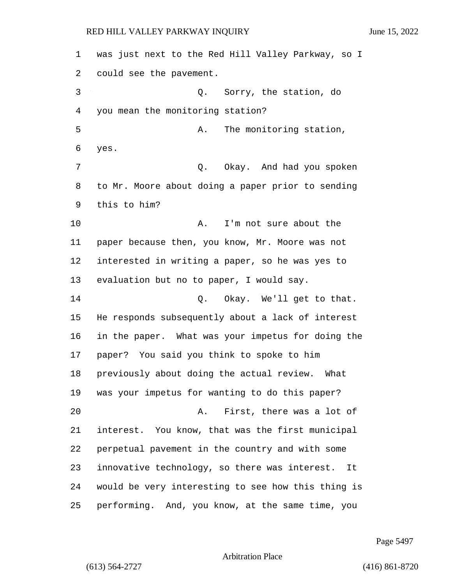| 1  | was just next to the Red Hill Valley Parkway, so I |
|----|----------------------------------------------------|
| 2  | could see the pavement.                            |
| 3  | Q. Sorry, the station, do                          |
| 4  | you mean the monitoring station?                   |
| 5  | The monitoring station,<br>Α.                      |
| 6  | yes.                                               |
| 7  | Q. Okay. And had you spoken                        |
| 8  | to Mr. Moore about doing a paper prior to sending  |
| 9  | this to him?                                       |
| 10 | I'm not sure about the<br>Α.                       |
| 11 | paper because then, you know, Mr. Moore was not    |
| 12 | interested in writing a paper, so he was yes to    |
| 13 | evaluation but no to paper, I would say.           |
| 14 | Q. Okay. We'll get to that.                        |
| 15 | He responds subsequently about a lack of interest  |
| 16 | in the paper. What was your impetus for doing the  |
| 17 | paper? You said you think to spoke to him          |
| 18 | previously about doing the actual review. What     |
| 19 | was your impetus for wanting to do this paper?     |
| 20 | First, there was a lot of<br>Α.                    |
| 21 | interest. You know, that was the first municipal   |
| 22 | perpetual pavement in the country and with some    |
| 23 | innovative technology, so there was interest. It   |
| 24 | would be very interesting to see how this thing is |
| 25 | performing. And, you know, at the same time, you   |

Page 5497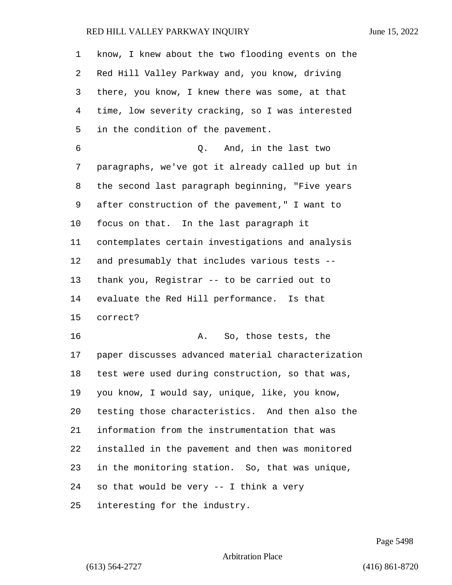| 1              | know, I knew about the two flooding events on the  |
|----------------|----------------------------------------------------|
| 2              | Red Hill Valley Parkway and, you know, driving     |
| 3              | there, you know, I knew there was some, at that    |
| $\overline{4}$ | time, low severity cracking, so I was interested   |
| 5              | in the condition of the pavement.                  |
| 6              | And, in the last two<br>Q.                         |
| 7              | paragraphs, we've got it already called up but in  |
| 8              | the second last paragraph beginning, "Five years   |
| 9              | after construction of the pavement," I want to     |
| 10             | focus on that. In the last paragraph it            |
| 11             | contemplates certain investigations and analysis   |
| 12             | and presumably that includes various tests --      |
| 13             | thank you, Registrar -- to be carried out to       |
| 14             | evaluate the Red Hill performance. Is that         |
| 15             | correct?                                           |
| 16             | So, those tests, the<br>Α.                         |
| 17             | paper discusses advanced material characterization |
| 18             | test were used during construction, so that was,   |
| 19             | you know, I would say, unique, like, you know,     |
| 20             | testing those characteristics. And then also the   |
| 21             | information from the instrumentation that was      |
| 22             | installed in the pavement and then was monitored   |
| 23             | in the monitoring station. So, that was unique,    |
| 24             | so that would be very -- I think a very            |
| 25             | interesting for the industry.                      |

Page 5498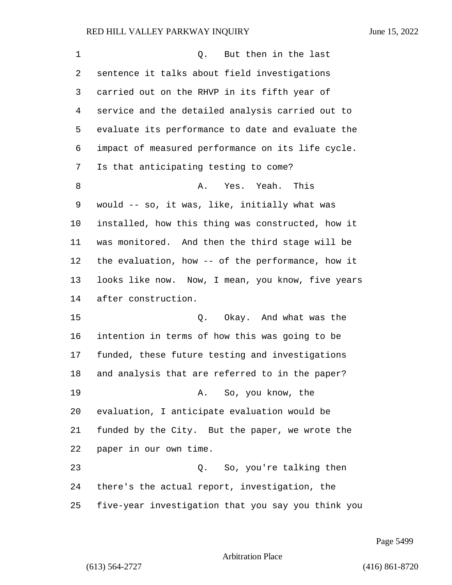| 1      | But then in the last<br>Q.                         |
|--------|----------------------------------------------------|
| 2      | sentence it talks about field investigations       |
| 3      | carried out on the RHVP in its fifth year of       |
| 4      | service and the detailed analysis carried out to   |
| 5      | evaluate its performance to date and evaluate the  |
| 6      | impact of measured performance on its life cycle.  |
| 7      | Is that anticipating testing to come?              |
| 8      | Yes. Yeah. This<br>Α.                              |
| 9      | would -- so, it was, like, initially what was      |
| 10     | installed, how this thing was constructed, how it  |
| 11     | was monitored. And then the third stage will be    |
| 12     | the evaluation, how -- of the performance, how it  |
| 13     | looks like now. Now, I mean, you know, five years  |
| 14     | after construction.                                |
| 15     | Okay. And what was the<br>Q.                       |
| 16     | intention in terms of how this was going to be     |
| 17     | funded, these future testing and investigations    |
| $18\,$ | and analysis that are referred to in the paper?    |
| 19     | A. So, you know, the                               |
| 20     | evaluation, I anticipate evaluation would be       |
| 21     | funded by the City. But the paper, we wrote the    |
| 22     | paper in our own time.                             |
| 23     | Q. So, you're talking then                         |
| 24     | there's the actual report, investigation, the      |
| 25     | five-year investigation that you say you think you |

Page 5499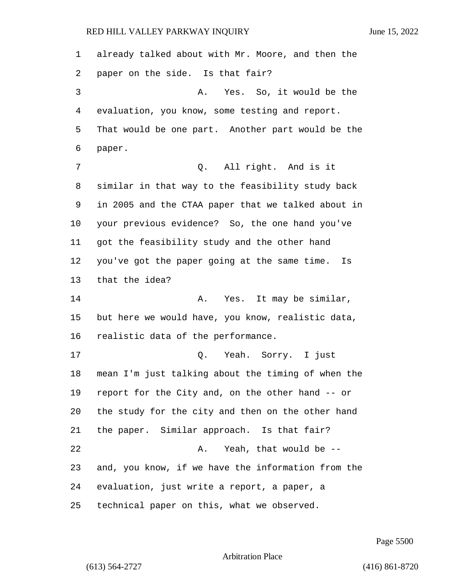already talked about with Mr. Moore, and then the paper on the side. Is that fair? 3 A. Yes. So, it would be the evaluation, you know, some testing and report. That would be one part. Another part would be the paper. 7 0. All right. And is it similar in that way to the feasibility study back in 2005 and the CTAA paper that we talked about in your previous evidence? So, the one hand you've got the feasibility study and the other hand you've got the paper going at the same time. Is that the idea? **A.** Yes. It may be similar, but here we would have, you know, realistic data, realistic data of the performance. 17 Q. Yeah. Sorry. I just mean I'm just talking about the timing of when the report for the City and, on the other hand -- or the study for the city and then on the other hand the paper. Similar approach. Is that fair? 22 A. Yeah, that would be -- and, you know, if we have the information from the evaluation, just write a report, a paper, a technical paper on this, what we observed.

Page 5500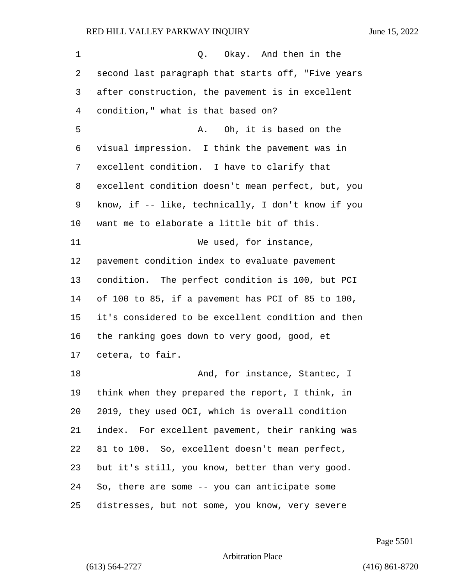| 1  | Okay. And then in the<br>Q.                        |
|----|----------------------------------------------------|
| 2  | second last paragraph that starts off, "Five years |
| 3  | after construction, the pavement is in excellent   |
| 4  | condition," what is that based on?                 |
| 5  | Oh, it is based on the<br>Α.                       |
| 6  | visual impression. I think the pavement was in     |
| 7  | excellent condition. I have to clarify that        |
| 8  | excellent condition doesn't mean perfect, but, you |
| 9  | know, if -- like, technically, I don't know if you |
| 10 | want me to elaborate a little bit of this.         |
| 11 | We used, for instance,                             |
| 12 | pavement condition index to evaluate pavement      |
| 13 | condition. The perfect condition is 100, but PCI   |
| 14 | of 100 to 85, if a pavement has PCI of 85 to 100,  |
| 15 | it's considered to be excellent condition and then |
| 16 | the ranking goes down to very good, good, et       |
| 17 | cetera, to fair.                                   |
| 18 | And, for instance, Stantec, I                      |
| 19 | think when they prepared the report, I think, in   |
| 20 | 2019, they used OCI, which is overall condition    |
| 21 | index. For excellent pavement, their ranking was   |
| 22 | 81 to 100. So, excellent doesn't mean perfect,     |
| 23 | but it's still, you know, better than very good.   |
| 24 | So, there are some -- you can anticipate some      |
| 25 | distresses, but not some, you know, very severe    |

Page 5501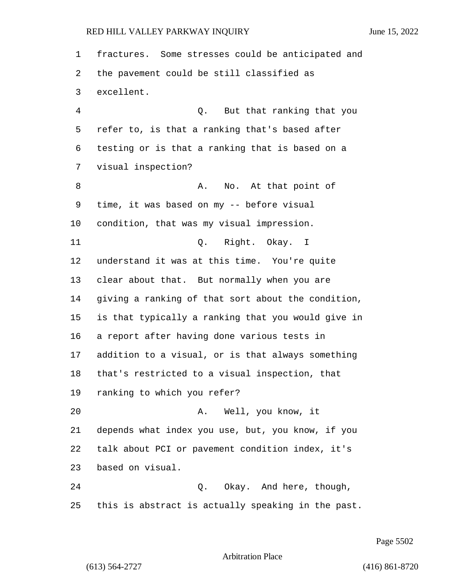fractures. Some stresses could be anticipated and the pavement could be still classified as excellent. 4 Q. But that ranking that you refer to, is that a ranking that's based after testing or is that a ranking that is based on a visual inspection? 8 A. No. At that point of time, it was based on my -- before visual condition, that was my visual impression. 11 Q. Right. Okay. I understand it was at this time. You're quite clear about that. But normally when you are giving a ranking of that sort about the condition, is that typically a ranking that you would give in a report after having done various tests in addition to a visual, or is that always something that's restricted to a visual inspection, that ranking to which you refer? 20 A. Well, you know, it depends what index you use, but, you know, if you talk about PCI or pavement condition index, it's based on visual. 24 Q. Okay. And here, though, this is abstract is actually speaking in the past.

Page 5502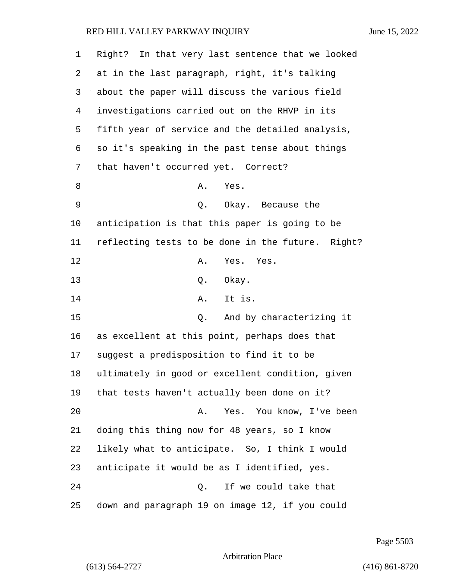| 1  | Right? In that very last sentence that we looked  |
|----|---------------------------------------------------|
| 2  | at in the last paragraph, right, it's talking     |
| 3  | about the paper will discuss the various field    |
| 4  | investigations carried out on the RHVP in its     |
| 5  | fifth year of service and the detailed analysis,  |
| 6  | so it's speaking in the past tense about things   |
| 7  | that haven't occurred yet. Correct?               |
| 8  | Α.<br>Yes.                                        |
| 9  | Q. Okay. Because the                              |
| 10 | anticipation is that this paper is going to be    |
| 11 | reflecting tests to be done in the future. Right? |
| 12 | Α.<br>Yes. Yes.                                   |
| 13 | Okay.<br>Q.                                       |
| 14 | It is.<br>Α.                                      |
| 15 | And by characterizing it<br>Q.                    |
| 16 | as excellent at this point, perhaps does that     |
| 17 | suggest a predisposition to find it to be         |
| 18 | ultimately in good or excellent condition, given  |
| 19 | that tests haven't actually been done on it?      |
| 20 | Yes. You know, I've been<br>Α.                    |
| 21 | doing this thing now for 48 years, so I know      |
| 22 | likely what to anticipate. So, I think I would    |
| 23 | anticipate it would be as I identified, yes.      |
| 24 | If we could take that<br>Q.                       |
| 25 | down and paragraph 19 on image 12, if you could   |

Page 5503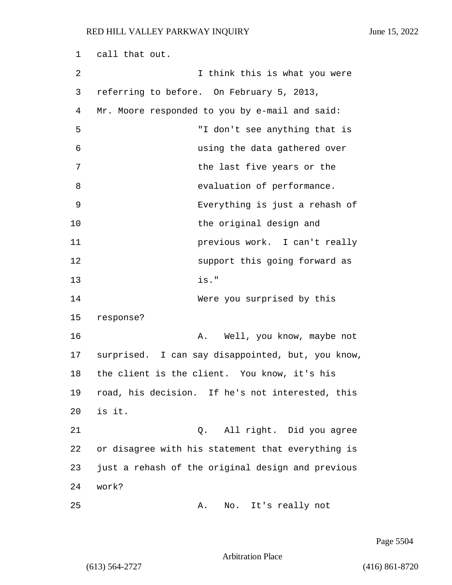| 1  | call that out.                                    |
|----|---------------------------------------------------|
| 2  | I think this is what you were                     |
| 3  | referring to before. On February 5, 2013,         |
| 4  | Mr. Moore responded to you by e-mail and said:    |
| 5  | "I don't see anything that is                     |
| 6  | using the data gathered over                      |
| 7  | the last five years or the                        |
| 8  | evaluation of performance.                        |
| 9  | Everything is just a rehash of                    |
| 10 | the original design and                           |
| 11 | previous work. I can't really                     |
| 12 | support this going forward as                     |
| 13 | is."                                              |
| 14 | Were you surprised by this                        |
| 15 | response?                                         |
| 16 | Well, you know, maybe not<br>Α.                   |
| 17 | surprised. I can say disappointed, but, you know, |
| 18 | the client is the client. You know, it's his      |
| 19 | road, his decision. If he's not interested, this  |
| 20 | is it.                                            |
| 21 | All right. Did you agree<br>Q.                    |
| 22 | or disagree with his statement that everything is |
| 23 | just a rehash of the original design and previous |
| 24 | work?                                             |
| 25 | It's really not<br>No.<br>Α.                      |

Page 5504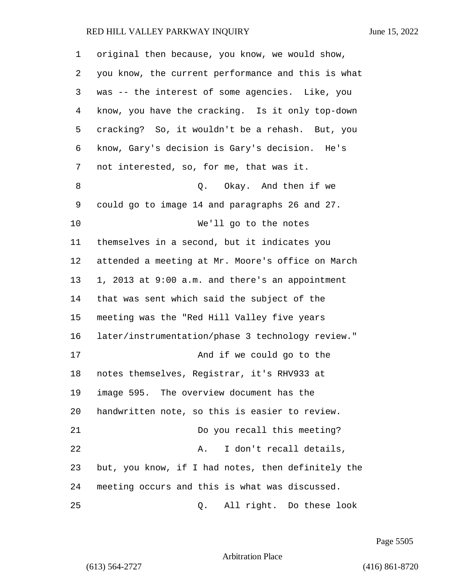| 1              | original then because, you know, we would show,    |
|----------------|----------------------------------------------------|
| 2              | you know, the current performance and this is what |
| 3              | was -- the interest of some agencies. Like, you    |
| $\overline{4}$ | know, you have the cracking. Is it only top-down   |
| 5              | cracking? So, it wouldn't be a rehash. But, you    |
| 6              | know, Gary's decision is Gary's decision. He's     |
| 7              | not interested, so, for me, that was it.           |
| 8              | Q. Okay. And then if we                            |
| 9              | could go to image 14 and paragraphs 26 and 27.     |
| 10             | We'll go to the notes                              |
| 11             | themselves in a second, but it indicates you       |
| 12             | attended a meeting at Mr. Moore's office on March  |
| 13             | 1, 2013 at 9:00 a.m. and there's an appointment    |
| 14             | that was sent which said the subject of the        |
| 15             | meeting was the "Red Hill Valley five years        |
| 16             | later/instrumentation/phase 3 technology review."  |
| 17             | And if we could go to the                          |
| 18             | notes themselves, Registrar, it's RHV933 at        |
| 19             | image 595. The overview document has the           |
| 20             | handwritten note, so this is easier to review.     |
| 21             | Do you recall this meeting?                        |
| 22             | I don't recall details,<br>Α.                      |
| 23             | but, you know, if I had notes, then definitely the |
| 24             | meeting occurs and this is what was discussed.     |
| 25             | All right. Do these look<br>Q.                     |

Page 5505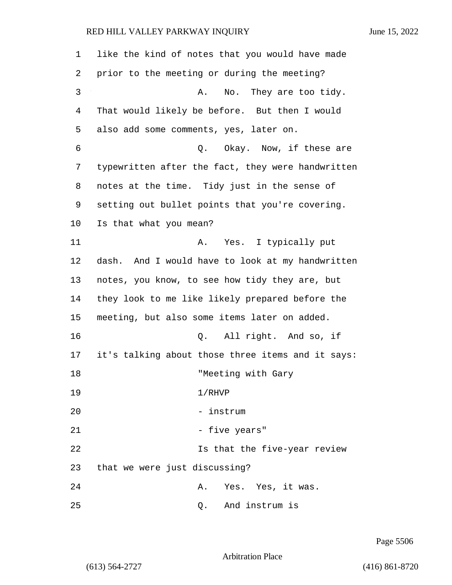| 1  | like the kind of notes that you would have made   |
|----|---------------------------------------------------|
| 2  | prior to the meeting or during the meeting?       |
| 3  | No. They are too tidy.<br>Α.                      |
| 4  | That would likely be before. But then I would     |
| 5  | also add some comments, yes, later on.            |
| 6  | Q. Okay. Now, if these are                        |
| 7  | typewritten after the fact, they were handwritten |
| 8  | notes at the time. Tidy just in the sense of      |
| 9  | setting out bullet points that you're covering.   |
| 10 | Is that what you mean?                            |
| 11 | A. Yes. I typically put                           |
| 12 | dash. And I would have to look at my handwritten  |
| 13 | notes, you know, to see how tidy they are, but    |
| 14 | they look to me like likely prepared before the   |
| 15 | meeting, but also some items later on added.      |
| 16 | Q. All right. And so, if                          |
| 17 | it's talking about those three items and it says: |
| 18 | "Meeting with Gary                                |
| 19 | 1/RHVP                                            |
| 20 | - instrum                                         |
| 21 | - five years"                                     |
| 22 | Is that the five-year review                      |
| 23 | that we were just discussing?                     |
| 24 | Yes. Yes, it was.<br>Α.                           |
| 25 | And instrum is<br>Q.                              |

Page 5506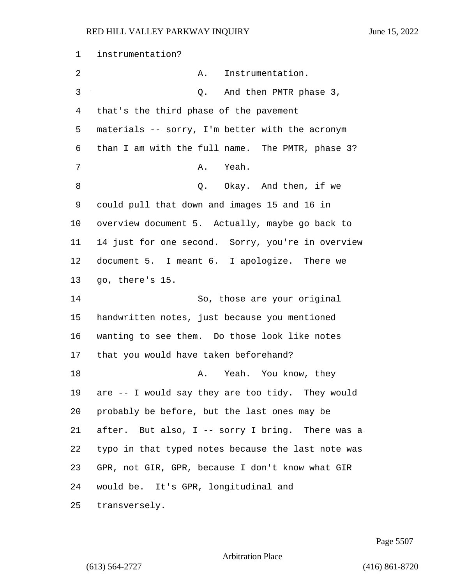| 1  | instrumentation?                                    |
|----|-----------------------------------------------------|
| 2  | Instrumentation.<br>Α.                              |
| 3  | And then PMTR phase 3,<br>Q.                        |
| 4  | that's the third phase of the pavement              |
| 5  | materials -- sorry, I'm better with the acronym     |
| 6  | than I am with the full name. The PMTR, phase 3?    |
| 7  | A. Yeah.                                            |
| 8  | Q. Okay. And then, if we                            |
| 9  | could pull that down and images 15 and 16 in        |
| 10 | overview document 5. Actually, maybe go back to     |
| 11 | 14 just for one second. Sorry, you're in overview   |
| 12 | document 5. I meant 6. I apologize. There we        |
| 13 | go, there's 15.                                     |
| 14 | So, those are your original                         |
| 15 | handwritten notes, just because you mentioned       |
| 16 | wanting to see them. Do those look like notes       |
| 17 | that you would have taken beforehand?               |
| 18 | A. Yeah. You know, they                             |
|    | 19 are -- I would say they are too tidy. They would |
| 20 | probably be before, but the last ones may be        |
| 21 | after. But also, I -- sorry I bring. There was a    |
| 22 | typo in that typed notes because the last note was  |
| 23 | GPR, not GIR, GPR, because I don't know what GIR    |
| 24 | would be. It's GPR, longitudinal and                |
| 25 | transversely.                                       |

Page 5507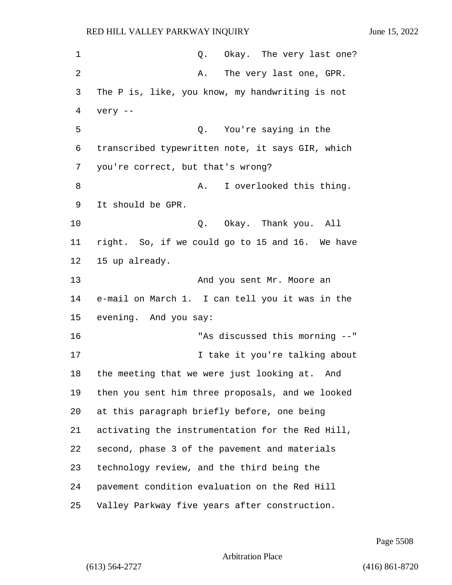1 Q. Okay. The very last one? 2 A. The very last one, GPR. The P is, like, you know, my handwriting is not very -- 5 Q. You're saying in the transcribed typewritten note, it says GIR, which you're correct, but that's wrong? 8 A. I overlooked this thing. It should be GPR. 10 Q. Okay. Thank you. All right. So, if we could go to 15 and 16. We have 15 up already. 13 And you sent Mr. Moore an e-mail on March 1. I can tell you it was in the evening. And you say: 16 "As discussed this morning --" **I** take it you're talking about the meeting that we were just looking at. And then you sent him three proposals, and we looked at this paragraph briefly before, one being activating the instrumentation for the Red Hill, second, phase 3 of the pavement and materials technology review, and the third being the pavement condition evaluation on the Red Hill Valley Parkway five years after construction.

Page 5508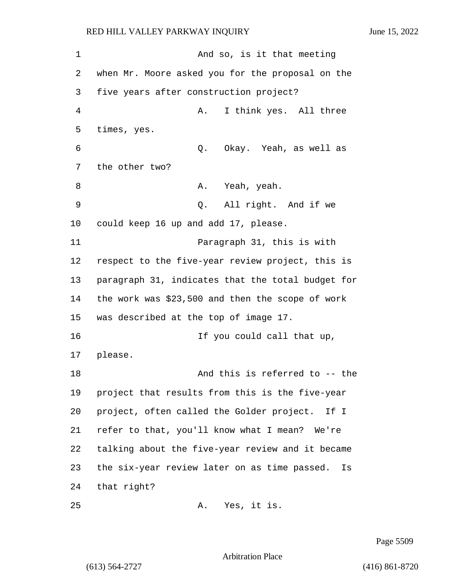1 And so, is it that meeting when Mr. Moore asked you for the proposal on the five years after construction project? 4 A. I think yes. All three times, yes. 6 Q. Okay. Yeah, as well as the other two? 8 A. Yeah, yeah. 9 Q. All right. And if we could keep 16 up and add 17, please. 11 Paragraph 31, this is with respect to the five-year review project, this is paragraph 31, indicates that the total budget for the work was \$23,500 and then the scope of work was described at the top of image 17. 16 If you could call that up, 17 please. 18 And this is referred to -- the project that results from this is the five-year project, often called the Golder project. If I refer to that, you'll know what I mean? We're talking about the five-year review and it became the six-year review later on as time passed. Is that right?

Page 5509

Arbitration Place

25 A. Yes, it is.

(613) 564-2727 (416) 861-8720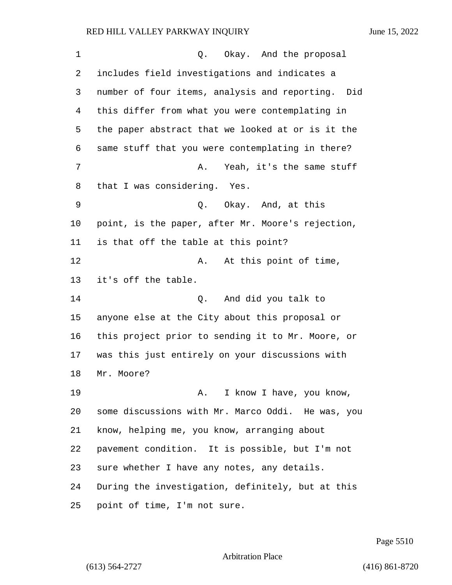| 1  | Okay. And the proposal<br>Q.                         |
|----|------------------------------------------------------|
| 2  | includes field investigations and indicates a        |
| 3  | number of four items, analysis and reporting.<br>Did |
| 4  | this differ from what you were contemplating in      |
| 5  | the paper abstract that we looked at or is it the    |
| 6  | same stuff that you were contemplating in there?     |
| 7  | Yeah, it's the same stuff<br>Α.                      |
| 8  | that I was considering. Yes.                         |
| 9  | Q. Okay. And, at this                                |
| 10 | point, is the paper, after Mr. Moore's rejection,    |
| 11 | is that off the table at this point?                 |
| 12 | At this point of time,<br>Α.                         |
| 13 | it's off the table.                                  |
| 14 | And did you talk to<br>Q.                            |
| 15 | anyone else at the City about this proposal or       |
| 16 | this project prior to sending it to Mr. Moore, or    |
| 17 | was this just entirely on your discussions with      |
| 18 | Mr. Moore?                                           |
| 19 | I know I have, you know,<br>Α.                       |
| 20 | some discussions with Mr. Marco Oddi. He was, you    |
| 21 | know, helping me, you know, arranging about          |
| 22 | pavement condition. It is possible, but I'm not      |
| 23 | sure whether I have any notes, any details.          |
| 24 | During the investigation, definitely, but at this    |
| 25 | point of time, I'm not sure.                         |

Page 5510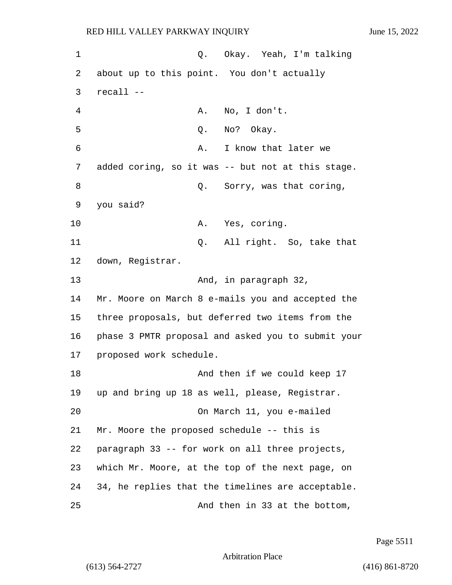1 Q. Okay. Yeah, I'm talking 2 about up to this point. You don't actually 3 recall -- 4 A. No, I don't. 5 Q. No? Okay. 6 A. I know that later we 7 added coring, so it was -- but not at this stage. 8 and 9. Sorry, was that coring, 9 you said? 10 A. Yes, coring. 11 Q. All right. So, take that 12 down, Registrar. 13 And, in paragraph 32, 14 Mr. Moore on March 8 e-mails you and accepted the 15 three proposals, but deferred two items from the 16 phase 3 PMTR proposal and asked you to submit your 17 proposed work schedule. 18 And then if we could keep 17 19 up and bring up 18 as well, please, Registrar. 20 On March 11, you e-mailed 21 Mr. Moore the proposed schedule -- this is 22 paragraph 33 -- for work on all three projects, 23 which Mr. Moore, at the top of the next page, on 24 34, he replies that the timelines are acceptable. 25 And then in 33 at the bottom,

Page 5511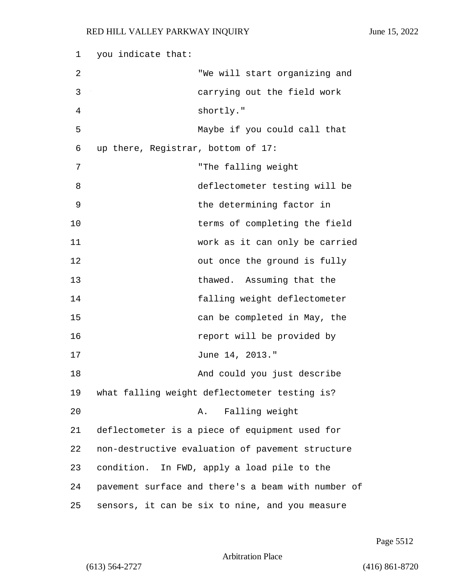1 you indicate that: 2 "We will start organizing and 3 carrying out the field work 4 shortly." 5 Maybe if you could call that 6 up there, Registrar, bottom of 17: 7 "The falling weight 8 deflectometer testing will be 9 blue the determining factor in 10 terms of completing the field 11 work as it can only be carried 12 out once the ground is fully 13 thawed. Assuming that the 14 falling weight deflectometer 15 can be completed in May, the 16 *report will be provided by* 17 June 14, 2013." 18 And could you just describe 19 what falling weight deflectometer testing is? 20 A. Falling weight 21 deflectometer is a piece of equipment used for 22 non-destructive evaluation of pavement structure 23 condition. In FWD, apply a load pile to the 24 pavement surface and there's a beam with number of 25 sensors, it can be six to nine, and you measure

Page 5512

Arbitration Place

(613) 564-2727 (416) 861-8720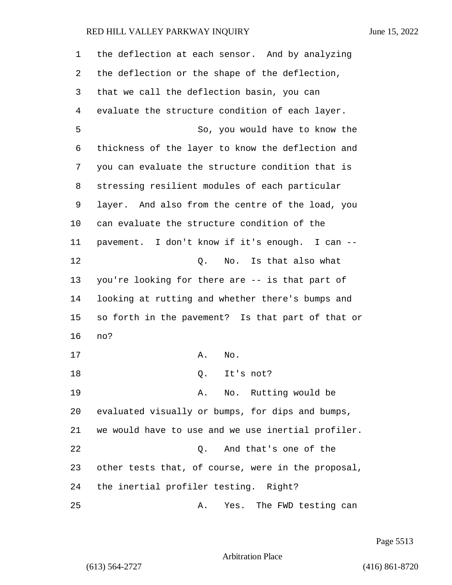| 1  | the deflection at each sensor. And by analyzing    |
|----|----------------------------------------------------|
| 2  | the deflection or the shape of the deflection,     |
| 3  | that we call the deflection basin, you can         |
| 4  | evaluate the structure condition of each layer.    |
| 5  | So, you would have to know the                     |
| 6  | thickness of the layer to know the deflection and  |
| 7  | you can evaluate the structure condition that is   |
| 8  | stressing resilient modules of each particular     |
| 9  | layer. And also from the centre of the load, you   |
| 10 | can evaluate the structure condition of the        |
| 11 | pavement. I don't know if it's enough. I can --    |
| 12 | Q. No. Is that also what                           |
| 13 | you're looking for there are -- is that part of    |
| 14 | looking at rutting and whether there's bumps and   |
| 15 | so forth in the pavement? Is that part of that or  |
| 16 | no?                                                |
| 17 | Α.<br>No.                                          |
| 18 | It's not?<br>Q.                                    |
| 19 | No. Rutting would be<br>Α.                         |
| 20 | evaluated visually or bumps, for dips and bumps,   |
| 21 | we would have to use and we use inertial profiler. |
| 22 | And that's one of the<br>О.                        |
| 23 | other tests that, of course, were in the proposal, |
| 24 | the inertial profiler testing. Right?              |
| 25 | The FWD testing can<br>Yes.<br>Α.                  |

Page 5513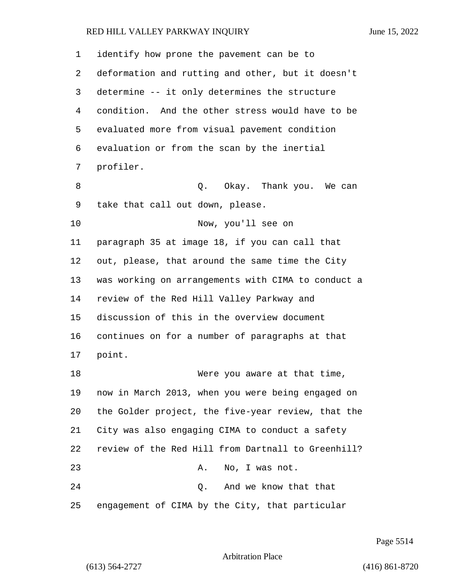| 1  | identify how prone the pavement can be to          |
|----|----------------------------------------------------|
| 2  | deformation and rutting and other, but it doesn't  |
| 3  | determine -- it only determines the structure      |
| 4  | condition. And the other stress would have to be   |
| 5  | evaluated more from visual pavement condition      |
| 6  | evaluation or from the scan by the inertial        |
| 7  | profiler.                                          |
| 8  | Q. Okay. Thank you. We can                         |
| 9  | take that call out down, please.                   |
| 10 | Now, you'll see on                                 |
| 11 | paragraph 35 at image 18, if you can call that     |
| 12 | out, please, that around the same time the City    |
| 13 | was working on arrangements with CIMA to conduct a |
| 14 | review of the Red Hill Valley Parkway and          |
| 15 | discussion of this in the overview document        |
| 16 | continues on for a number of paragraphs at that    |
| 17 | point.                                             |
| 18 | Were you aware at that time,                       |
| 19 | now in March 2013, when you were being engaged on  |
| 20 | the Golder project, the five-year review, that the |
| 21 | City was also engaging CIMA to conduct a safety    |
| 22 | review of the Red Hill from Dartnall to Greenhill? |
| 23 | Α.<br>No, I was not.                               |
| 24 | And we know that that<br>Q.                        |
| 25 | engagement of CIMA by the City, that particular    |

Page 5514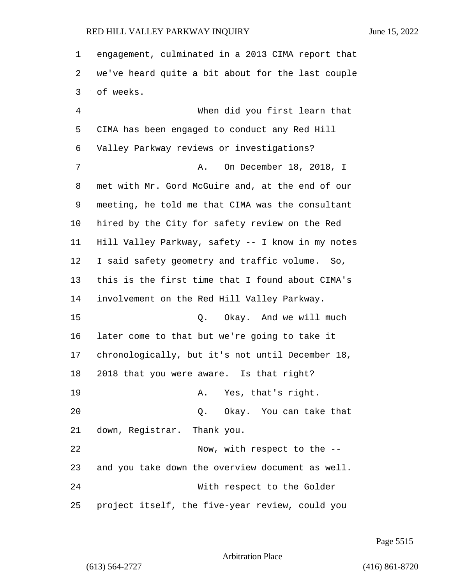engagement, culminated in a 2013 CIMA report that we've heard quite a bit about for the last couple of weeks. 4 When did you first learn that

 CIMA has been engaged to conduct any Red Hill Valley Parkway reviews or investigations? 7 A. On December 18, 2018, I met with Mr. Gord McGuire and, at the end of our meeting, he told me that CIMA was the consultant hired by the City for safety review on the Red Hill Valley Parkway, safety -- I know in my notes I said safety geometry and traffic volume. So, this is the first time that I found about CIMA's involvement on the Red Hill Valley Parkway. 15 C. Okay. And we will much later come to that but we're going to take it chronologically, but it's not until December 18, 2018 that you were aware. Is that right? 19 A. Yes, that's right. 20 Q. Okay. You can take that down, Registrar. Thank you. 22 Now, with respect to the  $-$  and you take down the overview document as well. 24 With respect to the Golder project itself, the five-year review, could you

Page 5515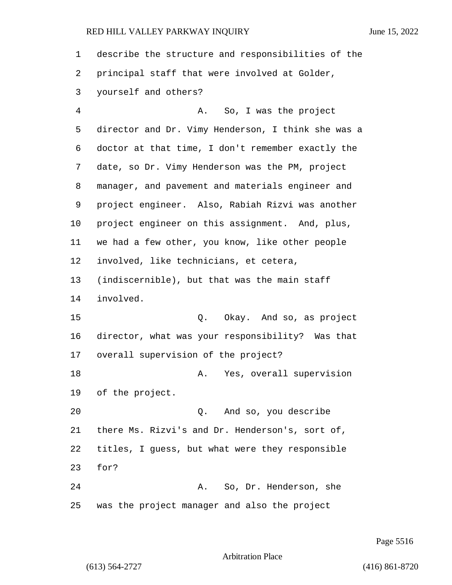| 1  | describe the structure and responsibilities of the |
|----|----------------------------------------------------|
| 2  | principal staff that were involved at Golder,      |
| 3  | yourself and others?                               |
| 4  | A. So, I was the project                           |
| 5  | director and Dr. Vimy Henderson, I think she was a |
| 6  | doctor at that time, I don't remember exactly the  |
| 7  | date, so Dr. Vimy Henderson was the PM, project    |
| 8  | manager, and pavement and materials engineer and   |
| 9  | project engineer. Also, Rabiah Rizvi was another   |
| 10 | project engineer on this assignment. And, plus,    |
| 11 | we had a few other, you know, like other people    |
| 12 | involved, like technicians, et cetera,             |
| 13 | (indiscernible), but that was the main staff       |
| 14 | involved.                                          |
| 15 | Okay. And so, as project<br>Q.                     |
| 16 | director, what was your responsibility? Was that   |
| 17 | overall supervision of the project?                |
| 18 | Yes, overall supervision<br>Α.                     |
|    | 19 of the project.                                 |
| 20 | Q. And so, you describe                            |
| 21 | there Ms. Rizvi's and Dr. Henderson's, sort of,    |
| 22 | titles, I guess, but what were they responsible    |
| 23 | for?                                               |
| 24 | A. So, Dr. Henderson, she                          |
| 25 | was the project manager and also the project       |

Page 5516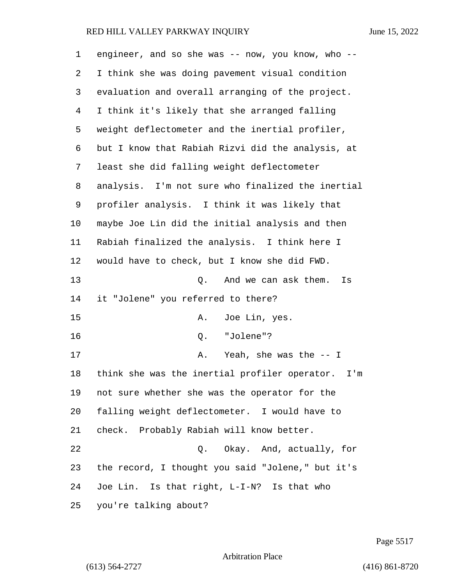| 1  | engineer, and so she was -- now, you know, who --    |
|----|------------------------------------------------------|
| 2  | I think she was doing pavement visual condition      |
| 3  | evaluation and overall arranging of the project.     |
| 4  | I think it's likely that she arranged falling        |
| 5  | weight deflectometer and the inertial profiler,      |
| 6  | but I know that Rabiah Rizvi did the analysis, at    |
| 7  | least she did falling weight deflectometer           |
| 8  | analysis. I'm not sure who finalized the inertial    |
| 9  | profiler analysis. I think it was likely that        |
| 10 | maybe Joe Lin did the initial analysis and then      |
| 11 | Rabiah finalized the analysis. I think here I        |
| 12 | would have to check, but I know she did FWD.         |
| 13 | And we can ask them.<br>Q.<br>Is                     |
| 14 | it "Jolene" you referred to there?                   |
| 15 | Joe Lin, yes.<br>Α.                                  |
| 16 | "Jolene"?<br>Q.                                      |
| 17 | Yeah, she was the $--$ I<br>Α.                       |
| 18 | think she was the inertial profiler operator.<br>I'm |
| 19 | not sure whether she was the operator for the        |
| 20 | falling weight deflectometer. I would have to        |
| 21 | check. Probably Rabiah will know better.             |
| 22 | Q. Okay. And, actually, for                          |
| 23 | the record, I thought you said "Jolene," but it's    |
| 24 | Joe Lin. Is that right, L-I-N? Is that who           |
| 25 | you're talking about?                                |

Page 5517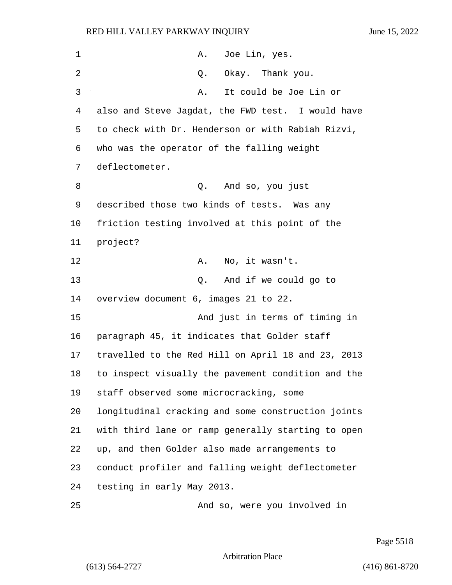1 A. Joe Lin, yes. 2 Q. Okay. Thank you. 3 A. It could be Joe Lin or also and Steve Jagdat, the FWD test. I would have to check with Dr. Henderson or with Rabiah Rizvi, who was the operator of the falling weight deflectometer. 8 Q. And so, you just described those two kinds of tests. Was any friction testing involved at this point of the 11 project? 12 A. No, it wasn't. 13 Q. And if we could go to overview document 6, images 21 to 22. 15 And just in terms of timing in paragraph 45, it indicates that Golder staff travelled to the Red Hill on April 18 and 23, 2013 to inspect visually the pavement condition and the staff observed some microcracking, some longitudinal cracking and some construction joints with third lane or ramp generally starting to open up, and then Golder also made arrangements to conduct profiler and falling weight deflectometer testing in early May 2013. 25 And so, were you involved in

Page 5518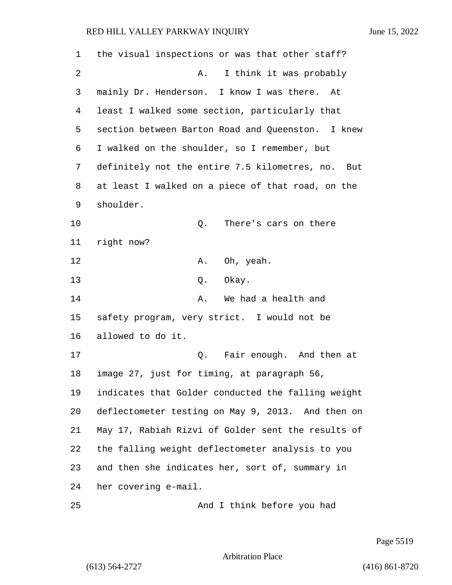| 1  | the visual inspections or was that other staff?      |
|----|------------------------------------------------------|
| 2  | I think it was probably<br>Α.                        |
| 3  | mainly Dr. Henderson. I know I was there.<br>At      |
| 4  | least I walked some section, particularly that       |
| 5  | section between Barton Road and Queenston. I knew    |
| 6  | I walked on the shoulder, so I remember, but         |
| 7  | definitely not the entire 7.5 kilometres, no.<br>But |
| 8  | at least I walked on a piece of that road, on the    |
| 9  | shoulder.                                            |
| 10 | There's cars on there<br>Q.                          |
| 11 | right now?                                           |
| 12 | Oh, yeah.<br>Α.                                      |
| 13 | Q. Okay.                                             |
| 14 | We had a health and<br>Α.                            |
| 15 | safety program, very strict. I would not be          |
| 16 | allowed to do it.                                    |
| 17 | Fair enough. And then at<br>Q.                       |
| 18 | image 27, just for timing, at paragraph 56,          |
| 19 | indicates that Golder conducted the falling weight   |
| 20 | deflectometer testing on May 9, 2013. And then on    |
| 21 | May 17, Rabiah Rizvi of Golder sent the results of   |
| 22 | the falling weight deflectometer analysis to you     |
| 23 | and then she indicates her, sort of, summary in      |
| 24 | her covering e-mail.                                 |
| 25 | And I think before you had                           |

Page 5519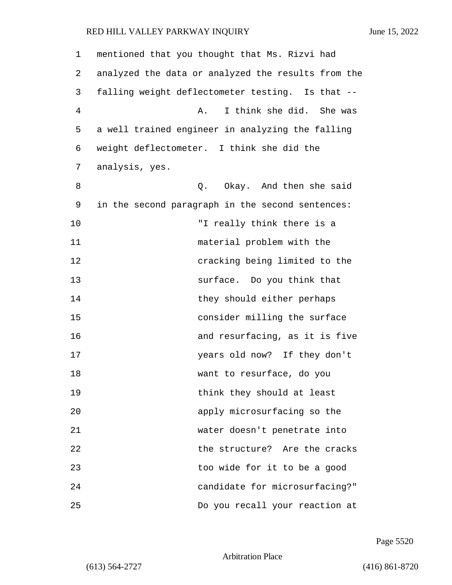| 1  | mentioned that you thought that Ms. Rizvi had      |
|----|----------------------------------------------------|
| 2  | analyzed the data or analyzed the results from the |
| 3  | falling weight deflectometer testing. Is that --   |
| 4  | I think she did. She was<br>Α.                     |
| 5  | a well trained engineer in analyzing the falling   |
| 6  | weight deflectometer. I think she did the          |
| 7  | analysis, yes.                                     |
| 8  | Okay. And then she said<br>Q.                      |
| 9  | in the second paragraph in the second sentences:   |
| 10 | "I really think there is a                         |
| 11 | material problem with the                          |
| 12 | cracking being limited to the                      |
| 13 | Do you think that<br>surface.                      |
| 14 | they should either perhaps                         |
| 15 | consider milling the surface                       |
| 16 | and resurfacing, as it is five                     |
| 17 | years old now? If they don't                       |
| 18 | want to resurface, do you                          |
| 19 | think they should at least                         |
| 20 | apply microsurfacing so the                        |
| 21 | water doesn't penetrate into                       |
| 22 | the structure? Are the cracks                      |
| 23 | too wide for it to be a good                       |
| 24 | candidate for microsurfacing?"                     |
| 25 | Do you recall your reaction at                     |

Page 5520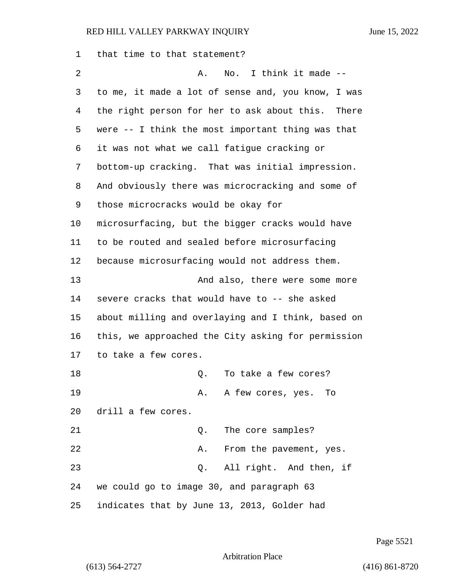that time to that statement? 2 A. No. I think it made -- to me, it made a lot of sense and, you know, I was the right person for her to ask about this. There were -- I think the most important thing was that it was not what we call fatigue cracking or bottom-up cracking. That was initial impression. And obviously there was microcracking and some of those microcracks would be okay for microsurfacing, but the bigger cracks would have to be routed and sealed before microsurfacing because microsurfacing would not address them. **And also, there were some more**  severe cracks that would have to -- she asked about milling and overlaying and I think, based on this, we approached the City asking for permission to take a few cores. 18 C. To take a few cores? 19 A. A few cores, yes. To drill a few cores. 21 Q. The core samples? 22 A. From the pavement, yes. 23 Q. All right. And then, if we could go to image 30, and paragraph 63 indicates that by June 13, 2013, Golder had

Page 5521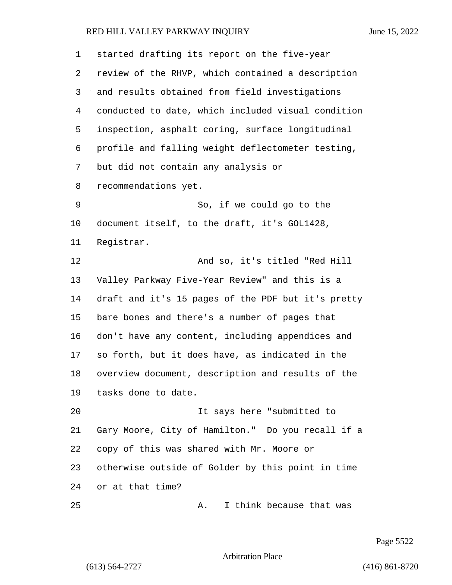| $\mathbf 1$ | started drafting its report on the five-year       |
|-------------|----------------------------------------------------|
| 2           | review of the RHVP, which contained a description  |
| 3           | and results obtained from field investigations     |
| 4           | conducted to date, which included visual condition |
| 5           | inspection, asphalt coring, surface longitudinal   |
| 6           | profile and falling weight deflectometer testing,  |
| 7           | but did not contain any analysis or                |
| 8           | recommendations yet.                               |
| 9           | So, if we could go to the                          |
| 10          | document itself, to the draft, it's GOL1428,       |
| 11          | Registrar.                                         |
| 12          | And so, it's titled "Red Hill                      |
| 13          | Valley Parkway Five-Year Review" and this is a     |
| 14          | draft and it's 15 pages of the PDF but it's pretty |
| 15          | bare bones and there's a number of pages that      |
| 16          | don't have any content, including appendices and   |
| 17          | so forth, but it does have, as indicated in the    |
| 18          | overview document, description and results of the  |
| 19          | tasks done to date.                                |
| 20          | It says here "submitted to                         |
| 21          | Gary Moore, City of Hamilton." Do you recall if a  |
| 22          | copy of this was shared with Mr. Moore or          |
| 23          | otherwise outside of Golder by this point in time  |
| 24          | or at that time?                                   |
| 25          | I think because that was<br>Α.                     |

Page 5522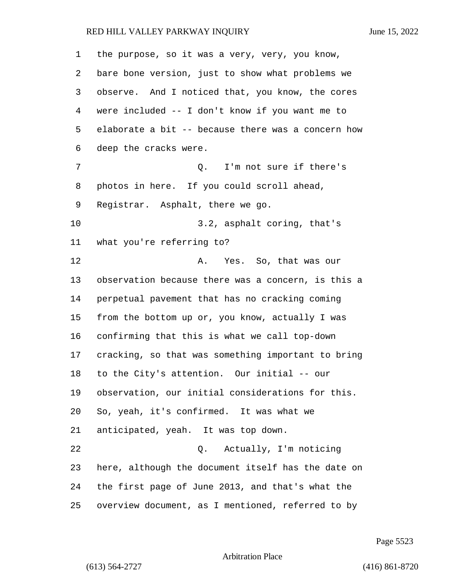| 1  | the purpose, so it was a very, very, you know,     |
|----|----------------------------------------------------|
| 2  | bare bone version, just to show what problems we   |
| 3  | observe. And I noticed that, you know, the cores   |
| 4  | were included -- I don't know if you want me to    |
| 5  | elaborate a bit -- because there was a concern how |
| 6  | deep the cracks were.                              |
| 7  | Q. I'm not sure if there's                         |
| 8  | photos in here. If you could scroll ahead,         |
| 9  | Registrar. Asphalt, there we go.                   |
| 10 | 3.2, asphalt coring, that's                        |
| 11 | what you're referring to?                          |
| 12 | Yes. So, that was our<br>Α.                        |
| 13 | observation because there was a concern, is this a |
| 14 | perpetual pavement that has no cracking coming     |
| 15 | from the bottom up or, you know, actually I was    |
| 16 | confirming that this is what we call top-down      |
| 17 | cracking, so that was something important to bring |
| 18 | to the City's attention. Our initial -- our        |
| 19 | observation, our initial considerations for this.  |
| 20 | So, yeah, it's confirmed. It was what we           |
| 21 | anticipated, yeah. It was top down.                |
| 22 | Actually, I'm noticing<br>Q.                       |
| 23 | here, although the document itself has the date on |
| 24 | the first page of June 2013, and that's what the   |
| 25 | overview document, as I mentioned, referred to by  |

Page 5523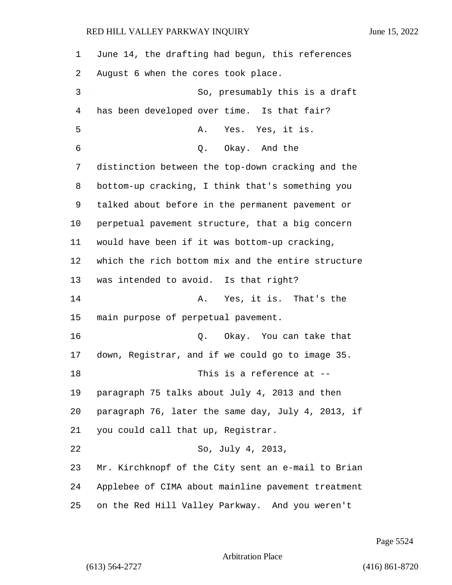June 14, the drafting had begun, this references August 6 when the cores took place. 3 So, presumably this is a draft has been developed over time. Is that fair? 5 A. Yes. Yes, it is. 6 Q. Okay. And the distinction between the top-down cracking and the bottom-up cracking, I think that's something you talked about before in the permanent pavement or perpetual pavement structure, that a big concern would have been if it was bottom-up cracking, which the rich bottom mix and the entire structure was intended to avoid. Is that right? 14 A. Yes, it is. That's the main purpose of perpetual pavement. 16 Q. Okay. You can take that down, Registrar, and if we could go to image 35. 18 This is a reference at -- paragraph 75 talks about July 4, 2013 and then paragraph 76, later the same day, July 4, 2013, if you could call that up, Registrar. 22 So, July 4, 2013, Mr. Kirchknopf of the City sent an e-mail to Brian Applebee of CIMA about mainline pavement treatment on the Red Hill Valley Parkway. And you weren't

Page 5524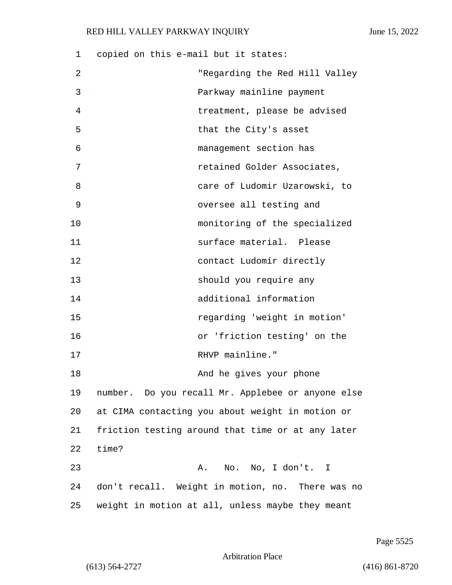1 copied on this e-mail but it states: 2 "Regarding the Red Hill Valley 3 Parkway mainline payment 4 treatment, please be advised 5 that the City's asset 6 management section has 7 retained Golder Associates, 8 care of Ludomir Uzarowski, to 9 oversee all testing and 10 monitoring of the specialized 11 surface material. Please 12 contact Ludomir directly 13 should you require any 14 additional information 15 regarding 'weight in motion' 16 or 'friction testing' on the 17 RHVP mainline." 18 And he gives your phone 19 number. Do you recall Mr. Applebee or anyone else 20 at CIMA contacting you about weight in motion or 21 friction testing around that time or at any later 22 time? 23 A. No. No, I don't. I 24 don't recall. Weight in motion, no. There was no 25 weight in motion at all, unless maybe they meant

Page 5525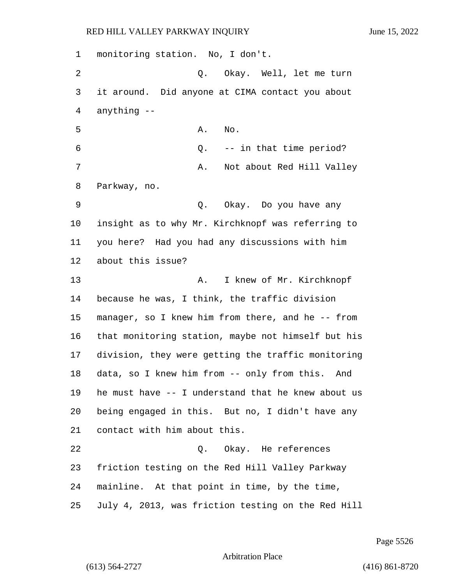monitoring station. No, I don't. 2 Q. Okay. Well, let me turn it around. Did anyone at CIMA contact you about anything -- A. No. 6 Q. -- in that time period? 7 A. Not about Red Hill Valley Parkway, no. 9 Q. Okay. Do you have any insight as to why Mr. Kirchknopf was referring to you here? Had you had any discussions with him about this issue? 13 A. I knew of Mr. Kirchknopf because he was, I think, the traffic division manager, so I knew him from there, and he -- from that monitoring station, maybe not himself but his division, they were getting the traffic monitoring data, so I knew him from -- only from this. And he must have -- I understand that he knew about us being engaged in this. But no, I didn't have any contact with him about this. 22 Q. Okay. He references friction testing on the Red Hill Valley Parkway mainline. At that point in time, by the time, July 4, 2013, was friction testing on the Red Hill

Page 5526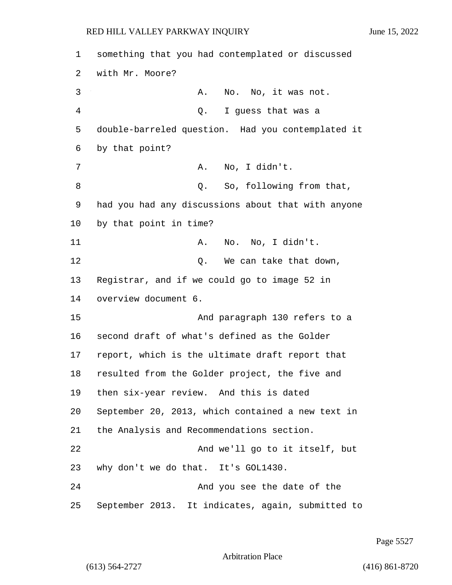| 1              | something that you had contemplated or discussed   |
|----------------|----------------------------------------------------|
| 2              | with Mr. Moore?                                    |
| 3              | No. No, it was not.<br>Α.                          |
| $\overline{4}$ | I guess that was a<br>Q.                           |
| 5              | double-barreled question. Had you contemplated it  |
| 6              | by that point?                                     |
| 7              | No, I didn't.<br>Α.                                |
| 8              | So, following from that,<br>Q.                     |
| 9              | had you had any discussions about that with anyone |
| 10             | by that point in time?                             |
| 11             | No. No, I didn't.<br>Α.                            |
| 12             | We can take that down,<br>Q.                       |
| 13             | Registrar, and if we could go to image 52 in       |
| 14             | overview document 6.                               |
| 15             | And paragraph 130 refers to a                      |
| 16             | second draft of what's defined as the Golder       |
| 17             | report, which is the ultimate draft report that    |
| 18             | resulted from the Golder project, the five and     |
| 19             | then six-year review. And this is dated            |
| 20             | September 20, 2013, which contained a new text in  |
| 21             | the Analysis and Recommendations section.          |
| 22             | And we'll go to it itself, but                     |
| 23             | why don't we do that. It's GOL1430.                |
| 24             | And you see the date of the                        |
| 25             | September 2013. It indicates, again, submitted to  |

Page 5527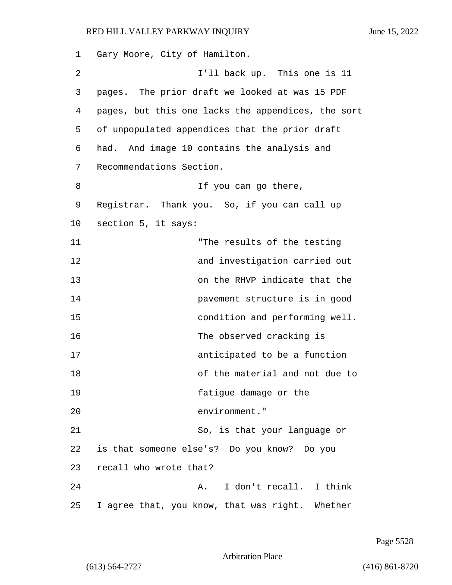1 Gary Moore, City of Hamilton. 2 I'll back up. This one is 11 3 pages. The prior draft we looked at was 15 PDF 4 pages, but this one lacks the appendices, the sort 5 of unpopulated appendices that the prior draft 6 had. And image 10 contains the analysis and 7 Recommendations Section. 8 If you can go there, 9 Registrar. Thank you. So, if you can call up 10 section 5, it says: 11 The results of the testing 12 and investigation carried out 13 on the RHVP indicate that the 14 pavement structure is in good 15 condition and performing well. 16 The observed cracking is 17 anticipated to be a function 18 of the material and not due to 19 fatigue damage or the 20 environment." 21 So, is that your language or 22 is that someone else's? Do you know? Do you 23 recall who wrote that? 24 A. I don't recall. I think 25 I agree that, you know, that was right. Whether

Page 5528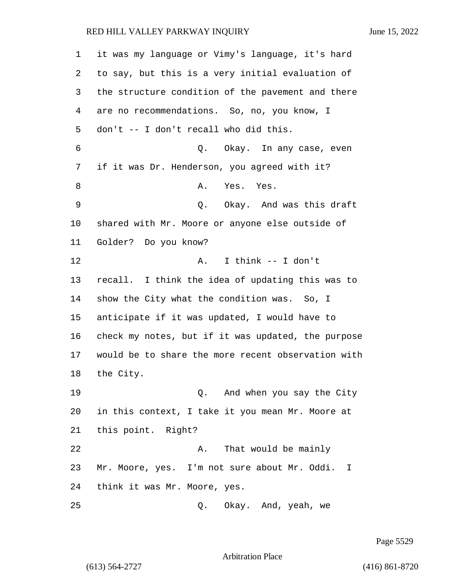it was my language or Vimy's language, it's hard to say, but this is a very initial evaluation of the structure condition of the pavement and there are no recommendations. So, no, you know, I don't -- I don't recall who did this. 6 Q. Okay. In any case, even if it was Dr. Henderson, you agreed with it? 8 A. Yes. Yes. 9 Q. Okay. And was this draft shared with Mr. Moore or anyone else outside of Golder? Do you know? 12 A. I think -- I don't recall. I think the idea of updating this was to show the City what the condition was. So, I anticipate if it was updated, I would have to check my notes, but if it was updated, the purpose would be to share the more recent observation with the City. 19 Q. And when you say the City in this context, I take it you mean Mr. Moore at this point. Right? 22 A. That would be mainly Mr. Moore, yes. I'm not sure about Mr. Oddi. I think it was Mr. Moore, yes. 25 Q. Okay. And, yeah, we

Page 5529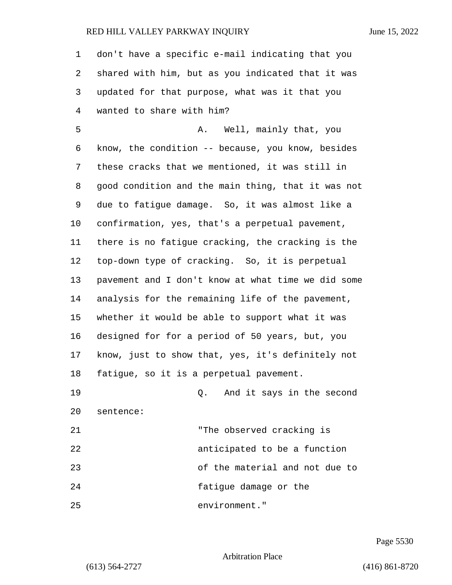| 1  | don't have a specific e-mail indicating that you   |
|----|----------------------------------------------------|
| 2  | shared with him, but as you indicated that it was  |
| 3  | updated for that purpose, what was it that you     |
| 4  | wanted to share with him?                          |
| 5  | A. Well, mainly that, you                          |
| 6  | know, the condition -- because, you know, besides  |
| 7  | these cracks that we mentioned, it was still in    |
| 8  | good condition and the main thing, that it was not |
| 9  | due to fatigue damage. So, it was almost like a    |
| 10 | confirmation, yes, that's a perpetual pavement,    |
| 11 | there is no fatigue cracking, the cracking is the  |
| 12 | top-down type of cracking. So, it is perpetual     |
| 13 | pavement and I don't know at what time we did some |
| 14 | analysis for the remaining life of the pavement,   |
| 15 | whether it would be able to support what it was    |
| 16 | designed for for a period of 50 years, but, you    |
| 17 | know, just to show that, yes, it's definitely not  |
| 18 | fatigue, so it is a perpetual pavement.            |
| 19 | Q. And it says in the second                       |
| 20 | sentence:                                          |
| 21 | "The observed cracking is                          |
| 22 | anticipated to be a function                       |
| 23 | of the material and not due to                     |
| 24 | fatigue damage or the                              |
| 25 | environment."                                      |

Page 5530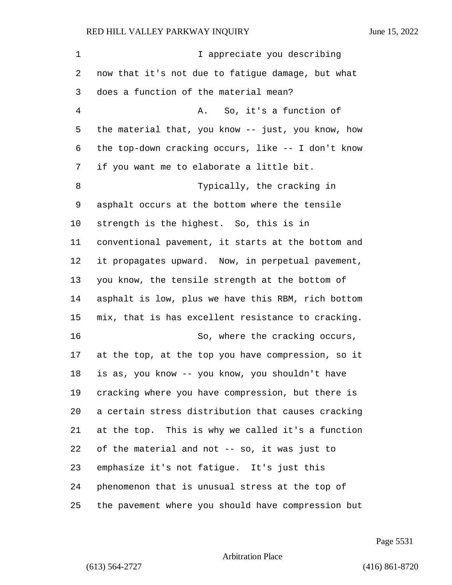| 1              | I appreciate you describing                        |
|----------------|----------------------------------------------------|
| 2              | now that it's not due to fatigue damage, but what  |
| 3              | does a function of the material mean?              |
| $\overline{4}$ | So, it's a function of<br>A.                       |
| 5              | the material that, you know -- just, you know, how |
| 6              | the top-down cracking occurs, like -- I don't know |
| 7              | if you want me to elaborate a little bit.          |
| 8              | Typically, the cracking in                         |
| 9              | asphalt occurs at the bottom where the tensile     |
| 10             | strength is the highest. So, this is in            |
| 11             | conventional pavement, it starts at the bottom and |
| 12             | it propagates upward. Now, in perpetual pavement,  |
| 13             | you know, the tensile strength at the bottom of    |
| 14             | asphalt is low, plus we have this RBM, rich bottom |
| 15             | mix, that is has excellent resistance to cracking. |
| 16             | So, where the cracking occurs,                     |
| 17             | at the top, at the top you have compression, so it |
| 18             | is as, you know -- you know, you shouldn't have    |
| 19             | cracking where you have compression, but there is  |
| 20             | a certain stress distribution that causes cracking |
| 21             | at the top. This is why we called it's a function  |
| 22             | of the material and not -- so, it was just to      |
| 23             | emphasize it's not fatigue. It's just this         |
| 24             | phenomenon that is unusual stress at the top of    |
| 25             | the pavement where you should have compression but |

Page 5531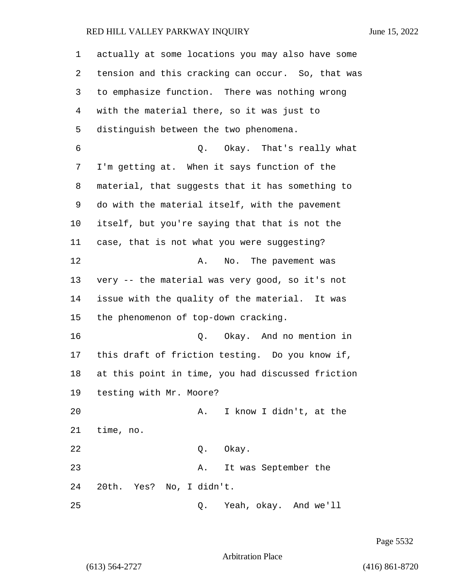| 1  | actually at some locations you may also have some |
|----|---------------------------------------------------|
| 2  | tension and this cracking can occur. So, that was |
| 3  | to emphasize function. There was nothing wrong    |
| 4  | with the material there, so it was just to        |
| 5  | distinguish between the two phenomena.            |
| 6  | Okay. That's really what<br>Q.                    |
| 7  | I'm getting at. When it says function of the      |
| 8  | material, that suggests that it has something to  |
| 9  | do with the material itself, with the pavement    |
| 10 | itself, but you're saying that that is not the    |
| 11 | case, that is not what you were suggesting?       |
| 12 | No. The pavement was<br>Α.                        |
| 13 | very -- the material was very good, so it's not   |
| 14 | issue with the quality of the material. It was    |
| 15 | the phenomenon of top-down cracking.              |
| 16 | Okay. And no mention in<br>Q.                     |
| 17 | this draft of friction testing. Do you know if,   |
| 18 | at this point in time, you had discussed friction |
| 19 | testing with Mr. Moore?                           |
| 20 | I know I didn't, at the<br>Α.                     |
| 21 | time, no.                                         |
| 22 | Okay.<br>Q.                                       |
| 23 | It was September the<br>Α.                        |
| 24 | 20th.<br>Yes? No, I didn't.                       |
| 25 | Yeah, okay. And we'll<br>Q.                       |

Page 5532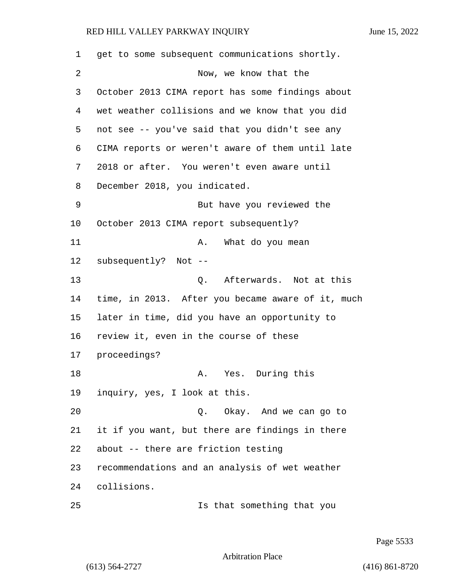get to some subsequent communications shortly. 2 Now, we know that the October 2013 CIMA report has some findings about wet weather collisions and we know that you did not see -- you've said that you didn't see any CIMA reports or weren't aware of them until late 2018 or after. You weren't even aware until December 2018, you indicated. 9 But have you reviewed the October 2013 CIMA report subsequently? 11 A. What do you mean subsequently? Not -- 13 C. Afterwards. Not at this time, in 2013. After you became aware of it, much later in time, did you have an opportunity to review it, even in the course of these proceedings? 18 A. Yes. During this inquiry, yes, I look at this. 20 Q. Okay. And we can go to it if you want, but there are findings in there about -- there are friction testing recommendations and an analysis of wet weather collisions. 25 Is that something that you

Page 5533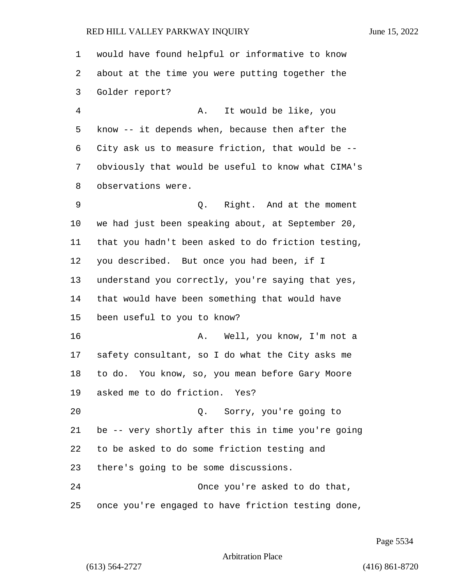would have found helpful or informative to know about at the time you were putting together the Golder report? 4 A. It would be like, you know -- it depends when, because then after the City ask us to measure friction, that would be -- obviously that would be useful to know what CIMA's observations were. 9 Q. Right. And at the moment we had just been speaking about, at September 20, that you hadn't been asked to do friction testing, you described. But once you had been, if I understand you correctly, you're saying that yes, that would have been something that would have been useful to you to know? 16 A. Well, you know, I'm not a safety consultant, so I do what the City asks me to do. You know, so, you mean before Gary Moore asked me to do friction. Yes? 20 Q. Sorry, you're going to be -- very shortly after this in time you're going to be asked to do some friction testing and there's going to be some discussions. 24 Once you're asked to do that, once you're engaged to have friction testing done,

Page 5534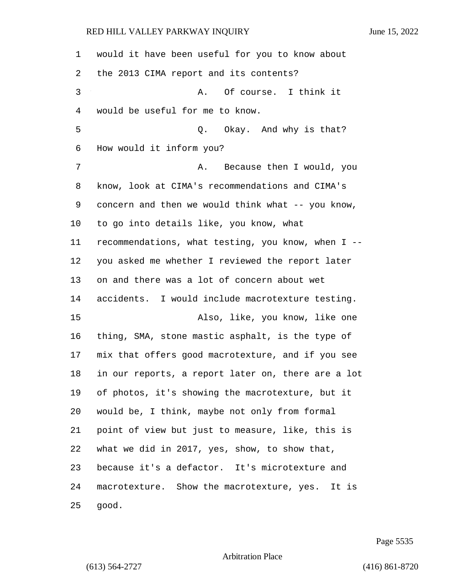| 1  | would it have been useful for you to know about    |
|----|----------------------------------------------------|
| 2  | the 2013 CIMA report and its contents?             |
| 3  | Of course. I think it<br>Α.                        |
| 4  | would be useful for me to know.                    |
| 5  | Q. Okay. And why is that?                          |
| 6  | How would it inform you?                           |
| 7  | Because then I would, you<br>Α.                    |
| 8  | know, look at CIMA's recommendations and CIMA's    |
| 9  | concern and then we would think what -- you know,  |
| 10 | to go into details like, you know, what            |
| 11 | recommendations, what testing, you know, when I -- |
| 12 | you asked me whether I reviewed the report later   |
| 13 | on and there was a lot of concern about wet        |
| 14 | accidents. I would include macrotexture testing.   |
| 15 | Also, like, you know, like one                     |
| 16 | thing, SMA, stone mastic asphalt, is the type of   |
| 17 | mix that offers good macrotexture, and if you see  |
| 18 | in our reports, a report later on, there are a lot |
| 19 | of photos, it's showing the macrotexture, but it   |
| 20 | would be, I think, maybe not only from formal      |
| 21 | point of view but just to measure, like, this is   |
| 22 | what we did in 2017, yes, show, to show that,      |
| 23 | because it's a defactor. It's microtexture and     |
| 24 | macrotexture. Show the macrotexture, yes. It is    |
| 25 | good.                                              |

Page 5535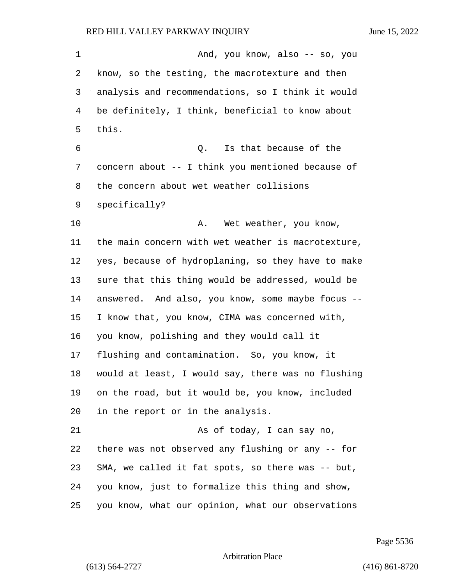1 And, you know, also -- so, you know, so the testing, the macrotexture and then analysis and recommendations, so I think it would be definitely, I think, beneficial to know about this. 6 Q. Is that because of the concern about -- I think you mentioned because of the concern about wet weather collisions specifically? 10 A. Wet weather, you know, the main concern with wet weather is macrotexture, yes, because of hydroplaning, so they have to make sure that this thing would be addressed, would be answered. And also, you know, some maybe focus -- I know that, you know, CIMA was concerned with, you know, polishing and they would call it flushing and contamination. So, you know, it would at least, I would say, there was no flushing on the road, but it would be, you know, included in the report or in the analysis. 21 As of today, I can say no, there was not observed any flushing or any -- for SMA, we called it fat spots, so there was -- but, you know, just to formalize this thing and show, you know, what our opinion, what our observations

Page 5536

Arbitration Place

(613) 564-2727 (416) 861-8720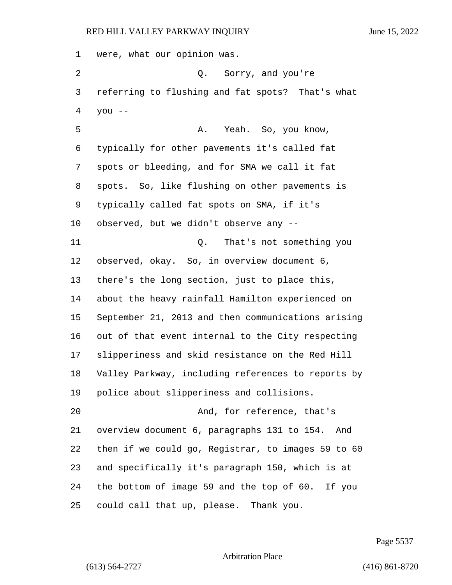were, what our opinion was. 2 Q. Sorry, and you're referring to flushing and fat spots? That's what you  $-$ 5 A. Yeah. So, you know, typically for other pavements it's called fat spots or bleeding, and for SMA we call it fat spots. So, like flushing on other pavements is typically called fat spots on SMA, if it's observed, but we didn't observe any -- 11 Q. That's not something you observed, okay. So, in overview document 6, there's the long section, just to place this, about the heavy rainfall Hamilton experienced on September 21, 2013 and then communications arising out of that event internal to the City respecting slipperiness and skid resistance on the Red Hill Valley Parkway, including references to reports by police about slipperiness and collisions. 20 And, for reference, that's overview document 6, paragraphs 131 to 154. And then if we could go, Registrar, to images 59 to 60 and specifically it's paragraph 150, which is at the bottom of image 59 and the top of 60. If you could call that up, please. Thank you.

Page 5537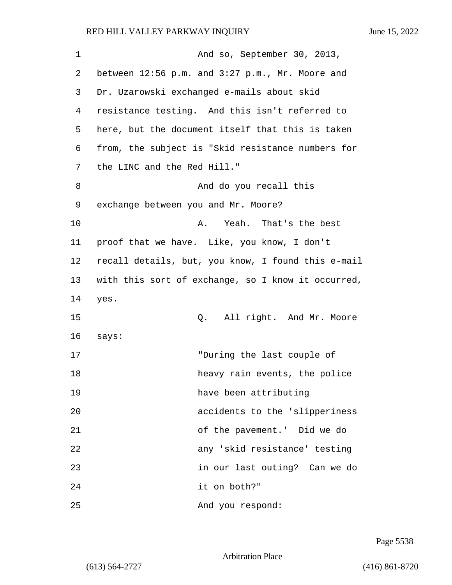| $\mathbf 1$ | And so, September 30, 2013,                        |
|-------------|----------------------------------------------------|
| 2           | between 12:56 p.m. and 3:27 p.m., Mr. Moore and    |
| 3           | Dr. Uzarowski exchanged e-mails about skid         |
| 4           | resistance testing. And this isn't referred to     |
| 5           | here, but the document itself that this is taken   |
| 6           | from, the subject is "Skid resistance numbers for  |
| 7           | the LINC and the Red Hill."                        |
| 8           | And do you recall this                             |
| 9           | exchange between you and Mr. Moore?                |
| 10          | Yeah. That's the best<br>Α.                        |
| 11          | proof that we have. Like, you know, I don't        |
| 12          | recall details, but, you know, I found this e-mail |
| 13          | with this sort of exchange, so I know it occurred, |
| 14          | yes.                                               |
| 15          | All right. And Mr. Moore<br>Q.                     |
| 16          | says:                                              |
| 17          | "During the last couple of                         |
| 18          | heavy rain events, the police                      |
| 19          | have been attributing                              |
| 20          | accidents to the 'slipperiness                     |
| 21          | of the pavement.' Did we do                        |
| 22          | any 'skid resistance' testing                      |
| 23          | in our last outing? Can we do                      |
| 24          | it on both?"                                       |
| 25          | And you respond:                                   |

Page 5538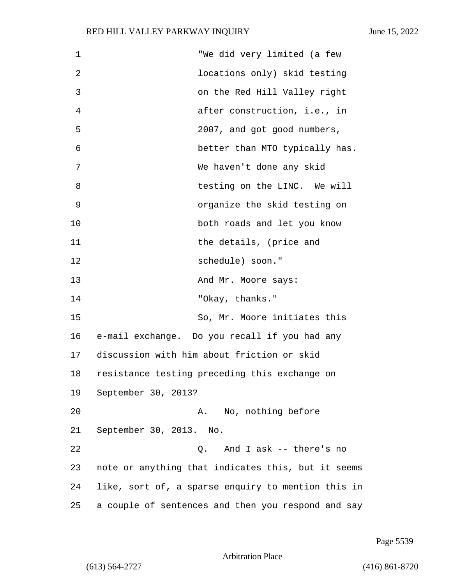| $\mathbf 1$ | "We did very limited (a few                        |
|-------------|----------------------------------------------------|
| 2           | locations only) skid testing                       |
| 3           | on the Red Hill Valley right                       |
| 4           | after construction, i.e., in                       |
| 5           | 2007, and got good numbers,                        |
| 6           | better than MTO typically has.                     |
| 7           | We haven't done any skid                           |
| 8           | testing on the LINC. We will                       |
| 9           | organize the skid testing on                       |
| 10          | both roads and let you know                        |
| 11          | the details, (price and                            |
| 12          | schedule) soon."                                   |
| 13          | And Mr. Moore says:                                |
| 14          | "Okay, thanks."                                    |
| 15          | So, Mr. Moore initiates this                       |
| 16          | e-mail exchange. Do you recall if you had any      |
| 17          | discussion with him about friction or skid         |
| 18          | resistance testing preceding this exchange on      |
| 19          | September 30, 2013?                                |
| 20          | A. No, nothing before                              |
| 21          | September 30, 2013. No.                            |
| 22          | Q. And I ask -- there's no                         |
| 23          | note or anything that indicates this, but it seems |
| 24          | like, sort of, a sparse enquiry to mention this in |
| 25          | a couple of sentences and then you respond and say |

Page 5539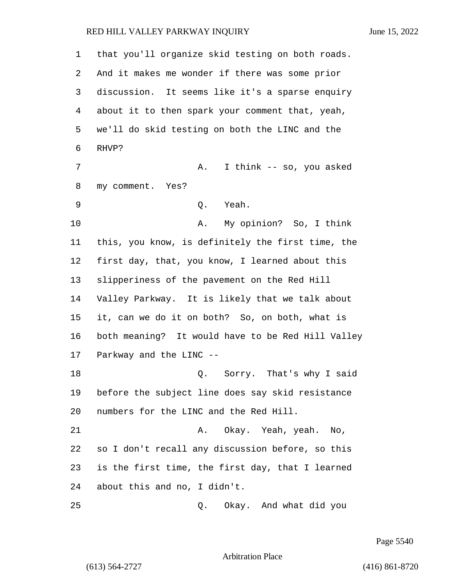| 1  | that you'll organize skid testing on both roads.  |
|----|---------------------------------------------------|
| 2  | And it makes me wonder if there was some prior    |
| 3  | discussion. It seems like it's a sparse enquiry   |
| 4  | about it to then spark your comment that, yeah,   |
| 5  | we'll do skid testing on both the LINC and the    |
| 6  | RHVP?                                             |
| 7  | I think -- so, you asked<br>Α.                    |
| 8  | my comment. Yes?                                  |
| 9  | Q. Yeah.                                          |
| 10 | My opinion? So, I think<br>Α.                     |
| 11 | this, you know, is definitely the first time, the |
| 12 | first day, that, you know, I learned about this   |
| 13 | slipperiness of the pavement on the Red Hill      |
| 14 | Valley Parkway. It is likely that we talk about   |
| 15 | it, can we do it on both? So, on both, what is    |
| 16 | both meaning? It would have to be Red Hill Valley |
| 17 | Parkway and the LINC --                           |
| 18 | Q. Sorry. That's why I said                       |
| 19 | before the subject line does say skid resistance  |
| 20 | numbers for the LINC and the Red Hill.            |
| 21 | Okay. Yeah, yeah. No,<br>Α.                       |
| 22 | so I don't recall any discussion before, so this  |
| 23 | is the first time, the first day, that I learned  |
| 24 | about this and no, I didn't.                      |
| 25 | Okay. And what did you<br>Q.                      |

Page 5540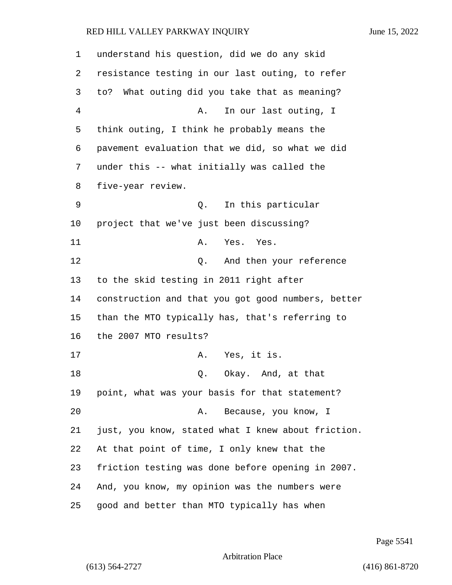| 1       | understand his question, did we do any skid        |
|---------|----------------------------------------------------|
| 2       | resistance testing in our last outing, to refer    |
| 3       | What outing did you take that as meaning?<br>to?   |
| 4       | In our last outing, I<br>Α.                        |
| 5       | think outing, I think he probably means the        |
| 6       | pavement evaluation that we did, so what we did    |
| 7       | under this -- what initially was called the        |
| 8       | five-year review.                                  |
| 9       | In this particular<br>Q.                           |
| $10 \,$ | project that we've just been discussing?           |
| 11      | A. Yes. Yes.                                       |
| 12      | And then your reference<br>Q.                      |
| 13      | to the skid testing in 2011 right after            |
| 14      | construction and that you got good numbers, better |
| 15      | than the MTO typically has, that's referring to    |
| 16      | the 2007 MTO results?                              |
| 17      | Yes, it is.<br>Α.                                  |
| 18      | Okay. And, at that<br>Q.                           |
| 19      | point, what was your basis for that statement?     |
| 20      | Because, you know, I<br>Α.                         |
| 21      | just, you know, stated what I knew about friction. |
| 22      | At that point of time, I only knew that the        |
| 23      | friction testing was done before opening in 2007.  |
| 24      | And, you know, my opinion was the numbers were     |
| 25      | good and better than MTO typically has when        |

Page 5541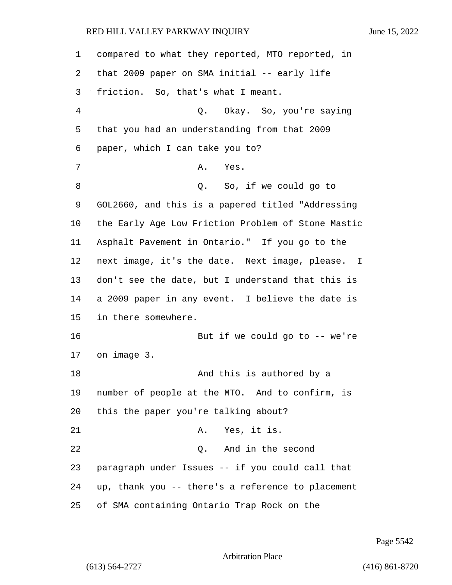compared to what they reported, MTO reported, in that 2009 paper on SMA initial -- early life friction. So, that's what I meant. 4 Q. Okay. So, you're saying that you had an understanding from that 2009 paper, which I can take you to? 7 A. Yes. 8 a Q. So, if we could go to GOL2660, and this is a papered titled "Addressing the Early Age Low Friction Problem of Stone Mastic Asphalt Pavement in Ontario." If you go to the next image, it's the date. Next image, please. I don't see the date, but I understand that this is a 2009 paper in any event. I believe the date is in there somewhere. 16 But if we could go to -- we're on image 3. 18 And this is authored by a number of people at the MTO. And to confirm, is this the paper you're talking about? 21 A. Yes, it is. 22 Q. And in the second paragraph under Issues -- if you could call that up, thank you -- there's a reference to placement of SMA containing Ontario Trap Rock on the

Page 5542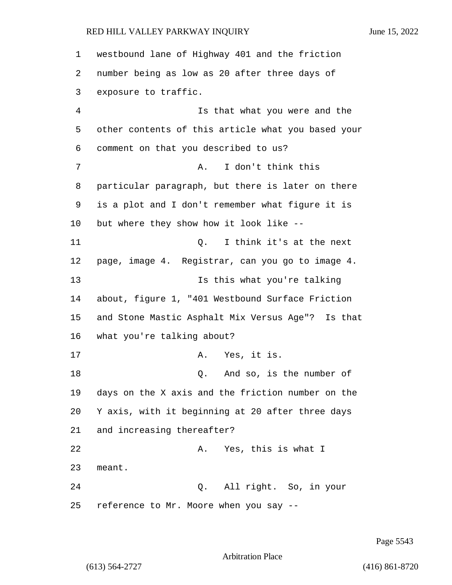westbound lane of Highway 401 and the friction number being as low as 20 after three days of exposure to traffic. 4 Is that what you were and the other contents of this article what you based your comment on that you described to us? 7 A. I don't think this particular paragraph, but there is later on there is a plot and I don't remember what figure it is but where they show how it look like -- 11 Q. I think it's at the next page, image 4. Registrar, can you go to image 4. 13 Is this what you're talking about, figure 1, "401 Westbound Surface Friction and Stone Mastic Asphalt Mix Versus Age"? Is that what you're talking about? 17 A. Yes, it is. 18 Q. And so, is the number of days on the X axis and the friction number on the Y axis, with it beginning at 20 after three days and increasing thereafter? 22 A. Yes, this is what I 23 meant. 24 Q. All right. So, in your reference to Mr. Moore when you say --

Page 5543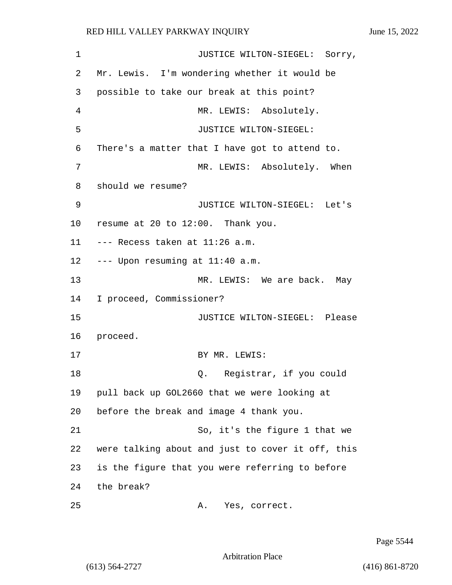| 1  | JUSTICE WILTON-SIEGEL: Sorry,                     |
|----|---------------------------------------------------|
| 2  | Mr. Lewis. I'm wondering whether it would be      |
| 3  | possible to take our break at this point?         |
| 4  | MR. LEWIS: Absolutely.                            |
| 5  | JUSTICE WILTON-SIEGEL:                            |
| 6  | There's a matter that I have got to attend to.    |
| 7  | MR. LEWIS: Absolutely. When                       |
| 8  | should we resume?                                 |
| 9  | JUSTICE WILTON-SIEGEL: Let's                      |
| 10 | resume at 20 to 12:00. Thank you.                 |
| 11 | --- Recess taken at 11:26 a.m.                    |
| 12 | --- Upon resuming at 11:40 a.m.                   |
| 13 | MR. LEWIS: We are back. May                       |
| 14 | I proceed, Commissioner?                          |
| 15 | JUSTICE WILTON-SIEGEL: Please                     |
| 16 | proceed.                                          |
| 17 | BY MR. LEWIS:                                     |
| 18 | Q. Registrar, if you could                        |
| 19 | pull back up GOL2660 that we were looking at      |
| 20 | before the break and image 4 thank you.           |
| 21 | So, it's the figure 1 that we                     |
| 22 | were talking about and just to cover it off, this |
| 23 | is the figure that you were referring to before   |
| 24 | the break?                                        |
| 25 | Yes, correct.<br>Α.                               |

Page 5544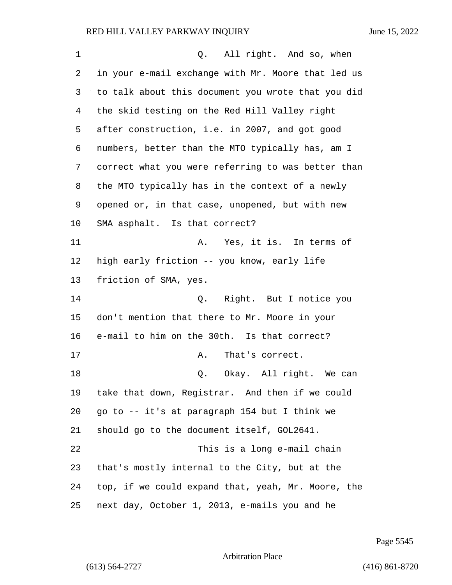| $\mathbf 1$ | Q. All right. And so, when                         |
|-------------|----------------------------------------------------|
| 2           | in your e-mail exchange with Mr. Moore that led us |
| 3           | to talk about this document you wrote that you did |
| 4           | the skid testing on the Red Hill Valley right      |
| 5           | after construction, i.e. in 2007, and got good     |
| 6           | numbers, better than the MTO typically has, am I   |
| 7           | correct what you were referring to was better than |
| 8           | the MTO typically has in the context of a newly    |
| 9           | opened or, in that case, unopened, but with new    |
| 10          | SMA asphalt. Is that correct?                      |
| 11          | A. Yes, it is. In terms of                         |
| 12          | high early friction -- you know, early life        |
| 13          | friction of SMA, yes.                              |
| 14          | Q. Right. But I notice you                         |
| 15          | don't mention that there to Mr. Moore in your      |
| 16          | e-mail to him on the 30th. Is that correct?        |
| 17          | That's correct.<br>Α.                              |
| 18          | Q. Okay. All right. We can                         |
| 19          | take that down, Registrar. And then if we could    |
| 20          | go to -- it's at paragraph 154 but I think we      |
| 21          | should go to the document itself, GOL2641.         |
| 22          | This is a long e-mail chain                        |
| 23          | that's mostly internal to the City, but at the     |
| 24          | top, if we could expand that, yeah, Mr. Moore, the |
| 25          | next day, October 1, 2013, e-mails you and he      |

Page 5545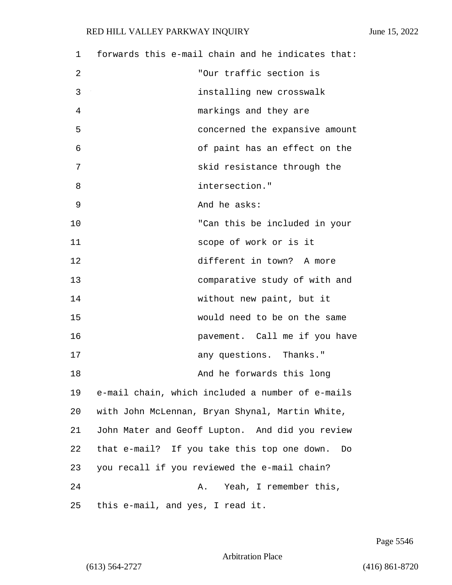| 1  | forwards this e-mail chain and he indicates that: |
|----|---------------------------------------------------|
| 2  | "Our traffic section is                           |
| 3  | installing new crosswalk                          |
| 4  | markings and they are                             |
| 5  | concerned the expansive amount                    |
| 6  | of paint has an effect on the                     |
| 7  | skid resistance through the                       |
| 8  | intersection."                                    |
| 9  | And he asks:                                      |
| 10 | "Can this be included in your                     |
| 11 | scope of work or is it                            |
| 12 | different in town? A more                         |
| 13 | comparative study of with and                     |
| 14 | without new paint, but it                         |
| 15 | would need to be on the same                      |
| 16 | pavement. Call me if you have                     |
| 17 | any questions. Thanks."                           |
| 18 | And he forwards this long                         |
| 19 | e-mail chain, which included a number of e-mails  |
| 20 | with John McLennan, Bryan Shynal, Martin White,   |
| 21 | John Mater and Geoff Lupton. And did you review   |
| 22 | that e-mail? If you take this top one down.<br>Do |
| 23 | you recall if you reviewed the e-mail chain?      |
| 24 | Yeah, I remember this,<br>Α.                      |
| 25 | this e-mail, and yes, I read it.                  |

Page 5546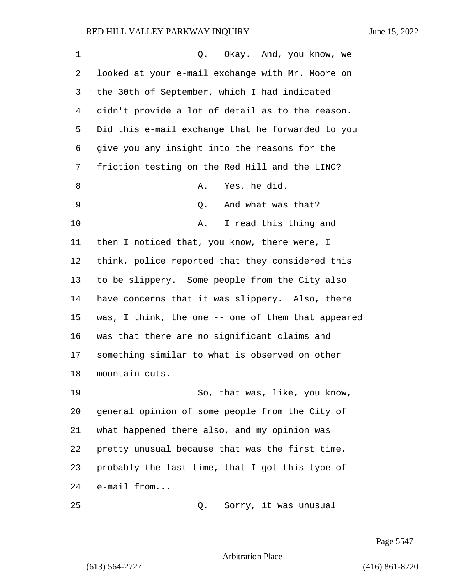| 1  | Q. Okay. And, you know, we                         |
|----|----------------------------------------------------|
| 2  | looked at your e-mail exchange with Mr. Moore on   |
| 3  | the 30th of September, which I had indicated       |
| 4  | didn't provide a lot of detail as to the reason.   |
| 5  | Did this e-mail exchange that he forwarded to you  |
| 6  | give you any insight into the reasons for the      |
| 7  | friction testing on the Red Hill and the LINC?     |
| 8  | Yes, he did.<br>Α.                                 |
| 9  | And what was that?<br>Q.                           |
| 10 | I read this thing and<br>Α.                        |
| 11 | then I noticed that, you know, there were, I       |
| 12 | think, police reported that they considered this   |
| 13 | to be slippery. Some people from the City also     |
| 14 | have concerns that it was slippery. Also, there    |
| 15 | was, I think, the one -- one of them that appeared |
| 16 | was that there are no significant claims and       |
| 17 | something similar to what is observed on other     |
| 18 | mountain cuts.                                     |
| 19 | So, that was, like, you know,                      |
| 20 | general opinion of some people from the City of    |
| 21 | what happened there also, and my opinion was       |
| 22 | pretty unusual because that was the first time,    |
| 23 | probably the last time, that I got this type of    |
| 24 | e-mail from                                        |
| 25 | Sorry, it was unusual<br>Q.                        |

Page 5547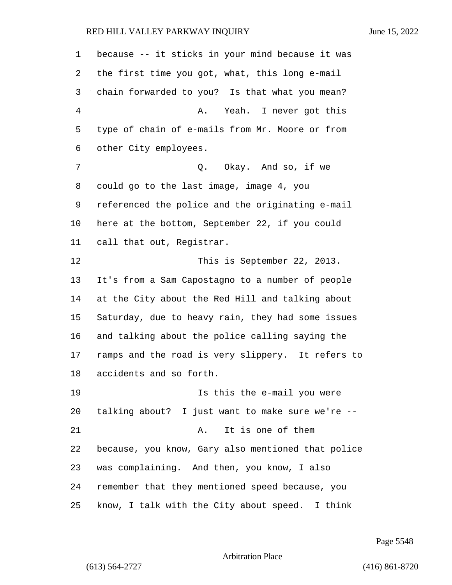because -- it sticks in your mind because it was the first time you got, what, this long e-mail chain forwarded to you? Is that what you mean? 4 A. Yeah. I never got this type of chain of e-mails from Mr. Moore or from other City employees. 7 C. Okay. And so, if we could go to the last image, image 4, you referenced the police and the originating e-mail here at the bottom, September 22, if you could call that out, Registrar. 12 This is September 22, 2013. It's from a Sam Capostagno to a number of people at the City about the Red Hill and talking about Saturday, due to heavy rain, they had some issues and talking about the police calling saying the ramps and the road is very slippery. It refers to accidents and so forth. 19 Is this the e-mail you were talking about? I just want to make sure we're -- 21 A. It is one of them because, you know, Gary also mentioned that police was complaining. And then, you know, I also remember that they mentioned speed because, you know, I talk with the City about speed. I think

Page 5548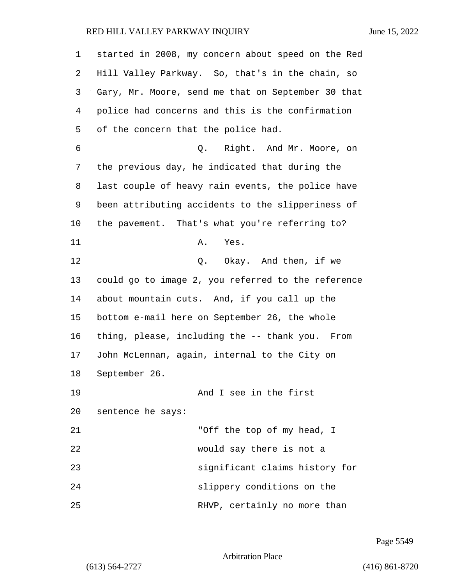| 1  | started in 2008, my concern about speed on the Red |
|----|----------------------------------------------------|
| 2  | Hill Valley Parkway. So, that's in the chain, so   |
| 3  | Gary, Mr. Moore, send me that on September 30 that |
| 4  | police had concerns and this is the confirmation   |
| 5  | of the concern that the police had.                |
| 6  | Q. Right. And Mr. Moore, on                        |
| 7  | the previous day, he indicated that during the     |
| 8  | last couple of heavy rain events, the police have  |
| 9  | been attributing accidents to the slipperiness of  |
| 10 | the pavement. That's what you're referring to?     |
| 11 | Α.<br>Yes.                                         |
| 12 | Q. Okay. And then, if we                           |
| 13 | could go to image 2, you referred to the reference |
| 14 | about mountain cuts. And, if you call up the       |
| 15 | bottom e-mail here on September 26, the whole      |
| 16 | thing, please, including the -- thank you. From    |
| 17 | John McLennan, again, internal to the City on      |
| 18 | September 26.                                      |
| 19 | And I see in the first                             |
| 20 | sentence he says:                                  |
| 21 | "Off the top of my head, I                         |
| 22 | would say there is not a                           |
| 23 | significant claims history for                     |
| 24 | slippery conditions on the                         |
| 25 | RHVP, certainly no more than                       |

Page 5549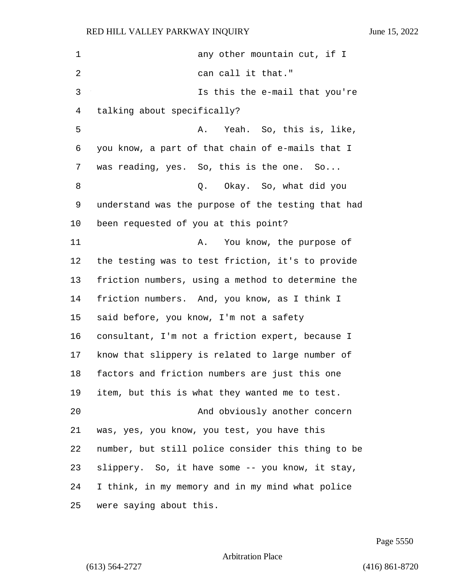1 any other mountain cut, if I 2 can call it that." 3 Is this the e-mail that you're talking about specifically? 5 A. Yeah. So, this is, like, you know, a part of that chain of e-mails that I was reading, yes. So, this is the one. So... 8 Q. Okay. So, what did you understand was the purpose of the testing that had been requested of you at this point? 11 A. You know, the purpose of the testing was to test friction, it's to provide friction numbers, using a method to determine the friction numbers. And, you know, as I think I said before, you know, I'm not a safety consultant, I'm not a friction expert, because I know that slippery is related to large number of factors and friction numbers are just this one item, but this is what they wanted me to test. 20 And obviously another concern was, yes, you know, you test, you have this number, but still police consider this thing to be slippery. So, it have some -- you know, it stay, I think, in my memory and in my mind what police were saying about this.

Page 5550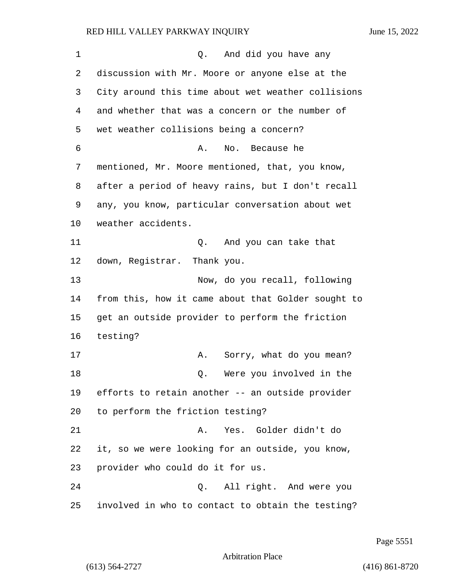1 and  $\alpha$ . And did you have any discussion with Mr. Moore or anyone else at the City around this time about wet weather collisions and whether that was a concern or the number of wet weather collisions being a concern? 6 A. No. Because he mentioned, Mr. Moore mentioned, that, you know, after a period of heavy rains, but I don't recall any, you know, particular conversation about wet weather accidents. 11 Q. And you can take that down, Registrar. Thank you. 13 Now, do you recall, following from this, how it came about that Golder sought to get an outside provider to perform the friction 16 testing? 17 A. Sorry, what do you mean? 18 and 18 Q. Were you involved in the efforts to retain another -- an outside provider to perform the friction testing? 21 A. Yes. Golder didn't do it, so we were looking for an outside, you know, provider who could do it for us. 24 Q. All right. And were you involved in who to contact to obtain the testing?

Page 5551

Arbitration Place

(613) 564-2727 (416) 861-8720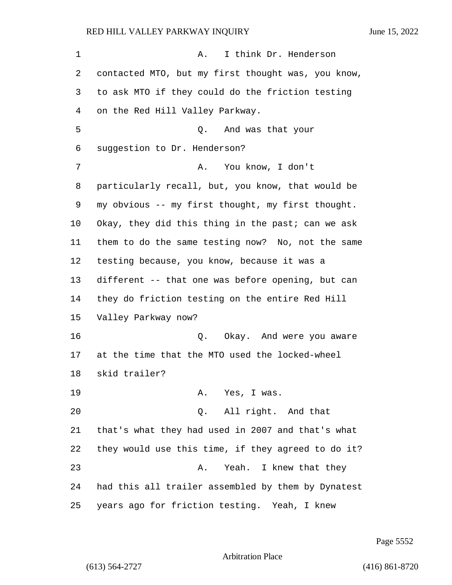1 A. I think Dr. Henderson contacted MTO, but my first thought was, you know, to ask MTO if they could do the friction testing on the Red Hill Valley Parkway. 5 Q. And was that your suggestion to Dr. Henderson? 7 A. You know, I don't particularly recall, but, you know, that would be my obvious -- my first thought, my first thought. Okay, they did this thing in the past; can we ask them to do the same testing now? No, not the same testing because, you know, because it was a different -- that one was before opening, but can they do friction testing on the entire Red Hill Valley Parkway now? 16 Q. Okay. And were you aware at the time that the MTO used the locked-wheel skid trailer? 19 A. Yes, I was. 20 Q. All right. And that that's what they had used in 2007 and that's what they would use this time, if they agreed to do it? 23 A. Yeah. I knew that they had this all trailer assembled by them by Dynatest years ago for friction testing. Yeah, I knew

Page 5552

Arbitration Place

(613) 564-2727 (416) 861-8720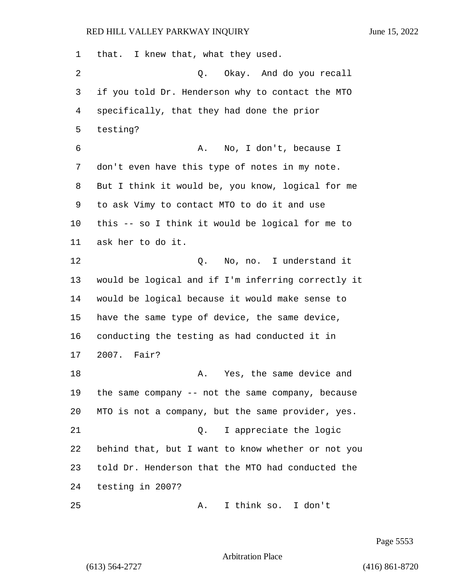that. I knew that, what they used. 2 Q. Okay. And do you recall if you told Dr. Henderson why to contact the MTO specifically, that they had done the prior testing? 6 A. No, I don't, because I don't even have this type of notes in my note. But I think it would be, you know, logical for me to ask Vimy to contact MTO to do it and use this -- so I think it would be logical for me to ask her to do it. 12 Q. No, no. I understand it would be logical and if I'm inferring correctly it would be logical because it would make sense to have the same type of device, the same device, conducting the testing as had conducted it in 2007. Fair? **A.** Yes, the same device and the same company -- not the same company, because MTO is not a company, but the same provider, yes. 21 Q. I appreciate the logic behind that, but I want to know whether or not you told Dr. Henderson that the MTO had conducted the testing in 2007? 25 A. I think so. I don't

Page 5553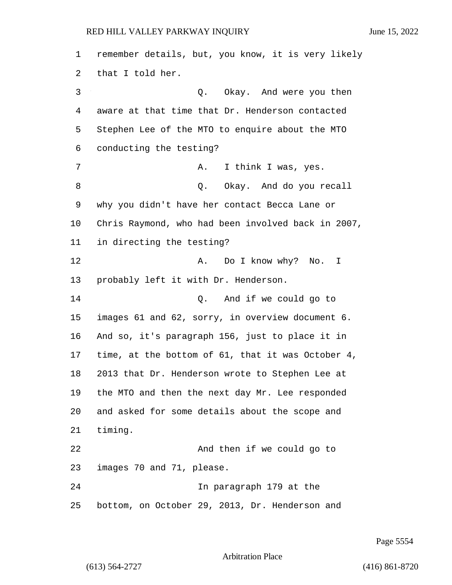remember details, but, you know, it is very likely that I told her. 3 Q. Okay. And were you then aware at that time that Dr. Henderson contacted Stephen Lee of the MTO to enquire about the MTO conducting the testing? 7 A. I think I was, yes. 8 and  $Q.$  Okay. And do you recall why you didn't have her contact Becca Lane or Chris Raymond, who had been involved back in 2007, in directing the testing? 12 A. Do I know why? No. I probably left it with Dr. Henderson. 14 Q. And if we could go to images 61 and 62, sorry, in overview document 6. And so, it's paragraph 156, just to place it in time, at the bottom of 61, that it was October 4, 2013 that Dr. Henderson wrote to Stephen Lee at the MTO and then the next day Mr. Lee responded and asked for some details about the scope and timing. 22 And then if we could go to images 70 and 71, please. 24 In paragraph 179 at the bottom, on October 29, 2013, Dr. Henderson and

Page 5554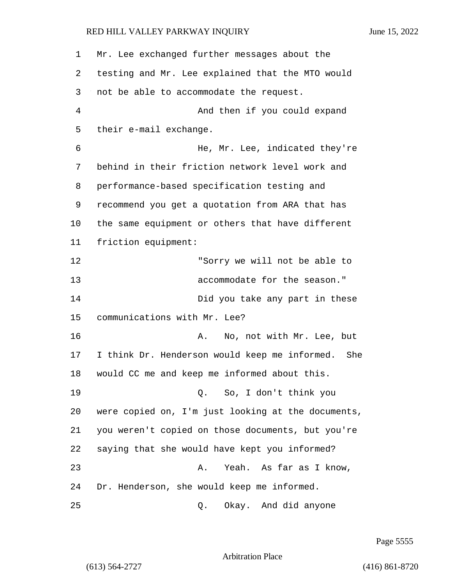| 1  | Mr. Lee exchanged further messages about the       |
|----|----------------------------------------------------|
| 2  | testing and Mr. Lee explained that the MTO would   |
| 3  | not be able to accommodate the request.            |
| 4  | And then if you could expand                       |
| 5  | their e-mail exchange.                             |
| 6  | He, Mr. Lee, indicated they're                     |
| 7  | behind in their friction network level work and    |
| 8  | performance-based specification testing and        |
| 9  | recommend you get a quotation from ARA that has    |
| 10 | the same equipment or others that have different   |
| 11 | friction equipment:                                |
| 12 | "Sorry we will not be able to                      |
| 13 | accommodate for the season."                       |
| 14 | Did you take any part in these                     |
| 15 | communications with Mr. Lee?                       |
| 16 | No, not with Mr. Lee, but<br>Α.                    |
| 17 | I think Dr. Henderson would keep me informed. She  |
| 18 | would CC me and keep me informed about this.       |
| 19 | Q. So, I don't think you                           |
| 20 | were copied on, I'm just looking at the documents, |
| 21 | you weren't copied on those documents, but you're  |
| 22 | saying that she would have kept you informed?      |
| 23 | Yeah. As far as I know,<br>Α.                      |
| 24 | Dr. Henderson, she would keep me informed.         |
| 25 | Okay. And did anyone<br>Q.                         |

Page 5555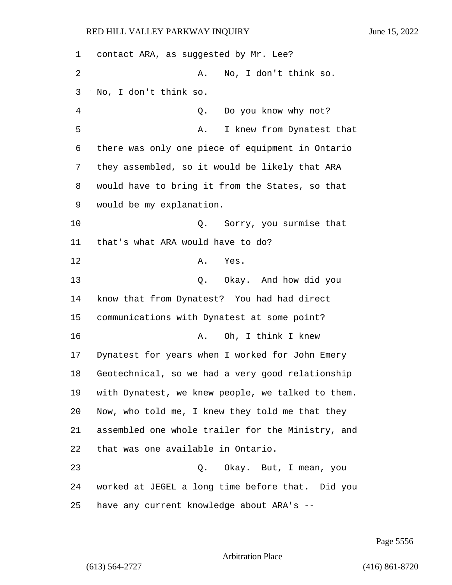| 1  | contact ARA, as suggested by Mr. Lee?             |
|----|---------------------------------------------------|
| 2  | No, I don't think so.<br>Α.                       |
| 3  | No, I don't think so.                             |
| 4  | Do you know why not?<br>Q.                        |
| 5  | I knew from Dynatest that<br>Α.                   |
| 6  | there was only one piece of equipment in Ontario  |
| 7  | they assembled, so it would be likely that ARA    |
| 8  | would have to bring it from the States, so that   |
| 9  | would be my explanation.                          |
| 10 | Sorry, you surmise that<br>Q.                     |
| 11 | that's what ARA would have to do?                 |
| 12 | Α.<br>Yes.                                        |
| 13 | Okay. And how did you<br>Q.                       |
| 14 | know that from Dynatest? You had had direct       |
| 15 | communications with Dynatest at some point?       |
| 16 | Oh, I think I knew<br>Α.                          |
| 17 | Dynatest for years when I worked for John Emery   |
| 18 | Geotechnical, so we had a very good relationship  |
| 19 | with Dynatest, we knew people, we talked to them. |
| 20 | Now, who told me, I knew they told me that they   |
| 21 | assembled one whole trailer for the Ministry, and |
| 22 | that was one available in Ontario.                |
| 23 | Q. Okay. But, I mean, you                         |
| 24 | worked at JEGEL a long time before that. Did you  |
| 25 | have any current knowledge about ARA's --         |

Page 5556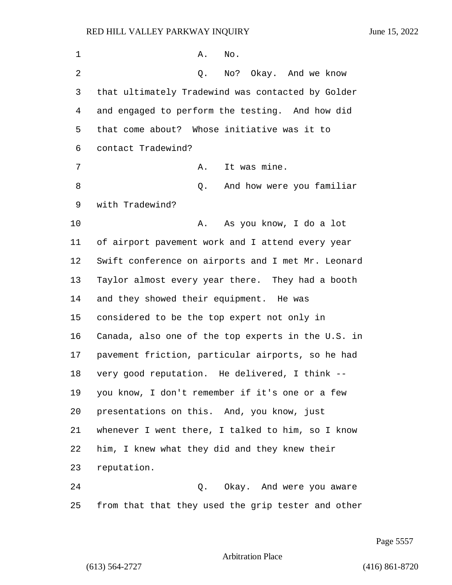| $\mathbf 1$ | Α.<br>No.                                          |
|-------------|----------------------------------------------------|
| 2           | No? Okay. And we know<br>Q.                        |
| 3           | that ultimately Tradewind was contacted by Golder  |
| 4           | and engaged to perform the testing. And how did    |
| 5           | that come about? Whose initiative was it to        |
| 6           | contact Tradewind?                                 |
| 7           | It was mine.<br>Α.                                 |
| 8           | And how were you familiar<br>Q.                    |
| 9           | with Tradewind?                                    |
| 10          | Α.<br>As you know, I do a lot                      |
| 11          | of airport pavement work and I attend every year   |
| 12          | Swift conference on airports and I met Mr. Leonard |
| 13          | Taylor almost every year there. They had a booth   |
| 14          | and they showed their equipment. He was            |
| 15          | considered to be the top expert not only in        |
| 16          | Canada, also one of the top experts in the U.S. in |
| 17          | pavement friction, particular airports, so he had  |
| 18          | very good reputation. He delivered, I think --     |
| 19          | you know, I don't remember if it's one or a few    |
| 20          | presentations on this. And, you know, just         |
| 21          | whenever I went there, I talked to him, so I know  |
| 22          | him, I knew what they did and they knew their      |
| 23          | reputation.                                        |
| 24          | Q. Okay. And were you aware                        |
| 25          | from that that they used the grip tester and other |

Page 5557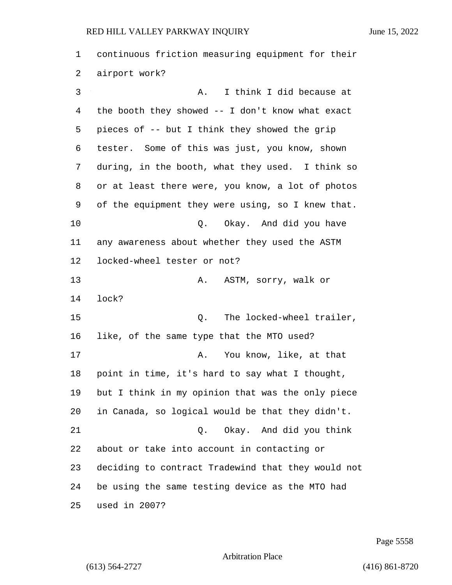continuous friction measuring equipment for their airport work? 3 A. I think I did because at the booth they showed -- I don't know what exact pieces of -- but I think they showed the grip tester. Some of this was just, you know, shown during, in the booth, what they used. I think so or at least there were, you know, a lot of photos of the equipment they were using, so I knew that. 10 Q. Okay. And did you have any awareness about whether they used the ASTM locked-wheel tester or not? 13 A. ASTM, sorry, walk or lock? 15 C. The locked-wheel trailer, like, of the same type that the MTO used? 17 A. You know, like, at that point in time, it's hard to say what I thought, but I think in my opinion that was the only piece in Canada, so logical would be that they didn't. 21 Q. Okay. And did you think about or take into account in contacting or deciding to contract Tradewind that they would not be using the same testing device as the MTO had used in 2007?

Page 5558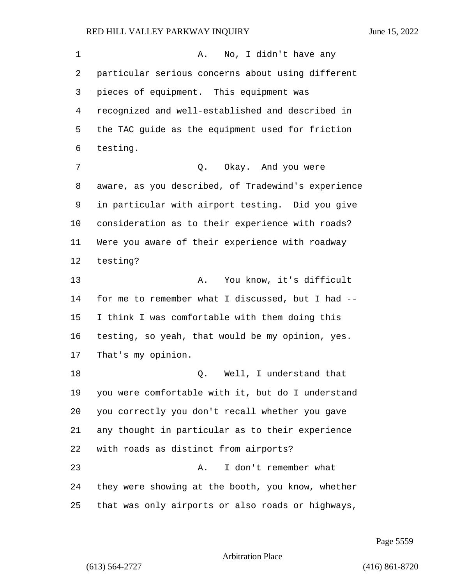1 A. No, I didn't have any particular serious concerns about using different pieces of equipment. This equipment was recognized and well-established and described in the TAC guide as the equipment used for friction testing. 7 0. Okay. And you were aware, as you described, of Tradewind's experience in particular with airport testing. Did you give consideration as to their experience with roads? Were you aware of their experience with roadway testing? 13 A. You know, it's difficult for me to remember what I discussed, but I had -- I think I was comfortable with them doing this testing, so yeah, that would be my opinion, yes. That's my opinion. 18 and 18 Q. Well, I understand that you were comfortable with it, but do I understand you correctly you don't recall whether you gave any thought in particular as to their experience with roads as distinct from airports? 23 A. I don't remember what they were showing at the booth, you know, whether that was only airports or also roads or highways,

Page 5559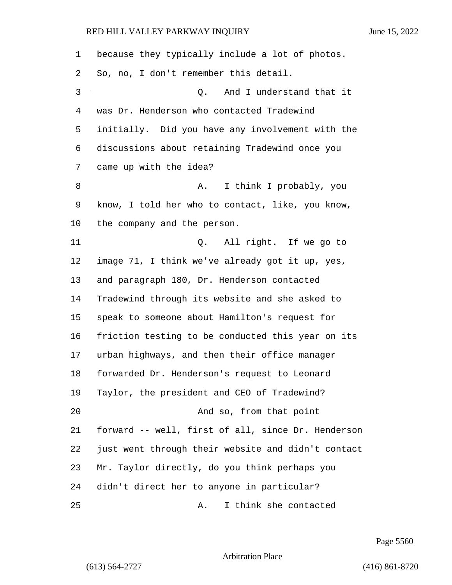| 1  | because they typically include a lot of photos.    |
|----|----------------------------------------------------|
| 2  | So, no, I don't remember this detail.              |
| 3  | And I understand that it<br>Q.                     |
| 4  | was Dr. Henderson who contacted Tradewind          |
| 5  | initially. Did you have any involvement with the   |
| 6  | discussions about retaining Tradewind once you     |
| 7  | came up with the idea?                             |
| 8  | I think I probably, you<br>Α.                      |
| 9  | know, I told her who to contact, like, you know,   |
| 10 | the company and the person.                        |
| 11 | Q. All right. If we go to                          |
| 12 | image 71, I think we've already got it up, yes,    |
| 13 | and paragraph 180, Dr. Henderson contacted         |
| 14 | Tradewind through its website and she asked to     |
| 15 | speak to someone about Hamilton's request for      |
| 16 | friction testing to be conducted this year on its  |
| 17 | urban highways, and then their office manager      |
| 18 | forwarded Dr. Henderson's request to Leonard       |
| 19 | Taylor, the president and CEO of Tradewind?        |
| 20 | And so, from that point                            |
| 21 | forward -- well, first of all, since Dr. Henderson |
| 22 | just went through their website and didn't contact |
| 23 | Mr. Taylor directly, do you think perhaps you      |
| 24 | didn't direct her to anyone in particular?         |
| 25 | I think she contacted<br>Α.                        |

Page 5560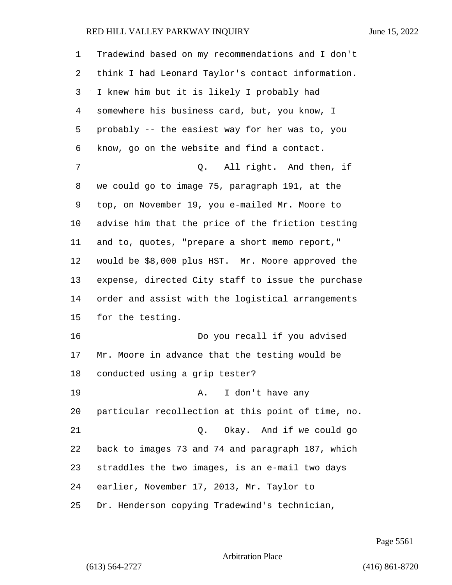| $\mathbf 1$ | Tradewind based on my recommendations and I don't  |
|-------------|----------------------------------------------------|
| 2           | think I had Leonard Taylor's contact information.  |
| 3           | I knew him but it is likely I probably had         |
| 4           | somewhere his business card, but, you know, I      |
| 5           | probably -- the easiest way for her was to, you    |
| 6           | know, go on the website and find a contact.        |
| 7           | All right. And then, if<br>Q.                      |
| 8           | we could go to image 75, paragraph 191, at the     |
| 9           | top, on November 19, you e-mailed Mr. Moore to     |
| 10          | advise him that the price of the friction testing  |
| 11          | and to, quotes, "prepare a short memo report,"     |
| 12          | would be \$8,000 plus HST. Mr. Moore approved the  |
| 13          | expense, directed City staff to issue the purchase |
| 14          | order and assist with the logistical arrangements  |
| 15          | for the testing.                                   |
| 16          | Do you recall if you advised                       |
| 17          | Mr. Moore in advance that the testing would be     |
| 18          | conducted using a grip tester?                     |
| 19          | A. I don't have any                                |
| 20          | particular recollection at this point of time, no. |
| 21          | Q. Okay. And if we could go                        |
| 22          | back to images 73 and 74 and paragraph 187, which  |
| 23          | straddles the two images, is an e-mail two days    |
| 24          | earlier, November 17, 2013, Mr. Taylor to          |
| 25          | Dr. Henderson copying Tradewind's technician,      |

Page 5561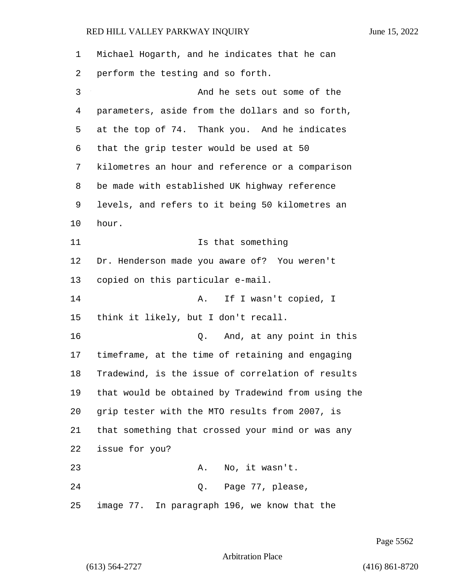| $\mathbf{1}$ | Michael Hogarth, and he indicates that he can      |
|--------------|----------------------------------------------------|
| 2            | perform the testing and so forth.                  |
| 3            | And he sets out some of the                        |
| 4            | parameters, aside from the dollars and so forth,   |
| 5            | at the top of 74. Thank you. And he indicates      |
| 6            | that the grip tester would be used at 50           |
| 7            | kilometres an hour and reference or a comparison   |
| 8            | be made with established UK highway reference      |
| 9            | levels, and refers to it being 50 kilometres an    |
| $10 \,$      | hour.                                              |
| 11           | Is that something                                  |
| 12           | Dr. Henderson made you aware of? You weren't       |
| 13           | copied on this particular e-mail.                  |
| 14           | If I wasn't copied, I<br>Α.                        |
| 15           | think it likely, but I don't recall.               |
| 16           | And, at any point in this<br>Q.                    |
| 17           | timeframe, at the time of retaining and engaging   |
| 18           | Tradewind, is the issue of correlation of results  |
| 19           | that would be obtained by Tradewind from using the |
| 20           | grip tester with the MTO results from 2007, is     |
| 21           | that something that crossed your mind or was any   |
| 22           | issue for you?                                     |
| 23           | No, it wasn't.<br>Α.                               |
| 24           | Page 77, please,<br>Q.                             |
| 25           | image 77. In paragraph 196, we know that the       |

Page 5562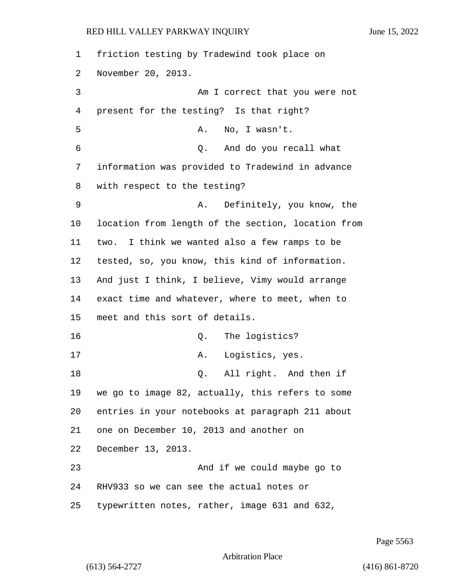friction testing by Tradewind took place on November 20, 2013. 3 Am I correct that you were not present for the testing? Is that right? 5 A. No, I wasn't. 6 Q. And do you recall what information was provided to Tradewind in advance with respect to the testing? 9 A. Definitely, you know, the location from length of the section, location from two. I think we wanted also a few ramps to be tested, so, you know, this kind of information. And just I think, I believe, Vimy would arrange exact time and whatever, where to meet, when to meet and this sort of details. 16 Q. The logistics? 17 A. Logistics, yes. 18 Q. All right. And then if we go to image 82, actually, this refers to some entries in your notebooks at paragraph 211 about one on December 10, 2013 and another on December 13, 2013. 23 And if we could maybe go to RHV933 so we can see the actual notes or typewritten notes, rather, image 631 and 632,

Page 5563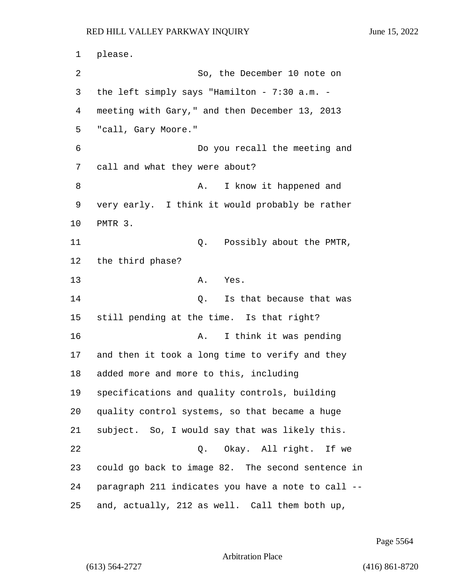1 please. 2 So, the December 10 note on 3 the left simply says "Hamilton - 7:30 a.m. - 4 meeting with Gary," and then December 13, 2013 5 "call, Gary Moore." 6 Do you recall the meeting and 7 call and what they were about? 8 A. I know it happened and 9 very early. I think it would probably be rather 10 PMTR 3. 11 Q. Possibly about the PMTR, 12 the third phase? 13 A. Yes. 14 O. Is that because that was 15 still pending at the time. Is that right? 16 A. I think it was pending 17 and then it took a long time to verify and they 18 added more and more to this, including 19 specifications and quality controls, building 20 quality control systems, so that became a huge 21 subject. So, I would say that was likely this. 22 Q. Okay. All right. If we 23 could go back to image 82. The second sentence in 24 paragraph 211 indicates you have a note to call -- 25 and, actually, 212 as well. Call them both up,

Page 5564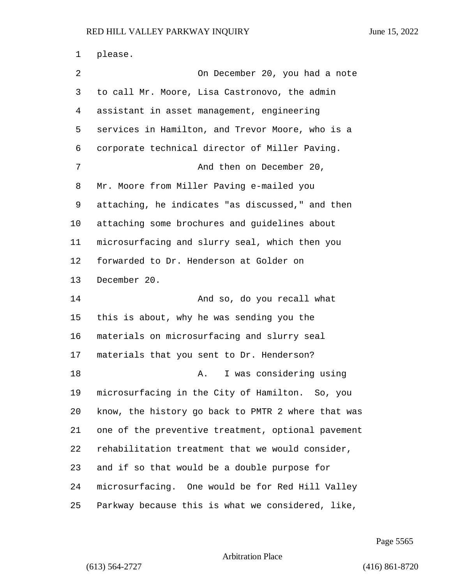please. 2 On December 20, you had a note to call Mr. Moore, Lisa Castronovo, the admin assistant in asset management, engineering services in Hamilton, and Trevor Moore, who is a corporate technical director of Miller Paving. 7 And then on December 20, Mr. Moore from Miller Paving e-mailed you attaching, he indicates "as discussed," and then attaching some brochures and guidelines about microsurfacing and slurry seal, which then you forwarded to Dr. Henderson at Golder on December 20. 14 And so, do you recall what this is about, why he was sending you the materials on microsurfacing and slurry seal materials that you sent to Dr. Henderson? **A.** I was considering using microsurfacing in the City of Hamilton. So, you know, the history go back to PMTR 2 where that was one of the preventive treatment, optional pavement rehabilitation treatment that we would consider, and if so that would be a double purpose for microsurfacing. One would be for Red Hill Valley Parkway because this is what we considered, like,

Page 5565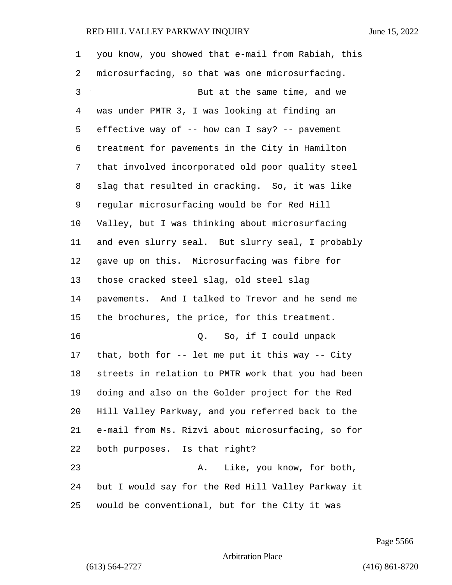| 1  | you know, you showed that e-mail from Rabiah, this |
|----|----------------------------------------------------|
| 2  | microsurfacing, so that was one microsurfacing.    |
| 3  | But at the same time, and we                       |
| 4  | was under PMTR 3, I was looking at finding an      |
| 5  | effective way of -- how can I say? -- pavement     |
| 6  | treatment for pavements in the City in Hamilton    |
| 7  | that involved incorporated old poor quality steel  |
| 8  | slag that resulted in cracking. So, it was like    |
| 9  | regular microsurfacing would be for Red Hill       |
| 10 | Valley, but I was thinking about microsurfacing    |
| 11 | and even slurry seal. But slurry seal, I probably  |
| 12 | gave up on this. Microsurfacing was fibre for      |
| 13 | those cracked steel slag, old steel slag           |
| 14 | pavements. And I talked to Trevor and he send me   |
| 15 | the brochures, the price, for this treatment.      |
| 16 | So, if I could unpack<br>Q.                        |
| 17 | that, both for $-$ let me put it this way $-$ City |
| 18 | streets in relation to PMTR work that you had been |
| 19 | doing and also on the Golder project for the Red   |
| 20 | Hill Valley Parkway, and you referred back to the  |
| 21 | e-mail from Ms. Rizvi about microsurfacing, so for |
| 22 | both purposes. Is that right?                      |
| 23 | Like, you know, for both,<br>Α.                    |
| 24 | but I would say for the Red Hill Valley Parkway it |
| 25 | would be conventional, but for the City it was     |

Page 5566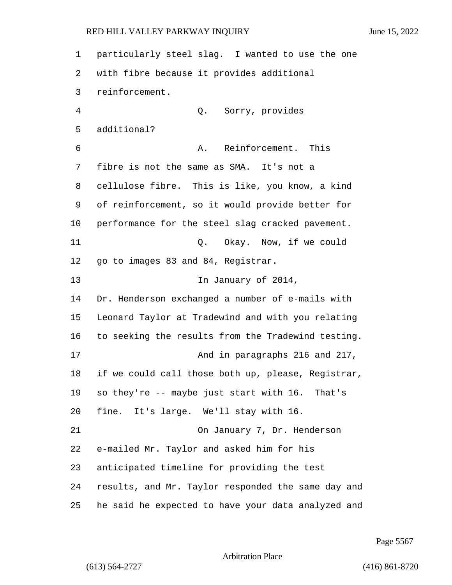particularly steel slag. I wanted to use the one with fibre because it provides additional reinforcement. 4 Q. Sorry, provides additional? 6 A. Reinforcement. This fibre is not the same as SMA. It's not a cellulose fibre. This is like, you know, a kind of reinforcement, so it would provide better for performance for the steel slag cracked pavement. 11 Q. Okay. Now, if we could 12 go to images 83 and 84, Registrar. 13 In January of 2014, Dr. Henderson exchanged a number of e-mails with Leonard Taylor at Tradewind and with you relating to seeking the results from the Tradewind testing. 17 And in paragraphs 216 and 217, if we could call those both up, please, Registrar, so they're -- maybe just start with 16. That's fine. It's large. We'll stay with 16. 21 On January 7, Dr. Henderson e-mailed Mr. Taylor and asked him for his anticipated timeline for providing the test results, and Mr. Taylor responded the same day and he said he expected to have your data analyzed and

Page 5567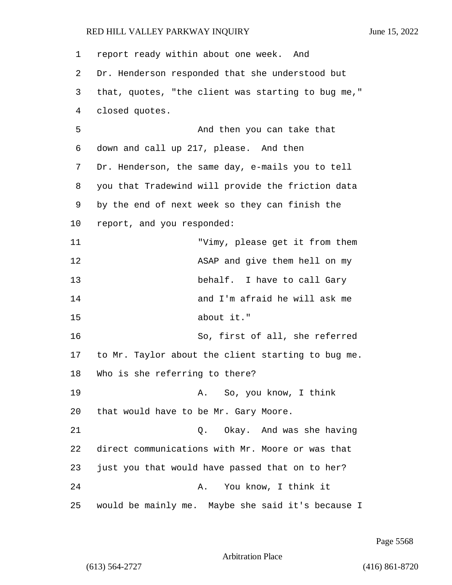| $\mathbf 1$ | report ready within about one week. And            |
|-------------|----------------------------------------------------|
| 2           | Dr. Henderson responded that she understood but    |
| 3           | that, quotes, "the client was starting to bug me," |
| 4           | closed quotes.                                     |
| 5           | And then you can take that                         |
| 6           | down and call up 217, please. And then             |
| 7           | Dr. Henderson, the same day, e-mails you to tell   |
| 8           | you that Tradewind will provide the friction data  |
| 9           | by the end of next week so they can finish the     |
| 10          | report, and you responded:                         |
| 11          | "Vimy, please get it from them                     |
| 12          | ASAP and give them hell on my                      |
| 13          | behalf. I have to call Gary                        |
| 14          | and I'm afraid he will ask me                      |
| 15          | about it."                                         |
| 16          | So, first of all, she referred                     |
| 17          | to Mr. Taylor about the client starting to bug me. |
| 18          | Who is she referring to there?                     |
| 19          | So, you know, I think<br>Α.                        |
| 20          | that would have to be Mr. Gary Moore.              |
| 21          | Okay. And was she having<br>Q.                     |
| 22          | direct communications with Mr. Moore or was that   |
| 23          | just you that would have passed that on to her?    |
| 24          | You know, I think it<br>Α.                         |
| 25          | would be mainly me. Maybe she said it's because I  |

Page 5568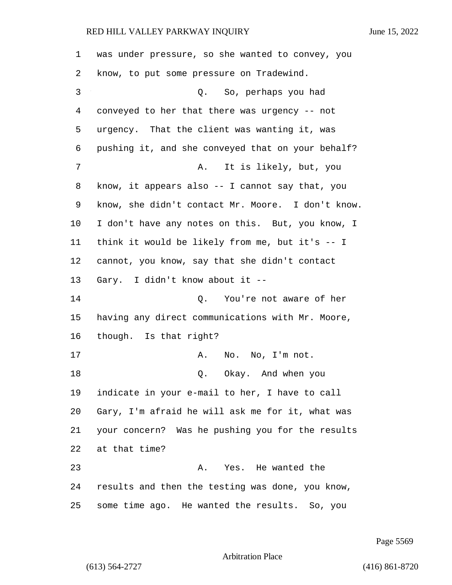was under pressure, so she wanted to convey, you know, to put some pressure on Tradewind. 3 Q. So, perhaps you had conveyed to her that there was urgency -- not urgency. That the client was wanting it, was pushing it, and she conveyed that on your behalf? 7 A. It is likely, but, you know, it appears also -- I cannot say that, you know, she didn't contact Mr. Moore. I don't know. I don't have any notes on this. But, you know, I think it would be likely from me, but it's -- I cannot, you know, say that she didn't contact Gary. I didn't know about it -- 14 O. You're not aware of her having any direct communications with Mr. Moore, though. Is that right? 17 A. No. No, I'm not. 18 Q. Okay. And when you indicate in your e-mail to her, I have to call Gary, I'm afraid he will ask me for it, what was your concern? Was he pushing you for the results at that time? 23 A. Yes. He wanted the results and then the testing was done, you know, some time ago. He wanted the results. So, you

Page 5569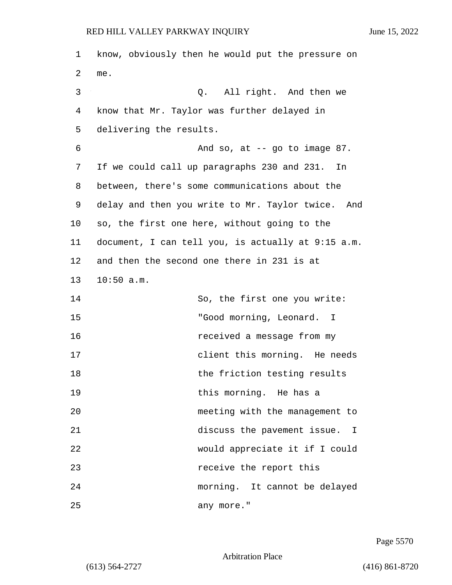1 know, obviously then he would put the pressure on 2 me. 3 Q. All right. And then we 4 know that Mr. Taylor was further delayed in 5 delivering the results. 6 And so, at -- go to image 87. 7 If we could call up paragraphs 230 and 231. In 8 between, there's some communications about the 9 delay and then you write to Mr. Taylor twice. And 10 so, the first one here, without going to the 11 document, I can tell you, is actually at 9:15 a.m. 12 and then the second one there in 231 is at 13 10:50 a.m. 14 So, the first one you write: 15 "Good morning, Leonard. I 16 received a message from my 17 client this morning. He needs 18 the friction testing results 19 **19** this morning. He has a 20 meeting with the management to 21 discuss the pavement issue. I 22 would appreciate it if I could 23 receive the report this 24 morning. It cannot be delayed 25 any more."

Page 5570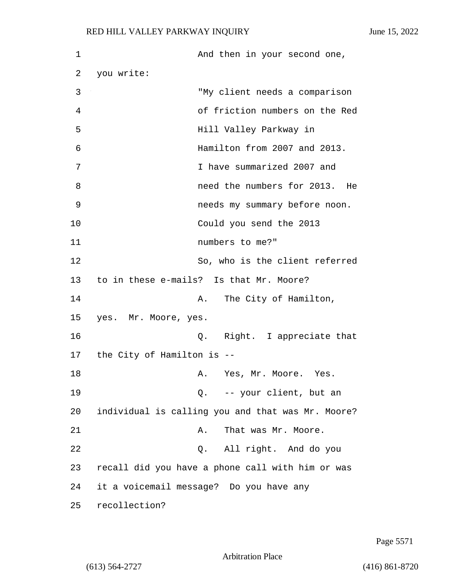| $\mathbf 1$ | And then in your second one,                      |
|-------------|---------------------------------------------------|
| 2           | you write:                                        |
| 3           | "My client needs a comparison                     |
| 4           | of friction numbers on the Red                    |
| 5           | Hill Valley Parkway in                            |
| 6           | Hamilton from 2007 and 2013.                      |
| 7           | I have summarized 2007 and                        |
| 8           | need the numbers for 2013. He                     |
| 9           | needs my summary before noon.                     |
| 10          | Could you send the 2013                           |
| 11          | numbers to me?"                                   |
| 12          | So, who is the client referred                    |
| 13          | to in these e-mails? Is that Mr. Moore?           |
| 14          | A. The City of Hamilton,                          |
| 15          | yes. Mr. Moore, yes.                              |
| 16          | Q. Right. I appreciate that                       |
| 17          | the City of Hamilton is --                        |
| 18          | A. Yes, Mr. Moore. Yes.                           |
| 19          | Q. -- your client, but an                         |
| 20          | individual is calling you and that was Mr. Moore? |
| 21          | That was Mr. Moore.<br>Α.                         |
| 22          | All right. And do you<br>Q.                       |
| 23          | recall did you have a phone call with him or was  |
| 24          | it a voicemail message? Do you have any           |
| 25          | recollection?                                     |

Page 5571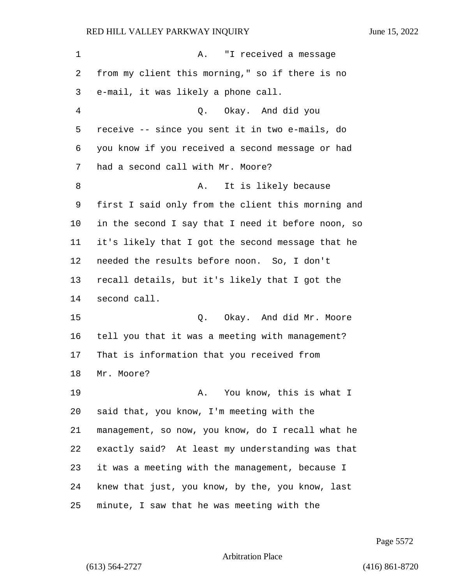1 A. "I received a message from my client this morning," so if there is no e-mail, it was likely a phone call. 4 Q. Okay. And did you receive -- since you sent it in two e-mails, do you know if you received a second message or had had a second call with Mr. Moore? 8 A. It is likely because first I said only from the client this morning and in the second I say that I need it before noon, so it's likely that I got the second message that he needed the results before noon. So, I don't recall details, but it's likely that I got the second call. 15 Q. Okay. And did Mr. Moore tell you that it was a meeting with management? That is information that you received from Mr. Moore? **A.** You know, this is what I said that, you know, I'm meeting with the management, so now, you know, do I recall what he exactly said? At least my understanding was that it was a meeting with the management, because I knew that just, you know, by the, you know, last minute, I saw that he was meeting with the

Page 5572

Arbitration Place

(613) 564-2727 (416) 861-8720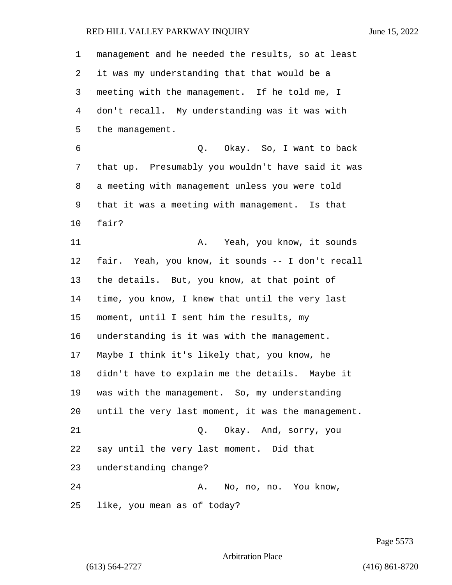| $\mathbf 1$ | management and he needed the results, so at least  |
|-------------|----------------------------------------------------|
| 2           | it was my understanding that that would be a       |
| 3           | meeting with the management. If he told me, I      |
| 4           | don't recall. My understanding was it was with     |
| 5           | the management.                                    |
| 6           | Q. Okay. So, I want to back                        |
| 7           | that up. Presumably you wouldn't have said it was  |
| 8           | a meeting with management unless you were told     |
| 9           | that it was a meeting with management. Is that     |
| $10 \,$     | fair?                                              |
| 11          | Yeah, you know, it sounds<br>Α.                    |
| 12          | fair. Yeah, you know, it sounds -- I don't recall  |
| 13          | the details. But, you know, at that point of       |
| 14          | time, you know, I knew that until the very last    |
| 15          | moment, until I sent him the results, my           |
| 16          | understanding is it was with the management.       |
| 17          | Maybe I think it's likely that, you know, he       |
| 18          | didn't have to explain me the details. Maybe it    |
| 19          | was with the management. So, my understanding      |
| 20          | until the very last moment, it was the management. |
| 21          | Q. Okay. And, sorry, you                           |
| 22          | say until the very last moment. Did that           |
| 23          | understanding change?                              |
| 24          | A. No, no, no. You know,                           |
| 25          | like, you mean as of today?                        |

Page 5573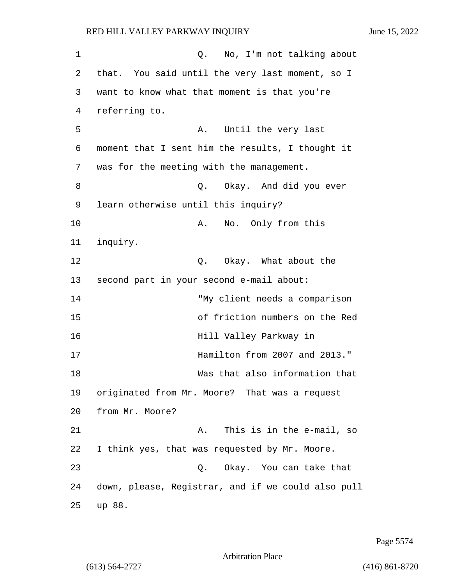| 1  | No, I'm not talking about<br>Q.                    |
|----|----------------------------------------------------|
| 2  | that. You said until the very last moment, so I    |
| 3  | want to know what that moment is that you're       |
| 4  | referring to.                                      |
| 5  | Until the very last<br>Α.                          |
| 6  | moment that I sent him the results, I thought it   |
| 7  | was for the meeting with the management.           |
| 8  | Okay. And did you ever<br>О.                       |
| 9  | learn otherwise until this inquiry?                |
| 10 | No. Only from this<br>Α.                           |
| 11 | inquiry.                                           |
| 12 | Okay. What about the<br>Q.                         |
| 13 | second part in your second e-mail about:           |
| 14 | "My client needs a comparison                      |
| 15 | of friction numbers on the Red                     |
| 16 | Hill Valley Parkway in                             |
| 17 | Hamilton from 2007 and 2013."                      |
| 18 | Was that also information that                     |
| 19 | originated from Mr. Moore? That was a request      |
| 20 | from Mr. Moore?                                    |
| 21 | This is in the e-mail, so<br>Α.                    |
| 22 | I think yes, that was requested by Mr. Moore.      |
| 23 | Q. Okay. You can take that                         |
| 24 | down, please, Registrar, and if we could also pull |
| 25 | up 88.                                             |

Page 5574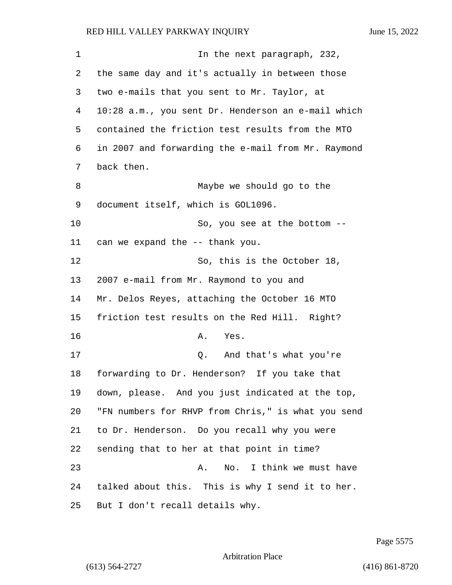| 1  | In the next paragraph, 232,                        |
|----|----------------------------------------------------|
| 2  | the same day and it's actually in between those    |
| 3  | two e-mails that you sent to Mr. Taylor, at        |
| 4  | 10:28 a.m., you sent Dr. Henderson an e-mail which |
| 5  | contained the friction test results from the MTO   |
| 6  | in 2007 and forwarding the e-mail from Mr. Raymond |
| 7  | back then.                                         |
| 8  | Maybe we should go to the                          |
| 9  | document itself, which is GOL1096.                 |
| 10 | So, you see at the bottom --                       |
| 11 | can we expand the -- thank you.                    |
| 12 | So, this is the October 18,                        |
| 13 | 2007 e-mail from Mr. Raymond to you and            |
| 14 | Mr. Delos Reyes, attaching the October 16 MTO      |
| 15 | friction test results on the Red Hill. Right?      |
| 16 | Α.<br>Yes.                                         |
| 17 | Q. And that's what you're                          |
| 18 | forwarding to Dr. Henderson? If you take that      |
| 19 | down, please. And you just indicated at the top,   |
| 20 | "FN numbers for RHVP from Chris," is what you send |
| 21 | to Dr. Henderson. Do you recall why you were       |
| 22 | sending that to her at that point in time?         |
| 23 | Α.<br>No. I think we must have                     |
| 24 | talked about this. This is why I send it to her.   |
| 25 | But I don't recall details why.                    |

Page 5575

Arbitration Place

(613) 564-2727 (416) 861-8720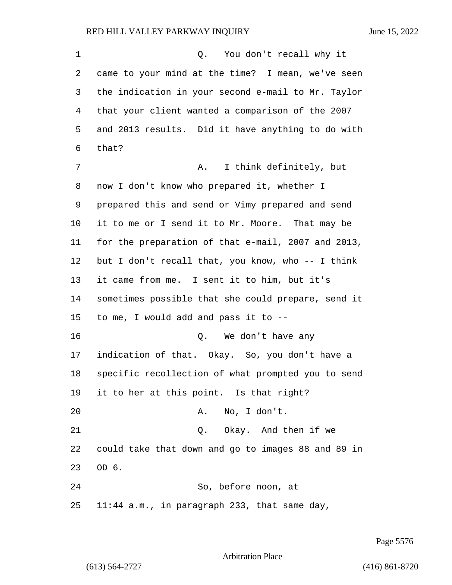1 0. You don't recall why it came to your mind at the time? I mean, we've seen the indication in your second e-mail to Mr. Taylor that your client wanted a comparison of the 2007 and 2013 results. Did it have anything to do with that? 7 A. I think definitely, but now I don't know who prepared it, whether I prepared this and send or Vimy prepared and send it to me or I send it to Mr. Moore. That may be for the preparation of that e-mail, 2007 and 2013, but I don't recall that, you know, who -- I think it came from me. I sent it to him, but it's sometimes possible that she could prepare, send it to me, I would add and pass it to -- 16 Q. We don't have any indication of that. Okay. So, you don't have a specific recollection of what prompted you to send it to her at this point. Is that right? 20 A. No, I don't. 21 Q. Okay. And then if we could take that down and go to images 88 and 89 in OD 6. 24 So, before noon, at 11:44 a.m., in paragraph 233, that same day,

Page 5576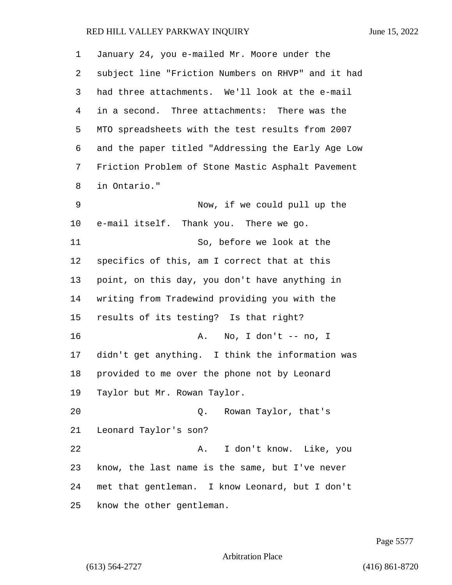| 1  | January 24, you e-mailed Mr. Moore under the       |
|----|----------------------------------------------------|
| 2  | subject line "Friction Numbers on RHVP" and it had |
| 3  | had three attachments. We'll look at the e-mail    |
| 4  | in a second. Three attachments: There was the      |
| 5  | MTO spreadsheets with the test results from 2007   |
| 6  | and the paper titled "Addressing the Early Age Low |
| 7  | Friction Problem of Stone Mastic Asphalt Pavement  |
| 8  | in Ontario."                                       |
| 9  | Now, if we could pull up the                       |
| 10 | e-mail itself. Thank you. There we go.             |
| 11 | So, before we look at the                          |
| 12 | specifics of this, am I correct that at this       |
| 13 | point, on this day, you don't have anything in     |
| 14 | writing from Tradewind providing you with the      |
| 15 | results of its testing? Is that right?             |
| 16 | No, I don't $--$ no, I<br>Α.                       |
| 17 | didn't get anything. I think the information was   |
| 18 | provided to me over the phone not by Leonard       |
| 19 | Taylor but Mr. Rowan Taylor.                       |
| 20 | Q.<br>Rowan Taylor, that's                         |
| 21 | Leonard Taylor's son?                              |
| 22 | I don't know. Like, you<br>Α.                      |
| 23 | know, the last name is the same, but I've never    |
| 24 | met that gentleman. I know Leonard, but I don't    |
| 25 | know the other gentleman.                          |

Page 5577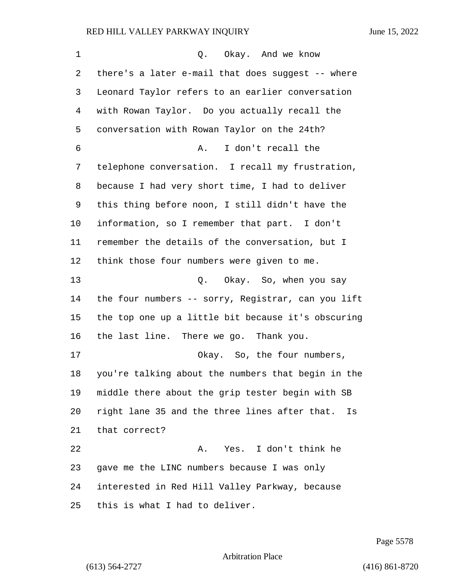| 1  | Okay. And we know<br>Q.                             |
|----|-----------------------------------------------------|
| 2  | there's a later e-mail that does suggest -- where   |
| 3  | Leonard Taylor refers to an earlier conversation    |
| 4  | with Rowan Taylor. Do you actually recall the       |
| 5  | conversation with Rowan Taylor on the 24th?         |
| 6  | I don't recall the<br>Α.                            |
| 7  | telephone conversation. I recall my frustration,    |
| 8  | because I had very short time, I had to deliver     |
| 9  | this thing before noon, I still didn't have the     |
| 10 | information, so I remember that part. I don't       |
| 11 | remember the details of the conversation, but I     |
| 12 | think those four numbers were given to me.          |
| 13 | Q. Okay. So, when you say                           |
| 14 | the four numbers -- sorry, Registrar, can you lift  |
| 15 | the top one up a little bit because it's obscuring  |
| 16 | the last line. There we go. Thank you.              |
| 17 | Okay. So, the four numbers,                         |
| 18 | you're talking about the numbers that begin in the  |
| 19 | middle there about the grip tester begin with SB    |
| 20 | right lane 35 and the three lines after that.<br>Is |
| 21 | that correct?                                       |
| 22 | Yes. I don't think he<br>Α.                         |
| 23 | gave me the LINC numbers because I was only         |
| 24 | interested in Red Hill Valley Parkway, because      |
| 25 | this is what I had to deliver.                      |

Page 5578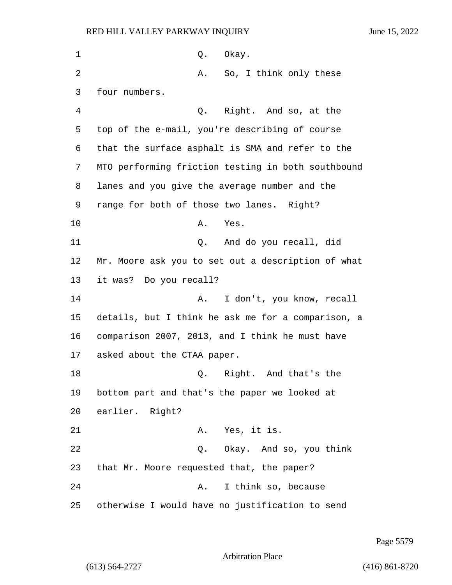| 1  | Okay.<br>Q.                                        |
|----|----------------------------------------------------|
| 2  | So, I think only these<br>Α.                       |
| 3  | four numbers.                                      |
| 4  | Right. And so, at the<br>Q.                        |
| 5  | top of the e-mail, you're describing of course     |
| 6  | that the surface asphalt is SMA and refer to the   |
| 7  | MTO performing friction testing in both southbound |
| 8  | lanes and you give the average number and the      |
| 9  | range for both of those two lanes. Right?          |
| 10 | Α.<br>Yes.                                         |
| 11 | And do you recall, did<br>Q.                       |
| 12 | Mr. Moore ask you to set out a description of what |
| 13 | it was? Do you recall?                             |
| 14 | I don't, you know, recall<br>Α.                    |
| 15 | details, but I think he ask me for a comparison, a |
| 16 | comparison 2007, 2013, and I think he must have    |
| 17 | asked about the CTAA paper.                        |
| 18 | Right.<br>And that's the<br>Q.                     |
| 19 | bottom part and that's the paper we looked at      |
| 20 | earlier. Right?                                    |
| 21 | Yes, it is.<br>Α.                                  |
| 22 | Okay. And so, you think<br>Q.                      |
| 23 | that Mr. Moore requested that, the paper?          |
| 24 | I think so, because<br>Α.                          |
| 25 | otherwise I would have no justification to send    |

Page 5579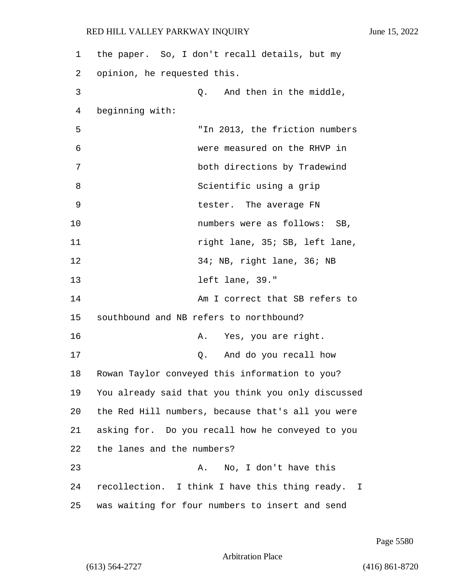| 1  | the paper. So, I don't recall details, but my                  |
|----|----------------------------------------------------------------|
| 2  | opinion, he requested this.                                    |
| 3  | And then in the middle,<br>Q.                                  |
| 4  | beginning with:                                                |
| 5  | "In 2013, the friction numbers                                 |
| 6  | were measured on the RHVP in                                   |
| 7  | both directions by Tradewind                                   |
| 8  | Scientific using a grip                                        |
| 9  | tester. The average FN                                         |
| 10 | numbers were as follows: SB,                                   |
| 11 | right lane, 35; SB, left lane,                                 |
| 12 | 34; NB, right lane, 36; NB                                     |
| 13 | left lane, 39."                                                |
| 14 | Am I correct that SB refers to                                 |
| 15 | southbound and NB refers to northbound?                        |
| 16 | Yes, you are right.<br>Α.                                      |
| 17 | And do you recall how<br>Q.                                    |
| 18 | Rowan Taylor conveyed this information to you?                 |
| 19 | You already said that you think you only discussed             |
| 20 | the Red Hill numbers, because that's all you were              |
| 21 | asking for. Do you recall how he conveyed to you               |
| 22 | the lanes and the numbers?                                     |
| 23 | No, I don't have this<br>Α.                                    |
| 24 | recollection. I think I have this thing ready.<br>$\mathbf{I}$ |
| 25 | was waiting for four numbers to insert and send                |

Page 5580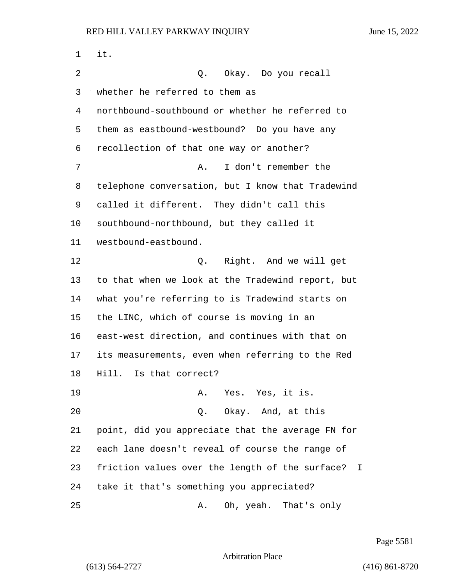| 1  | it.                                                                         |
|----|-----------------------------------------------------------------------------|
| 2  | Okay. Do you recall<br>Q.                                                   |
| 3  | whether he referred to them as                                              |
| 4  | northbound-southbound or whether he referred to                             |
| 5  | them as eastbound-westbound? Do you have any                                |
| 6  | recollection of that one way or another?                                    |
| 7  | I don't remember the<br>Α.                                                  |
| 8  | telephone conversation, but I know that Tradewind                           |
| 9  | called it different. They didn't call this                                  |
| 10 | southbound-northbound, but they called it                                   |
| 11 | westbound-eastbound.                                                        |
| 12 | Right. And we will get<br>Q.                                                |
| 13 | to that when we look at the Tradewind report, but                           |
| 14 | what you're referring to is Tradewind starts on                             |
| 15 | the LINC, which of course is moving in an                                   |
| 16 | east-west direction, and continues with that on                             |
| 17 | its measurements, even when referring to the Red                            |
| 18 | Is that correct?<br>Hill.                                                   |
| 19 | A. Yes. Yes, it is.                                                         |
| 20 | Q. Okay. And, at this                                                       |
| 21 | point, did you appreciate that the average FN for                           |
| 22 | each lane doesn't reveal of course the range of                             |
| 23 | friction values over the length of the surface?<br>$\mathbf{\mathbf{\bot}}$ |
| 24 | take it that's something you appreciated?                                   |
| 25 | Oh, yeah. That's only<br>Α.                                                 |

Page 5581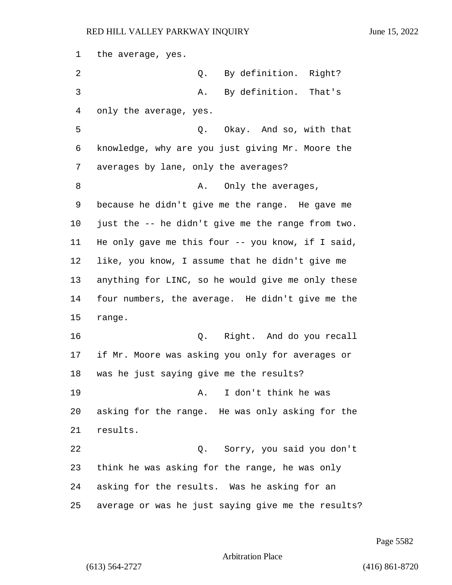the average, yes. 2 Q. By definition. Right? 3 A. By definition. That's only the average, yes. 5 Q. Okay. And so, with that knowledge, why are you just giving Mr. Moore the averages by lane, only the averages? 8 A. Only the averages, because he didn't give me the range. He gave me just the -- he didn't give me the range from two. He only gave me this four -- you know, if I said, like, you know, I assume that he didn't give me anything for LINC, so he would give me only these four numbers, the average. He didn't give me the range. 16 Q. Right. And do you recall if Mr. Moore was asking you only for averages or was he just saying give me the results? 19 A. I don't think he was asking for the range. He was only asking for the results. 22 Q. Sorry, you said you don't think he was asking for the range, he was only asking for the results. Was he asking for an average or was he just saying give me the results?

Page 5582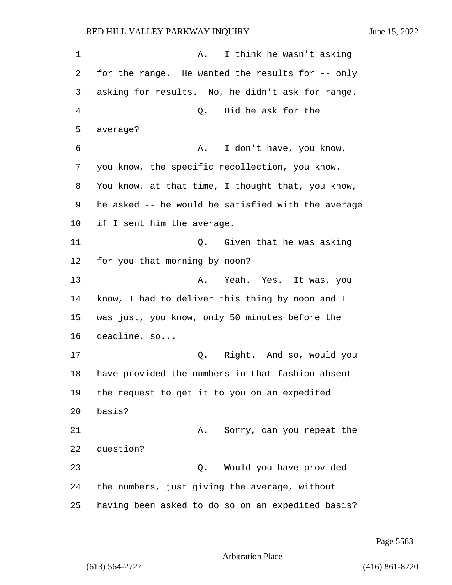1 A. I think he wasn't asking 2 for the range. He wanted the results for -- only 3 asking for results. No, he didn't ask for range. 4 Q. Did he ask for the 5 average? 6 A. I don't have, you know, 7 you know, the specific recollection, you know. 8 You know, at that time, I thought that, you know, 9 he asked -- he would be satisfied with the average 10 if I sent him the average. 11 Q. Given that he was asking 12 for you that morning by noon? 13 A. Yeah. Yes. It was, you 14 know, I had to deliver this thing by noon and I 15 was just, you know, only 50 minutes before the 16 deadline, so... 17 Q. Right. And so, would you 18 have provided the numbers in that fashion absent 19 the request to get it to you on an expedited 20 basis? 21 A. Sorry, can you repeat the 22 question? 23 Q. Would you have provided 24 the numbers, just giving the average, without 25 having been asked to do so on an expedited basis?

Page 5583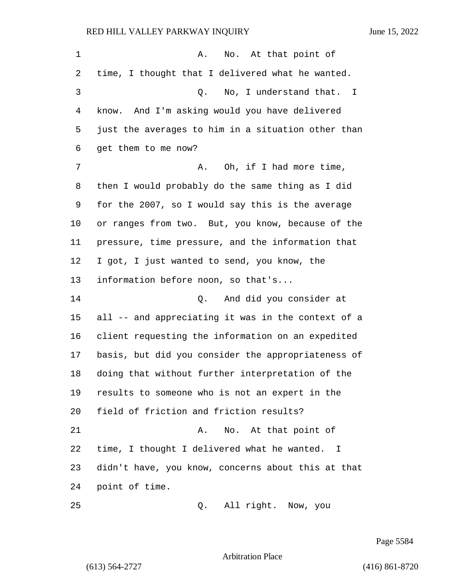| 1  | No. At that point of<br>Α.                         |
|----|----------------------------------------------------|
| 2  | time, I thought that I delivered what he wanted.   |
| 3  | No, I understand that. I<br>Q.                     |
| 4  | know. And I'm asking would you have delivered      |
| 5  | just the averages to him in a situation other than |
| 6  | get them to me now?                                |
| 7  | Oh, if I had more time,<br>Α.                      |
| 8  | then I would probably do the same thing as I did   |
| 9  | for the 2007, so I would say this is the average   |
| 10 | or ranges from two. But, you know, because of the  |
| 11 | pressure, time pressure, and the information that  |
| 12 | I got, I just wanted to send, you know, the        |
| 13 | information before noon, so that's                 |
| 14 | And did you consider at<br>Q.                      |
| 15 | all -- and appreciating it was in the context of a |
| 16 | client requesting the information on an expedited  |
| 17 | basis, but did you consider the appropriateness of |
| 18 | doing that without further interpretation of the   |
| 19 | results to someone who is not an expert in the     |
| 20 | field of friction and friction results?            |
| 21 | No. At that point of<br>Α.                         |
| 22 | time, I thought I delivered what he wanted. I      |
| 23 | didn't have, you know, concerns about this at that |
| 24 | point of time.                                     |
| 25 | All right. Now, you<br>Q.                          |

Page 5584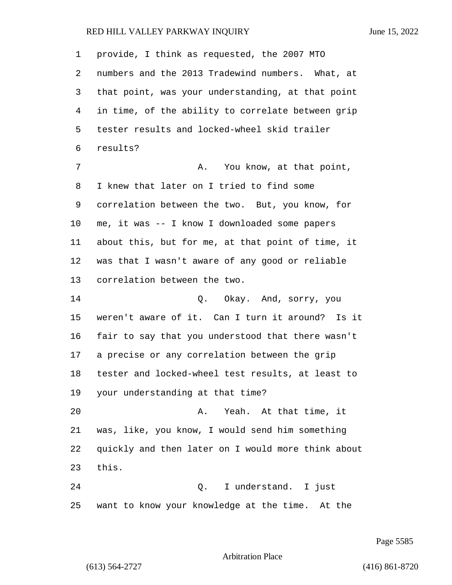provide, I think as requested, the 2007 MTO numbers and the 2013 Tradewind numbers. What, at that point, was your understanding, at that point in time, of the ability to correlate between grip tester results and locked-wheel skid trailer results? 7 A. You know, at that point, I knew that later on I tried to find some correlation between the two. But, you know, for me, it was -- I know I downloaded some papers about this, but for me, at that point of time, it was that I wasn't aware of any good or reliable correlation between the two. 14 Q. Okay. And, sorry, you weren't aware of it. Can I turn it around? Is it fair to say that you understood that there wasn't a precise or any correlation between the grip tester and locked-wheel test results, at least to your understanding at that time? 20 A. Yeah. At that time, it was, like, you know, I would send him something quickly and then later on I would more think about this. 24 Q. I understand. I just want to know your knowledge at the time. At the

Page 5585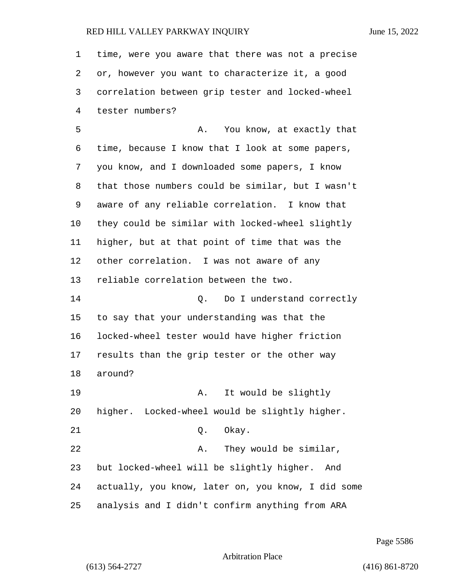time, were you aware that there was not a precise or, however you want to characterize it, a good correlation between grip tester and locked-wheel tester numbers? 5 A. You know, at exactly that time, because I know that I look at some papers, you know, and I downloaded some papers, I know that those numbers could be similar, but I wasn't aware of any reliable correlation. I know that they could be similar with locked-wheel slightly higher, but at that point of time that was the other correlation. I was not aware of any reliable correlation between the two. 14 O. Do I understand correctly to say that your understanding was that the locked-wheel tester would have higher friction results than the grip tester or the other way around? 19 A. It would be slightly higher. Locked-wheel would be slightly higher. 21 0. Okay. 22 A. They would be similar, but locked-wheel will be slightly higher. And actually, you know, later on, you know, I did some analysis and I didn't confirm anything from ARA

Page 5586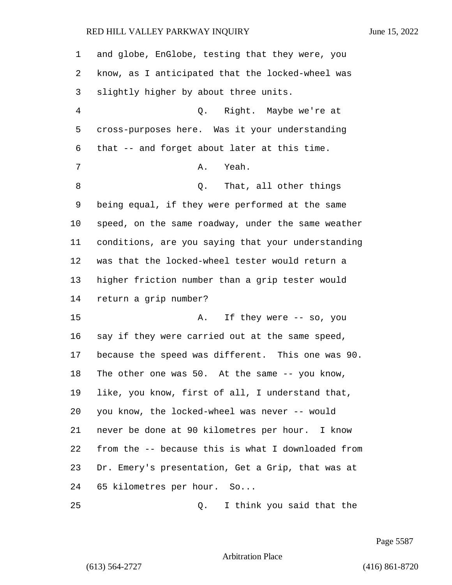| $\mathbf 1$ | and globe, EnGlobe, testing that they were, you      |
|-------------|------------------------------------------------------|
| 2           | know, as I anticipated that the locked-wheel was     |
| 3           | slightly higher by about three units.                |
| 4           | Q. Right. Maybe we're at                             |
| 5           | cross-purposes here. Was it your understanding       |
| 6           | that -- and forget about later at this time.         |
| 7           | Yeah.<br>Α.                                          |
| 8           | That, all other things<br>Q.                         |
| 9           | being equal, if they were performed at the same      |
| $10 \,$     | speed, on the same roadway, under the same weather   |
| 11          | conditions, are you saying that your understanding   |
| 12          | was that the locked-wheel tester would return a      |
| 13          | higher friction number than a grip tester would      |
| 14          | return a grip number?                                |
| 15          | Α.<br>If they were -- so, you                        |
| 16          | say if they were carried out at the same speed,      |
| 17          | because the speed was different. This one was 90.    |
| 18          | The other one was $50$ . At the same $-$ - you know, |
| 19          | like, you know, first of all, I understand that,     |
| 20          | you know, the locked-wheel was never -- would        |
| 21          | never be done at 90 kilometres per hour. I know      |
| 22          | from the -- because this is what I downloaded from   |
| 23          | Dr. Emery's presentation, Get a Grip, that was at    |
| 24          | 65 kilometres per hour. So                           |
|             |                                                      |

25 Q. I think you said that the

Page 5587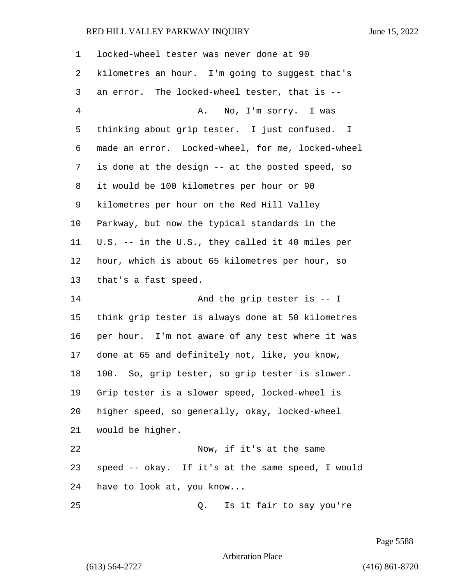| 1              | locked-wheel tester was never done at 90          |
|----------------|---------------------------------------------------|
| 2              | kilometres an hour. I'm going to suggest that's   |
| 3              | an error. The locked-wheel tester, that is --     |
| $\overline{4}$ | A.<br>No, I'm sorry. I was                        |
| 5              | thinking about grip tester. I just confused. I    |
| 6              | made an error. Locked-wheel, for me, locked-wheel |
| 7              | is done at the design -- at the posted speed, so  |
| 8              | it would be 100 kilometres per hour or 90         |
| 9              | kilometres per hour on the Red Hill Valley        |
| 10             | Parkway, but now the typical standards in the     |
| 11             | U.S. -- in the U.S., they called it 40 miles per  |
| 12             | hour, which is about 65 kilometres per hour, so   |
| 13             | that's a fast speed.                              |
| 14             | And the grip tester is $-$ I                      |
| 15             | think grip tester is always done at 50 kilometres |
| 16             | per hour. I'm not aware of any test where it was  |
| 17             | done at 65 and definitely not, like, you know,    |
| 18             | 100. So, grip tester, so grip tester is slower.   |
| 19             | Grip tester is a slower speed, locked-wheel is    |
| 20             | higher speed, so generally, okay, locked-wheel    |
| 21             | would be higher.                                  |
| 22             | Now, if it's at the same                          |
| 23             | speed -- okay. If it's at the same speed, I would |
| 24             | have to look at, you know                         |
| 25             | Is it fair to say you're<br>Q.                    |

Page 5588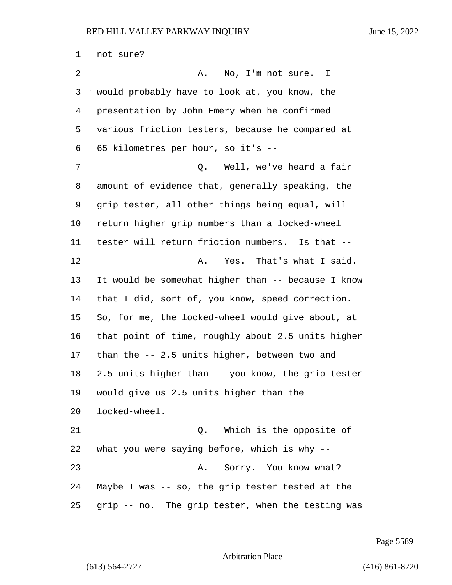not sure? 2 A. No, I'm not sure. I would probably have to look at, you know, the presentation by John Emery when he confirmed various friction testers, because he compared at 65 kilometres per hour, so it's -- 7 Q. Well, we've heard a fair amount of evidence that, generally speaking, the grip tester, all other things being equal, will return higher grip numbers than a locked-wheel tester will return friction numbers. Is that -- 12 A. Yes. That's what I said. It would be somewhat higher than -- because I know that I did, sort of, you know, speed correction. So, for me, the locked-wheel would give about, at that point of time, roughly about 2.5 units higher than the -- 2.5 units higher, between two and 2.5 units higher than -- you know, the grip tester would give us 2.5 units higher than the locked-wheel. 21 Q. Which is the opposite of what you were saying before, which is why -- 23 A. Sorry. You know what? Maybe I was -- so, the grip tester tested at the grip -- no. The grip tester, when the testing was

Page 5589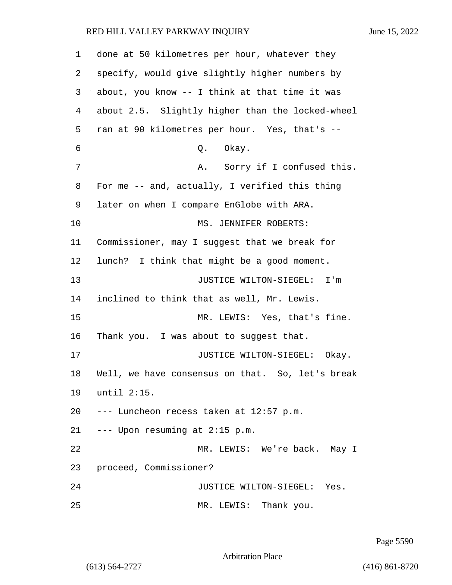done at 50 kilometres per hour, whatever they specify, would give slightly higher numbers by about, you know -- I think at that time it was about 2.5. Slightly higher than the locked-wheel ran at 90 kilometres per hour. Yes, that's -- 6 0. Okay. 7 A. Sorry if I confused this. For me -- and, actually, I verified this thing later on when I compare EnGlobe with ARA. 10 MS. JENNIFER ROBERTS: Commissioner, may I suggest that we break for lunch? I think that might be a good moment. 13 JUSTICE WILTON-SIEGEL: I'm inclined to think that as well, Mr. Lewis. 15 MR. LEWIS: Yes, that's fine. Thank you. I was about to suggest that. **JUSTICE WILTON-SIEGEL:** Okay. Well, we have consensus on that. So, let's break until 2:15. --- Luncheon recess taken at 12:57 p.m. --- Upon resuming at 2:15 p.m. 22 MR. LEWIS: We're back. May I proceed, Commissioner? 24 JUSTICE WILTON-SIEGEL: Yes. 25 MR. LEWIS: Thank you.

Page 5590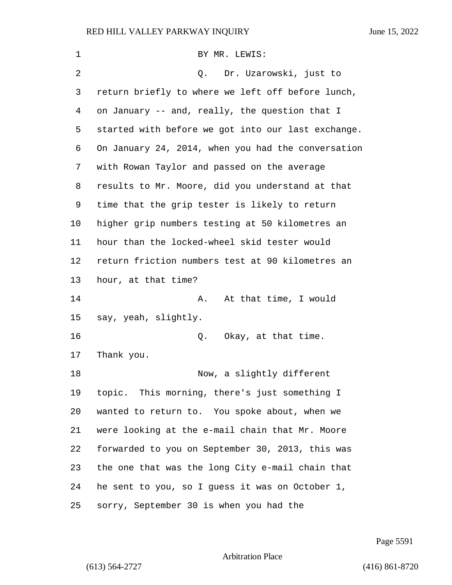| 1       | BY MR. LEWIS:                                      |
|---------|----------------------------------------------------|
| 2       | Dr. Uzarowski, just to<br>Q.                       |
| 3       | return briefly to where we left off before lunch,  |
| 4       | on January -- and, really, the question that I     |
| 5       | started with before we got into our last exchange. |
| 6       | On January 24, 2014, when you had the conversation |
| 7       | with Rowan Taylor and passed on the average        |
| 8       | results to Mr. Moore, did you understand at that   |
| 9       | time that the grip tester is likely to return      |
| $10 \,$ | higher grip numbers testing at 50 kilometres an    |
| 11      | hour than the locked-wheel skid tester would       |
| 12      | return friction numbers test at 90 kilometres an   |
| 13      | hour, at that time?                                |
| 14      | At that time, I would<br>Α.                        |
| 15      | say, yeah, slightly.                               |
| 16      | Q. Okay, at that time.                             |
| 17      | Thank you.                                         |
| 18      | Now, a slightly different                          |
| 19      | topic. This morning, there's just something I      |
| 20      | wanted to return to. You spoke about, when we      |
| 21      | were looking at the e-mail chain that Mr. Moore    |
| 22      | forwarded to you on September 30, 2013, this was   |
| 23      | the one that was the long City e-mail chain that   |
| 24      | he sent to you, so I guess it was on October 1,    |
| 25      | sorry, September 30 is when you had the            |

Page 5591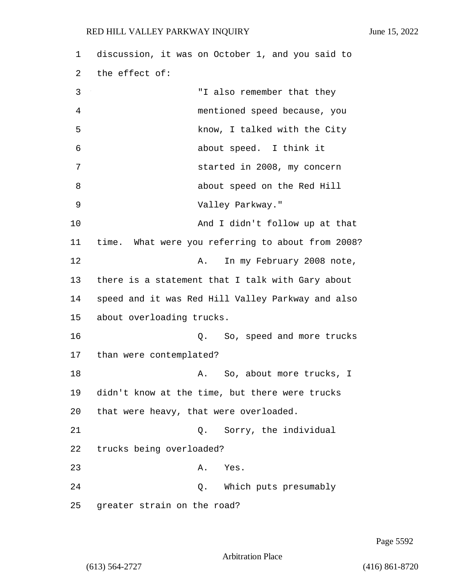1 discussion, it was on October 1, and you said to 2 the effect of: 3 "I also remember that they 4 mentioned speed because, you 5 know, I talked with the City 6 about speed. I think it 7 started in 2008, my concern 8 about speed on the Red Hill 9 Valley Parkway." 10 And I didn't follow up at that 11 time. What were you referring to about from 2008? 12 A. In my February 2008 note, 13 there is a statement that I talk with Gary about 14 speed and it was Red Hill Valley Parkway and also 15 about overloading trucks. 16 Q. So, speed and more trucks 17 than were contemplated? 18 **A.** So, about more trucks, I 19 didn't know at the time, but there were trucks 20 that were heavy, that were overloaded. 21 Q. Sorry, the individual 22 trucks being overloaded? 23 A. Yes. 24 Q. Which puts presumably 25 greater strain on the road?

Page 5592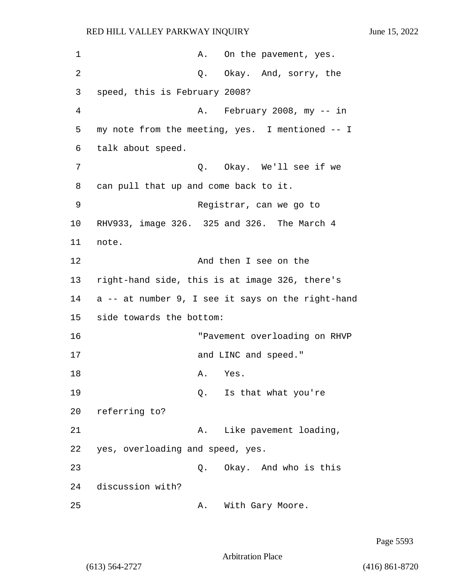| 1  | On the pavement, yes.<br>Α.                       |
|----|---------------------------------------------------|
| 2  | Q. Okay. And, sorry, the                          |
| 3  | speed, this is February 2008?                     |
| 4  | A. February 2008, my -- in                        |
| 5  | my note from the meeting, yes. I mentioned -- I   |
| 6  | talk about speed.                                 |
| 7  | Q. Okay. We'll see if we                          |
| 8  | can pull that up and come back to it.             |
| 9  | Registrar, can we go to                           |
| 10 | RHV933, image 326. 325 and 326. The March 4       |
| 11 | note.                                             |
| 12 | And then I see on the                             |
| 13 | right-hand side, this is at image 326, there's    |
| 14 | a -- at number 9, I see it says on the right-hand |
| 15 | side towards the bottom:                          |
| 16 | "Pavement overloading on RHVP                     |
| 17 | and LINC and speed."                              |
| 18 | Α.<br>Yes.                                        |
| 19 | Is that what you're<br>Q.                         |
| 20 | referring to?                                     |
| 21 | Like pavement loading,<br>Α.                      |
| 22 | yes, overloading and speed, yes.                  |
| 23 | Q. Okay. And who is this                          |
| 24 | discussion with?                                  |
| 25 | With Gary Moore.<br>Α.                            |

Page 5593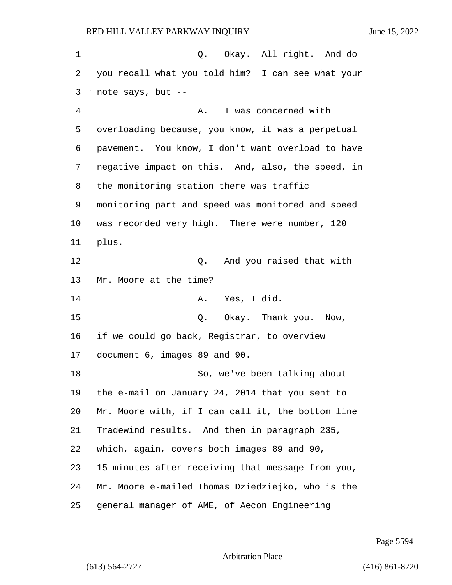1 and  $\alpha$  o. Okay. All right. And do you recall what you told him? I can see what your note says, but -- 4 A. I was concerned with overloading because, you know, it was a perpetual pavement. You know, I don't want overload to have negative impact on this. And, also, the speed, in the monitoring station there was traffic monitoring part and speed was monitored and speed was recorded very high. There were number, 120 plus. 12 and you raised that with Mr. Moore at the time? 14 A. Yes, I did. 15 0. Okay. Thank you. Now, if we could go back, Registrar, to overview document 6, images 89 and 90. 18 So, we've been talking about the e-mail on January 24, 2014 that you sent to Mr. Moore with, if I can call it, the bottom line Tradewind results. And then in paragraph 235, which, again, covers both images 89 and 90, 15 minutes after receiving that message from you, Mr. Moore e-mailed Thomas Dziedziejko, who is the general manager of AME, of Aecon Engineering

Page 5594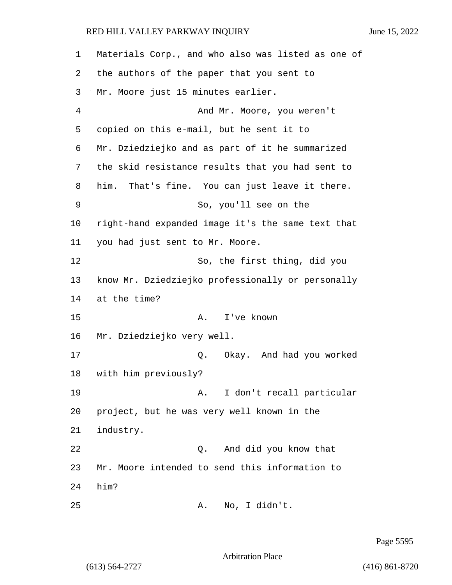Materials Corp., and who also was listed as one of the authors of the paper that you sent to Mr. Moore just 15 minutes earlier. 4 And Mr. Moore, you weren't copied on this e-mail, but he sent it to Mr. Dziedziejko and as part of it he summarized the skid resistance results that you had sent to him. That's fine. You can just leave it there. 9 So, you'll see on the right-hand expanded image it's the same text that you had just sent to Mr. Moore. 12 So, the first thing, did you know Mr. Dziedziejko professionally or personally at the time? 15 A. I've known Mr. Dziedziejko very well. 17 Q. Okay. And had you worked with him previously? 19 A. I don't recall particular project, but he was very well known in the industry. 22 Q. And did you know that Mr. Moore intended to send this information to 24 him? 25 A. No, I didn't.

Page 5595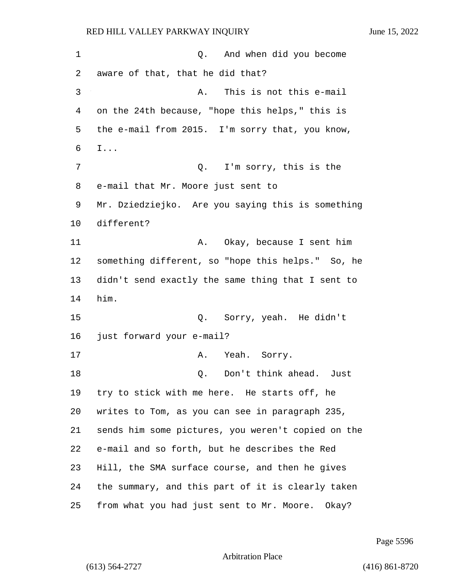1 and when did you become aware of that, that he did that? 3 A. This is not this e-mail on the 24th because, "hope this helps," this is the e-mail from 2015. I'm sorry that, you know, I... 7 Q. I'm sorry, this is the e-mail that Mr. Moore just sent to Mr. Dziedziejko. Are you saying this is something different? 11 A. Okay, because I sent him something different, so "hope this helps." So, he didn't send exactly the same thing that I sent to him. 15 Q. Sorry, yeah. He didn't just forward your e-mail? 17 A. Yeah. Sorry. 18 Q. Don't think ahead. Just try to stick with me here. He starts off, he writes to Tom, as you can see in paragraph 235, sends him some pictures, you weren't copied on the e-mail and so forth, but he describes the Red Hill, the SMA surface course, and then he gives the summary, and this part of it is clearly taken from what you had just sent to Mr. Moore. Okay?

Page 5596

Arbitration Place

(613) 564-2727 (416) 861-8720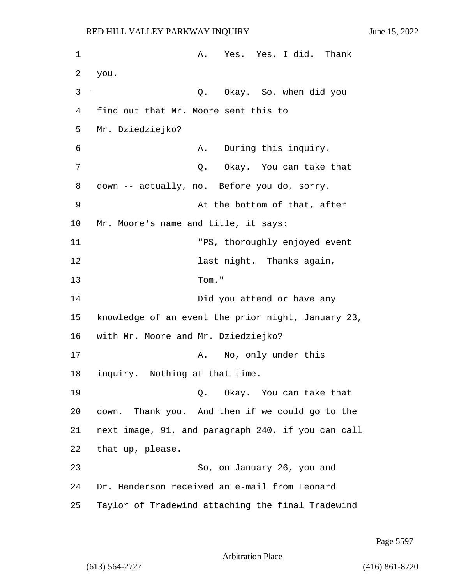1 A. Yes. Yes, I did. Thank 2 you. 3 Q. Okay. So, when did you 4 find out that Mr. Moore sent this to 5 Mr. Dziedziejko? 6 A. During this inquiry. 7 C. Okay. You can take that 8 down -- actually, no. Before you do, sorry. 9 At the bottom of that, after 10 Mr. Moore's name and title, it says: 11 "PS, thoroughly enjoyed event 12 last night. Thanks again, 13 Tom." 14 Did you attend or have any 15 knowledge of an event the prior night, January 23, 16 with Mr. Moore and Mr. Dziedziejko? 17 A. No, only under this 18 inquiry. Nothing at that time. 19 Q. Okay. You can take that 20 down. Thank you. And then if we could go to the 21 next image, 91, and paragraph 240, if you can call 22 that up, please. 23 So, on January 26, you and 24 Dr. Henderson received an e-mail from Leonard 25 Taylor of Tradewind attaching the final Tradewind

Page 5597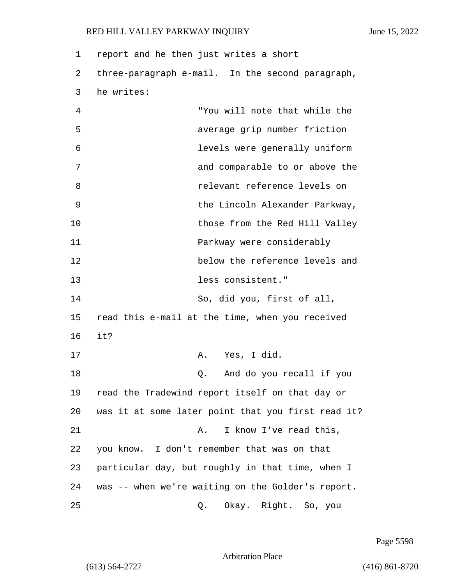| 1  | report and he then just writes a short             |
|----|----------------------------------------------------|
| 2  | three-paragraph e-mail. In the second paragraph,   |
| 3  | he writes:                                         |
| 4  | "You will note that while the                      |
| 5  | average grip number friction                       |
| 6  | levels were generally uniform                      |
| 7  | and comparable to or above the                     |
| 8  | relevant reference levels on                       |
| 9  | the Lincoln Alexander Parkway,                     |
| 10 | those from the Red Hill Valley                     |
| 11 | Parkway were considerably                          |
| 12 | below the reference levels and                     |
| 13 | less consistent."                                  |
| 14 | So, did you, first of all,                         |
| 15 | read this e-mail at the time, when you received    |
| 16 | it?                                                |
| 17 | Yes, I did.<br>A.                                  |
| 18 | And do you recall if you<br>0.                     |
| 19 | read the Tradewind report itself on that day or    |
| 20 | was it at some later point that you first read it? |
| 21 | I know I've read this,<br>Α.                       |
| 22 | you know. I don't remember that was on that        |
| 23 | particular day, but roughly in that time, when I   |
| 24 | was -- when we're waiting on the Golder's report.  |
| 25 | Okay. Right. So, you<br>Q.                         |

Page 5598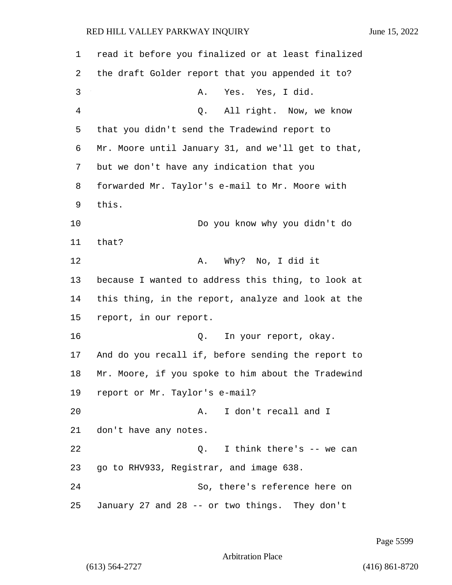1 read it before you finalized or at least finalized 2 the draft Golder report that you appended it to? 3 A. Yes. Yes, I did. 4 Q. All right. Now, we know 5 that you didn't send the Tradewind report to 6 Mr. Moore until January 31, and we'll get to that, 7 but we don't have any indication that you 8 forwarded Mr. Taylor's e-mail to Mr. Moore with 9 this. 10 Do you know why you didn't do 11 that? 12 A. Why? No, I did it 13 because I wanted to address this thing, to look at 14 this thing, in the report, analyze and look at the 15 report, in our report. 16 Q. In your report, okay. 17 And do you recall if, before sending the report to 18 Mr. Moore, if you spoke to him about the Tradewind 19 report or Mr. Taylor's e-mail? 20 A. I don't recall and I 21 don't have any notes. 22 Q. I think there's -- we can 23 go to RHV933, Registrar, and image 638. 24 So, there's reference here on 25 January 27 and 28 -- or two things. They don't

Page 5599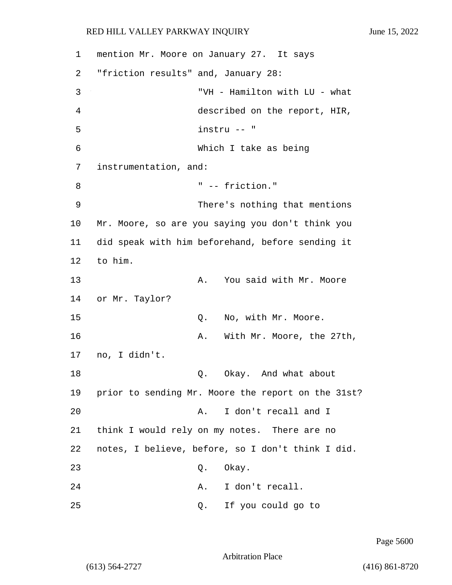| 1  | mention Mr. Moore on January 27. It says |    |                                                    |
|----|------------------------------------------|----|----------------------------------------------------|
| 2  | "friction results" and, January 28:      |    |                                                    |
| 3  |                                          |    | "VH - Hamilton with LU - what                      |
| 4  |                                          |    | described on the report, HIR,                      |
| 5  |                                          |    | instru -- "                                        |
| 6  |                                          |    | Which I take as being                              |
| 7  | instrumentation, and:                    |    |                                                    |
| 8  |                                          |    | " -- friction."                                    |
| 9  |                                          |    | There's nothing that mentions                      |
| 10 |                                          |    | Mr. Moore, so are you saying you don't think you   |
| 11 |                                          |    | did speak with him beforehand, before sending it   |
| 12 | to him.                                  |    |                                                    |
| 13 |                                          | Α. | You said with Mr. Moore                            |
| 14 | or Mr. Taylor?                           |    |                                                    |
| 15 |                                          | Q. | No, with Mr. Moore.                                |
| 16 |                                          | Α. | With Mr. Moore, the 27th,                          |
| 17 | no, I didn't.                            |    |                                                    |
| 18 |                                          | Q. | Okay. And what about                               |
| 19 |                                          |    | prior to sending Mr. Moore the report on the 31st? |
| 20 |                                          | Α. | I don't recall and I                               |
| 21 |                                          |    | think I would rely on my notes. There are no       |
| 22 |                                          |    | notes, I believe, before, so I don't think I did.  |
| 23 |                                          | Q. | Okay.                                              |
| 24 |                                          | Α. | I don't recall.                                    |
| 25 |                                          | Q. | If you could go to                                 |

Page 5600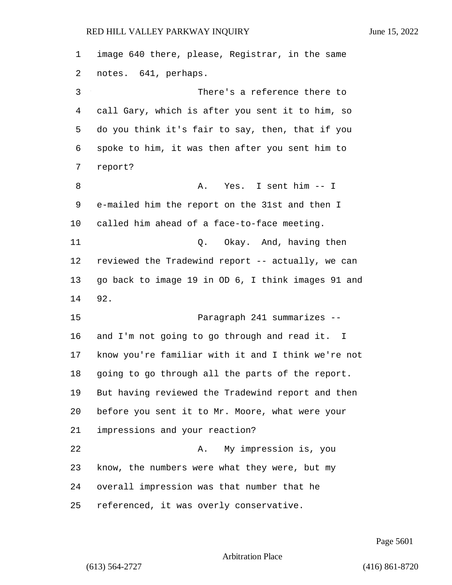image 640 there, please, Registrar, in the same notes. 641, perhaps. 3 There's a reference there to call Gary, which is after you sent it to him, so do you think it's fair to say, then, that if you spoke to him, it was then after you sent him to report? 8 A. Yes. I sent him -- I e-mailed him the report on the 31st and then I called him ahead of a face-to-face meeting. 11 Q. Okay. And, having then reviewed the Tradewind report -- actually, we can go back to image 19 in OD 6, I think images 91 and 92. 15 Paragraph 241 summarizes -- and I'm not going to go through and read it. I know you're familiar with it and I think we're not going to go through all the parts of the report. But having reviewed the Tradewind report and then before you sent it to Mr. Moore, what were your impressions and your reaction? 22 A. My impression is, you know, the numbers were what they were, but my overall impression was that number that he referenced, it was overly conservative.

Page 5601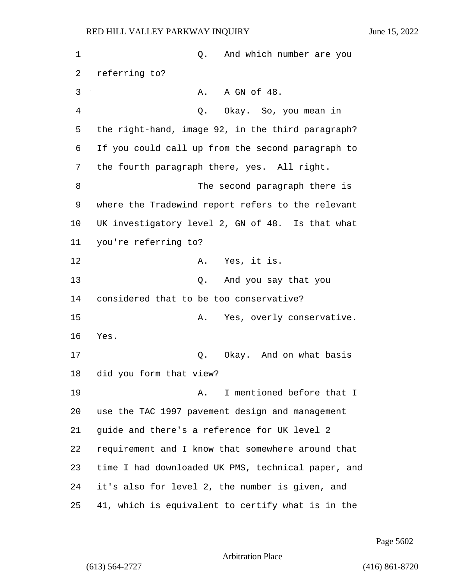| 1  | And which number are you<br>Q.                     |
|----|----------------------------------------------------|
| 2  | referring to?                                      |
| 3  | A GN of 48.<br>Α.                                  |
| 4  | Okay. So, you mean in<br>Q.                        |
| 5  | the right-hand, image 92, in the third paragraph?  |
| 6  | If you could call up from the second paragraph to  |
| 7  | the fourth paragraph there, yes. All right.        |
| 8  | The second paragraph there is                      |
| 9  | where the Tradewind report refers to the relevant  |
| 10 | UK investigatory level 2, GN of 48. Is that what   |
| 11 | you're referring to?                               |
| 12 | A. Yes, it is.                                     |
| 13 | And you say that you<br>Q.                         |
| 14 | considered that to be too conservative?            |
| 15 | Yes, overly conservative.<br>Α.                    |
| 16 | Yes.                                               |
| 17 | Q. Okay. And on what basis                         |
| 18 | did you form that view?                            |
| 19 | I mentioned before that I<br>Α.                    |
| 20 | use the TAC 1997 pavement design and management    |
| 21 | guide and there's a reference for UK level 2       |
| 22 | requirement and I know that somewhere around that  |
| 23 | time I had downloaded UK PMS, technical paper, and |
| 24 | it's also for level 2, the number is given, and    |
| 25 | 41, which is equivalent to certify what is in the  |

Page 5602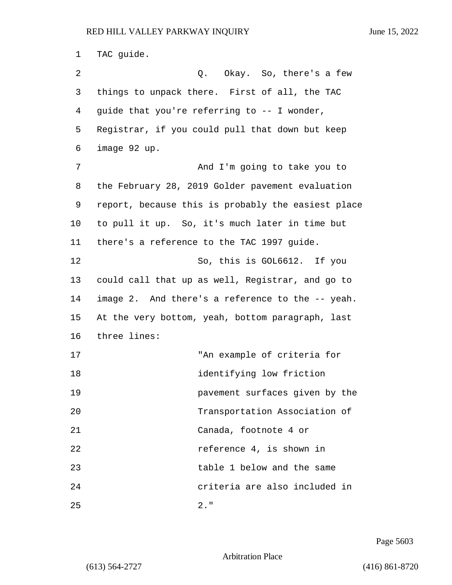1 TAC guide. 2 Q. Okay. So, there's a few 3 things to unpack there. First of all, the TAC 4 guide that you're referring to -- I wonder, 5 Registrar, if you could pull that down but keep 6 image 92 up. 7 And I'm going to take you to 8 the February 28, 2019 Golder pavement evaluation 9 report, because this is probably the easiest place 10 to pull it up. So, it's much later in time but 11 there's a reference to the TAC 1997 guide. 12 So, this is GOL6612. If you 13 could call that up as well, Registrar, and go to 14 image 2. And there's a reference to the -- yeah. 15 At the very bottom, yeah, bottom paragraph, last 16 three lines: 17 "An example of criteria for 18 identifying low friction 19 pavement surfaces given by the 20 Transportation Association of 21 Canada, footnote 4 or 22 reference 4, is shown in 23 table 1 below and the same 24 criteria are also included in 25 2."

Page 5603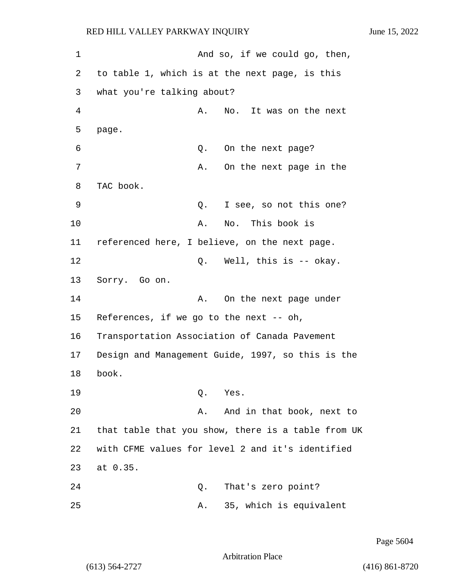1 And so, if we could go, then, 2 to table 1, which is at the next page, is this 3 what you're talking about? 4 A. No. It was on the next 5 page. 6 Q. On the next page? 7 A. On the next page in the 8 TAC book. 9 Q. I see, so not this one? 10 A. No. This book is 11 referenced here, I believe, on the next page. 12 O. Well, this is -- okay. 13 Sorry. Go on. 14 A. On the next page under 15 References, if we go to the next -- oh, 16 Transportation Association of Canada Pavement 17 Design and Management Guide, 1997, so this is the 18 book. 19 Q. Yes. 20 A. And in that book, next to 21 that table that you show, there is a table from UK 22 with CFME values for level 2 and it's identified 23 at 0.35. 24 Q. That's zero point? 25 A. 35, which is equivalent

Page 5604

Arbitration Place

(613) 564-2727 (416) 861-8720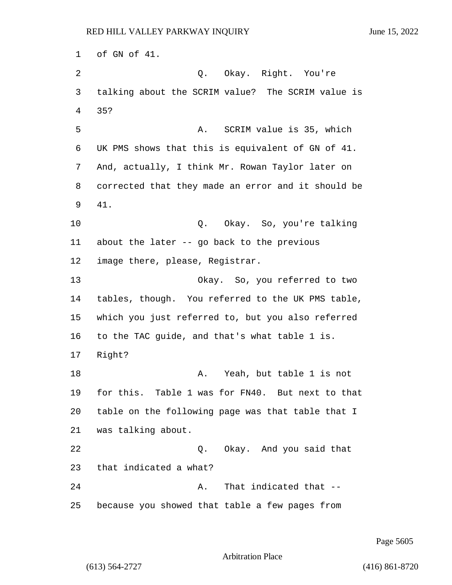of GN of 41. 2 Q. Okay. Right. You're talking about the SCRIM value? The SCRIM value is 35? 5 A. SCRIM value is 35, which UK PMS shows that this is equivalent of GN of 41. And, actually, I think Mr. Rowan Taylor later on corrected that they made an error and it should be 41. 10 Q. Okay. So, you're talking about the later -- go back to the previous image there, please, Registrar. 13 Okay. So, you referred to two tables, though. You referred to the UK PMS table, which you just referred to, but you also referred to the TAC guide, and that's what table 1 is. Right? 18 A. Yeah, but table 1 is not for this. Table 1 was for FN40. But next to that table on the following page was that table that I was talking about. 22 Q. Okay. And you said that that indicated a what? 24 A. That indicated that --because you showed that table a few pages from

### Page 5605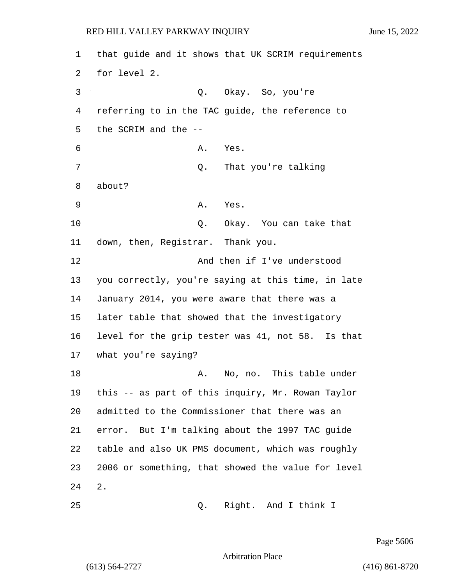1 that guide and it shows that UK SCRIM requirements 2 for level 2. 3 Q. Okay. So, you're 4 referring to in the TAC guide, the reference to 5 the SCRIM and the -- 6 A. Yes. 7 Q. That you're talking 8 about? 9 A. Yes. 10 Q. Okay. You can take that 11 down, then, Registrar. Thank you. 12 And then if I've understood 13 you correctly, you're saying at this time, in late 14 January 2014, you were aware that there was a 15 later table that showed that the investigatory 16 level for the grip tester was 41, not 58. Is that 17 what you're saying? 18 A. No, no. This table under 19 this -- as part of this inquiry, Mr. Rowan Taylor 20 admitted to the Commissioner that there was an 21 error. But I'm talking about the 1997 TAC guide 22 table and also UK PMS document, which was roughly 23 2006 or something, that showed the value for level 24 2. 25 Q. Right. And I think I

Page 5606

Arbitration Place

(613) 564-2727 (416) 861-8720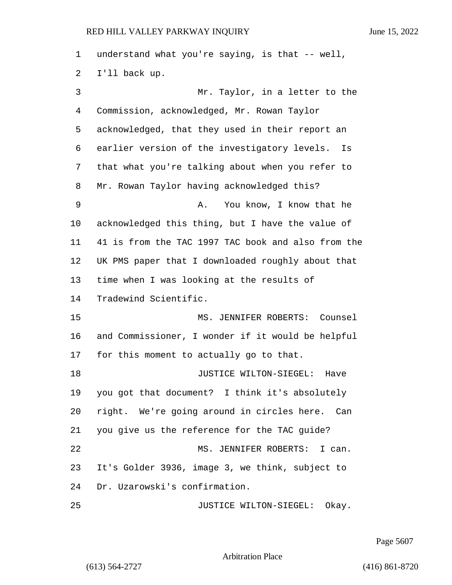understand what you're saying, is that -- well, I'll back up. 3 Mr. Taylor, in a letter to the Commission, acknowledged, Mr. Rowan Taylor acknowledged, that they used in their report an earlier version of the investigatory levels. Is that what you're talking about when you refer to Mr. Rowan Taylor having acknowledged this? 9 A. You know, I know that he acknowledged this thing, but I have the value of 41 is from the TAC 1997 TAC book and also from the UK PMS paper that I downloaded roughly about that time when I was looking at the results of Tradewind Scientific. 15 MS. JENNIFER ROBERTS: Counsel and Commissioner, I wonder if it would be helpful for this moment to actually go to that. 18 JUSTICE WILTON-SIEGEL: Have you got that document? I think it's absolutely right. We're going around in circles here. Can you give us the reference for the TAC guide? 22 MS. JENNIFER ROBERTS: I can. It's Golder 3936, image 3, we think, subject to Dr. Uzarowski's confirmation. 25 JUSTICE WILTON-SIEGEL: Okay.

Page 5607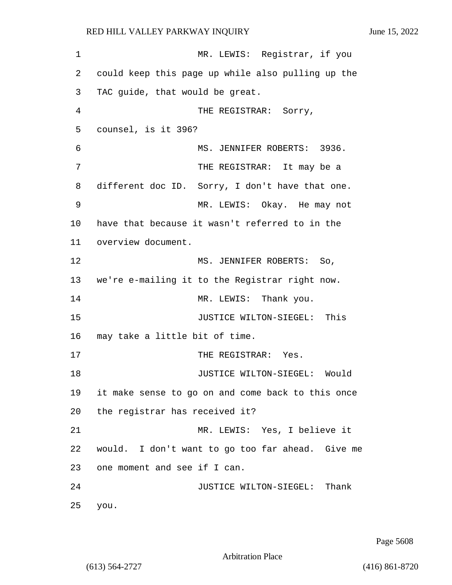1 MR. LEWIS: Registrar, if you 2 could keep this page up while also pulling up the 3 TAC guide, that would be great. 4 THE REGISTRAR: Sorry, 5 counsel, is it 396? 6 MS. JENNIFER ROBERTS: 3936. 7 THE REGISTRAR: It may be a 8 different doc ID. Sorry, I don't have that one. 9 MR. LEWIS: Okay. He may not 10 have that because it wasn't referred to in the 11 overview document. 12 MS. JENNIFER ROBERTS: So, 13 we're e-mailing it to the Registrar right now. 14 MR. LEWIS: Thank you. 15 JUSTICE WILTON-SIEGEL: This 16 may take a little bit of time. 17 THE REGISTRAR: Yes. 18 **JUSTICE WILTON-SIEGEL:** Would 19 it make sense to go on and come back to this once 20 the registrar has received it? 21 MR. LEWIS: Yes, I believe it 22 would. I don't want to go too far ahead. Give me 23 one moment and see if I can. 24 **JUSTICE WILTON-SIEGEL:** Thank 25 you.

Page 5608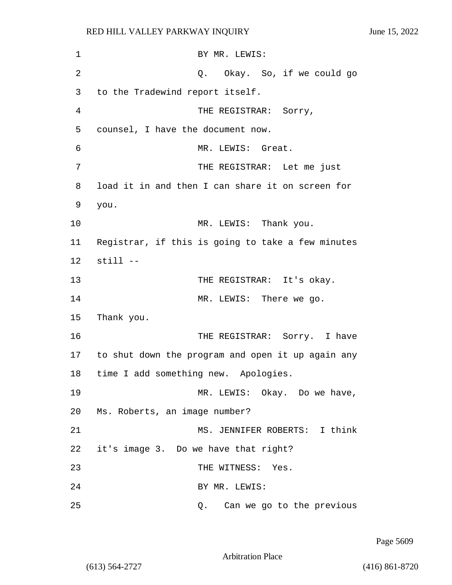| 1              | BY MR. LEWIS:                                     |
|----------------|---------------------------------------------------|
| $\overline{2}$ | Q. Okay. So, if we could go                       |
| 3              | to the Tradewind report itself.                   |
| 4              | THE REGISTRAR: Sorry,                             |
| 5              | counsel, I have the document now.                 |
| 6              | MR. LEWIS: Great.                                 |
| 7              | THE REGISTRAR: Let me just                        |
| 8              | load it in and then I can share it on screen for  |
| 9              | you.                                              |
| 10             | MR. LEWIS: Thank you.                             |
| 11             | Registrar, if this is going to take a few minutes |
| 12             | $still --$                                        |
| 13             | THE REGISTRAR: It's okay.                         |
| 14             | MR. LEWIS: There we go.                           |
| 15             | Thank you.                                        |
| 16             | THE REGISTRAR: Sorry. I have                      |
| 17             | to shut down the program and open it up again any |
| 18             | time I add something new. Apologies.              |
| 19             | MR. LEWIS: Okay. Do we have,                      |
| 20             | Ms. Roberts, an image number?                     |
| 21             | MS. JENNIFER ROBERTS: I think                     |
| 22             | it's image 3. Do we have that right?              |
| 23             | THE WITNESS: Yes.                                 |
| 24             | BY MR. LEWIS:                                     |
| 25             | Can we go to the previous<br>Q.                   |

Page 5609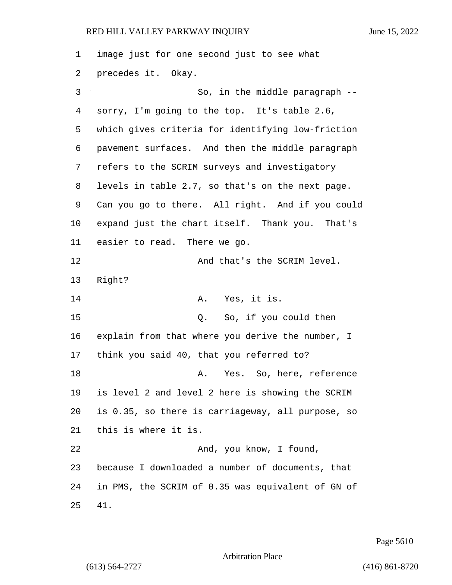image just for one second just to see what precedes it. Okay. 3 So, in the middle paragraph -- sorry, I'm going to the top. It's table 2.6, which gives criteria for identifying low-friction pavement surfaces. And then the middle paragraph refers to the SCRIM surveys and investigatory levels in table 2.7, so that's on the next page. Can you go to there. All right. And if you could expand just the chart itself. Thank you. That's easier to read. There we go. **And that's the SCRIM level.**  Right? 14 A. Yes, it is. 15 Q. So, if you could then explain from that where you derive the number, I think you said 40, that you referred to? 18 A. Yes. So, here, reference is level 2 and level 2 here is showing the SCRIM is 0.35, so there is carriageway, all purpose, so this is where it is. 22 And, you know, I found, because I downloaded a number of documents, that in PMS, the SCRIM of 0.35 was equivalent of GN of 41.

Page 5610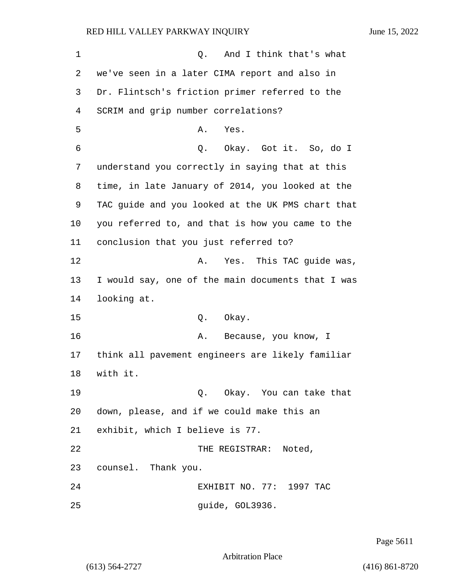1 Q. And I think that's what we've seen in a later CIMA report and also in Dr. Flintsch's friction primer referred to the SCRIM and grip number correlations? 5 A. Yes. 6 Q. Okay. Got it. So, do I understand you correctly in saying that at this time, in late January of 2014, you looked at the TAC guide and you looked at the UK PMS chart that you referred to, and that is how you came to the conclusion that you just referred to? **A.** Yes. This TAC quide was, I would say, one of the main documents that I was looking at. 15 0. Okay. 16 A. Because, you know, I think all pavement engineers are likely familiar 18 with it. 19 Q. Okay. You can take that down, please, and if we could make this an exhibit, which I believe is 77. 22 THE REGISTRAR: Noted, counsel. Thank you. 24 EXHIBIT NO. 77: 1997 TAC **guide, GOL3936.** 

Page 5611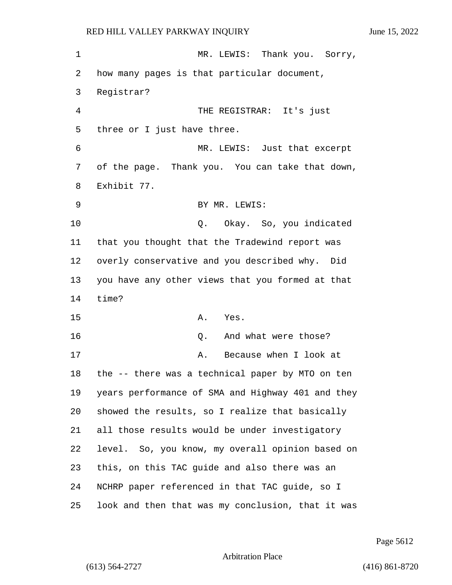1 MR. LEWIS: Thank you. Sorry, how many pages is that particular document, Registrar? 4 THE REGISTRAR: It's just three or I just have three. 6 MR. LEWIS: Just that excerpt of the page. Thank you. You can take that down, Exhibit 77. 9 BY MR. LEWIS: 10 Q. Okay. So, you indicated that you thought that the Tradewind report was overly conservative and you described why. Did you have any other views that you formed at that 14 time? 15 A. Yes. 16 Q. And what were those? 17 A. Because when I look at the -- there was a technical paper by MTO on ten years performance of SMA and Highway 401 and they showed the results, so I realize that basically all those results would be under investigatory level. So, you know, my overall opinion based on this, on this TAC guide and also there was an NCHRP paper referenced in that TAC guide, so I look and then that was my conclusion, that it was

Page 5612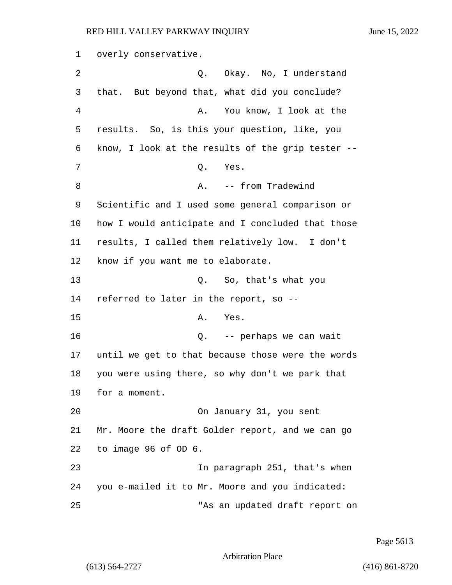1 overly conservative. 2 Q. Okay. No, I understand 3 that. But beyond that, what did you conclude? 4 A. You know, I look at the 5 results. So, is this your question, like, you 6 know, I look at the results of the grip tester -- 7 Q. Yes. 8 A. -- from Tradewind 9 Scientific and I used some general comparison or 10 how I would anticipate and I concluded that those 11 results, I called them relatively low. I don't 12 know if you want me to elaborate. 13 Q. So, that's what you 14 referred to later in the report, so -- 15 A. Yes. 16 Q. -- perhaps we can wait 17 until we get to that because those were the words 18 you were using there, so why don't we park that 19 for a moment. 20 On January 31, you sent 21 Mr. Moore the draft Golder report, and we can go 22 to image 96 of OD 6. 23 In paragraph 251, that's when 24 you e-mailed it to Mr. Moore and you indicated: 25 "As an updated draft report on

Page 5613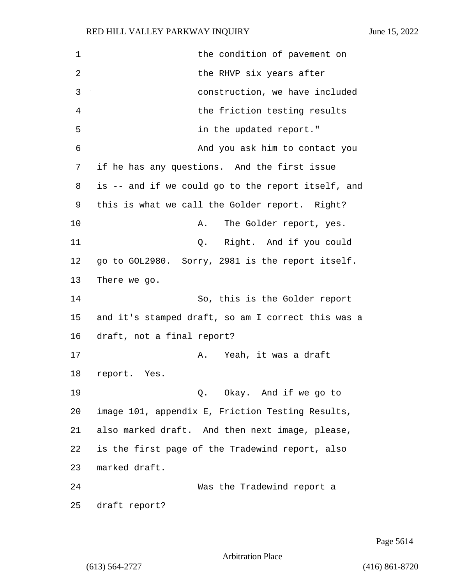1 the condition of pavement on 2 the RHVP six years after 3 construction, we have included 4 the friction testing results 5 in the updated report." 6 And you ask him to contact you 7 if he has any questions. And the first issue 8 is -- and if we could go to the report itself, and 9 this is what we call the Golder report. Right? 10 A. The Golder report, yes. 11 Q. Right. And if you could 12 go to GOL2980. Sorry, 2981 is the report itself. 13 There we go. 14 So, this is the Golder report 15 and it's stamped draft, so am I correct this was a 16 draft, not a final report? 17 A. Yeah, it was a draft 18 report. Yes. 19 Q. Okay. And if we go to 20 image 101, appendix E, Friction Testing Results, 21 also marked draft. And then next image, please, 22 is the first page of the Tradewind report, also 23 marked draft. 24 Was the Tradewind report a 25 draft report?

Page 5614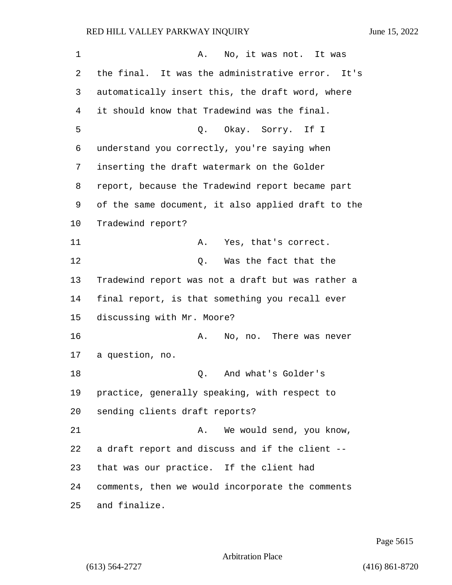| $\mathbf 1$ | No, it was not. It was<br>Α.                       |  |
|-------------|----------------------------------------------------|--|
| 2           | the final. It was the administrative error. It's   |  |
| 3           | automatically insert this, the draft word, where   |  |
| 4           | it should know that Tradewind was the final.       |  |
| 5           | Okay. Sorry. If I<br>Q.                            |  |
| 6           | understand you correctly, you're saying when       |  |
| 7           | inserting the draft watermark on the Golder        |  |
| 8           | report, because the Tradewind report became part   |  |
| 9           | of the same document, it also applied draft to the |  |
| 10          | Tradewind report?                                  |  |
| 11          | Α.<br>Yes, that's correct.                         |  |
| 12          | Was the fact that the<br>Q.                        |  |
| 13          | Tradewind report was not a draft but was rather a  |  |
| 14          | final report, is that something you recall ever    |  |
| 15          | discussing with Mr. Moore?                         |  |
| 16          | No, no. There was never<br>Α.                      |  |
| 17          | a question, no.                                    |  |
| 18          | And what's Golder's<br>Q.                          |  |
| 19          | practice, generally speaking, with respect to      |  |
| 20          | sending clients draft reports?                     |  |
| 21          | We would send, you know,<br>Α.                     |  |
| 22          | a draft report and discuss and if the client --    |  |
| 23          | that was our practice. If the client had           |  |
| 24          | comments, then we would incorporate the comments   |  |
| 25          | and finalize.                                      |  |

Page 5615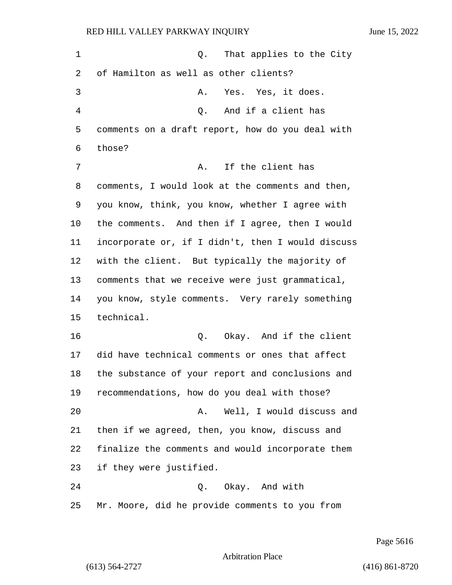| 1              | That applies to the City<br>Q.                    |  |  |  |
|----------------|---------------------------------------------------|--|--|--|
| 2              | of Hamilton as well as other clients?             |  |  |  |
| 3              | Yes. Yes, it does.<br>Α.                          |  |  |  |
| $\overline{4}$ | And if a client has<br>Q.                         |  |  |  |
| 5              | comments on a draft report, how do you deal with  |  |  |  |
| 6              | those?                                            |  |  |  |
| 7              | If the client has<br>Α.                           |  |  |  |
| 8              | comments, I would look at the comments and then,  |  |  |  |
| 9              | you know, think, you know, whether I agree with   |  |  |  |
| 10             | the comments. And then if I agree, then I would   |  |  |  |
| 11             | incorporate or, if I didn't, then I would discuss |  |  |  |
| 12             | with the client. But typically the majority of    |  |  |  |
| 13             | comments that we receive were just grammatical,   |  |  |  |
| 14             | you know, style comments. Very rarely something   |  |  |  |
| 15             | technical.                                        |  |  |  |
| 16             | Q. Okay. And if the client                        |  |  |  |
| 17             | did have technical comments or ones that affect   |  |  |  |
| 18             | the substance of your report and conclusions and  |  |  |  |
| 19             | recommendations, how do you deal with those?      |  |  |  |
| 20             | Well, I would discuss and<br>Α.                   |  |  |  |
| 21             | then if we agreed, then, you know, discuss and    |  |  |  |
| 22             | finalize the comments and would incorporate them  |  |  |  |
| 23             | if they were justified.                           |  |  |  |
| 24             | Q. Okay. And with                                 |  |  |  |
| 25             | Mr. Moore, did he provide comments to you from    |  |  |  |

Page 5616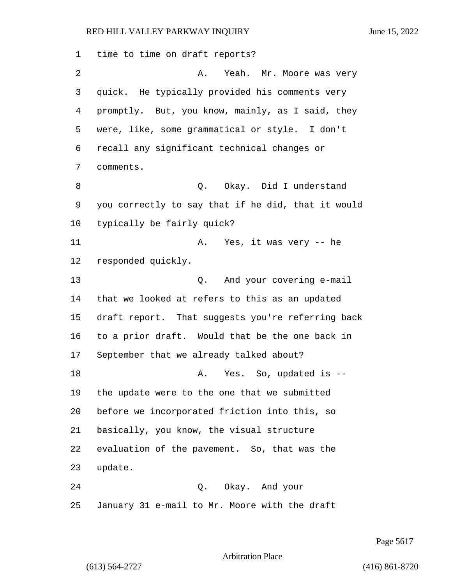time to time on draft reports? 2 A. Yeah. Mr. Moore was very quick. He typically provided his comments very promptly. But, you know, mainly, as I said, they were, like, some grammatical or style. I don't recall any significant technical changes or comments. 8 a. S. Q. Okay. Did I understand you correctly to say that if he did, that it would typically be fairly quick? 11 A. Yes, it was very -- he responded quickly. 13 Q. And your covering e-mail that we looked at refers to this as an updated draft report. That suggests you're referring back to a prior draft. Would that be the one back in September that we already talked about? 18 A. Yes. So, updated is -- the update were to the one that we submitted before we incorporated friction into this, so basically, you know, the visual structure evaluation of the pavement. So, that was the update. 24 Q. Okay. And your January 31 e-mail to Mr. Moore with the draft

Page 5617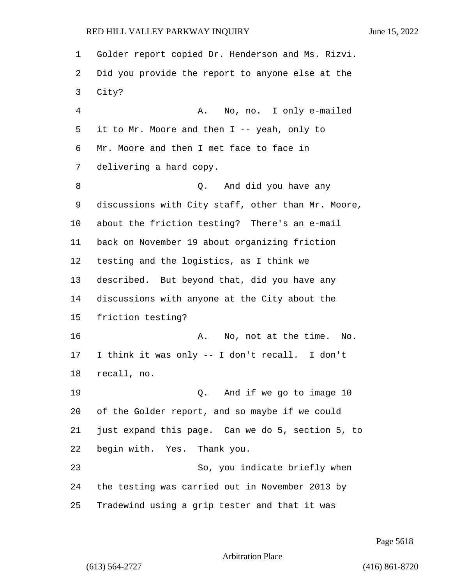Golder report copied Dr. Henderson and Ms. Rizvi. Did you provide the report to anyone else at the City? 4 A. No, no. I only e-mailed it to Mr. Moore and then I -- yeah, only to Mr. Moore and then I met face to face in delivering a hard copy. 8 and  $Q$ . And did you have any discussions with City staff, other than Mr. Moore, about the friction testing? There's an e-mail back on November 19 about organizing friction testing and the logistics, as I think we described. But beyond that, did you have any discussions with anyone at the City about the friction testing? 16 A. No, not at the time. No. I think it was only -- I don't recall. I don't recall, no. 19 Q. And if we go to image 10 of the Golder report, and so maybe if we could just expand this page. Can we do 5, section 5, to begin with. Yes. Thank you. 23 So, you indicate briefly when the testing was carried out in November 2013 by Tradewind using a grip tester and that it was

Page 5618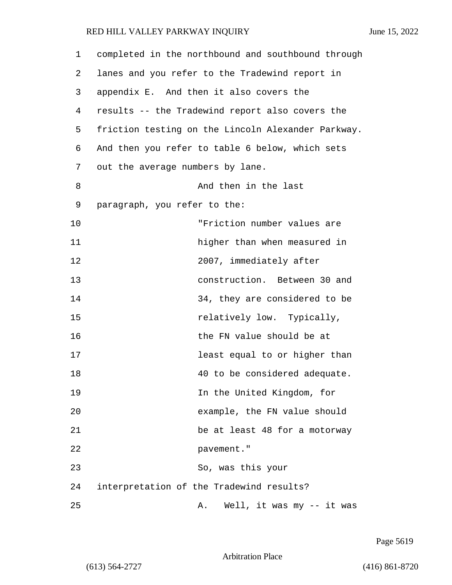1 completed in the northbound and southbound through 2 lanes and you refer to the Tradewind report in 3 appendix E. And then it also covers the 4 results -- the Tradewind report also covers the 5 friction testing on the Lincoln Alexander Parkway. 6 And then you refer to table 6 below, which sets 7 out the average numbers by lane. 8 And then in the last 9 paragraph, you refer to the: 10 "Friction number values are 11 higher than when measured in 12 2007, immediately after 13 construction. Between 30 and 14 34, they are considered to be 15 relatively low. Typically, 16 the FN value should be at 17 **17 least equal to or higher than** 18 40 to be considered adequate. 19 In the United Kingdom, for 20 example, the FN value should 21 be at least 48 for a motorway 22 pavement." 23 So, was this your 24 interpretation of the Tradewind results? 25 A. Well, it was my -- it was

Page 5619

Arbitration Place

(613) 564-2727 (416) 861-8720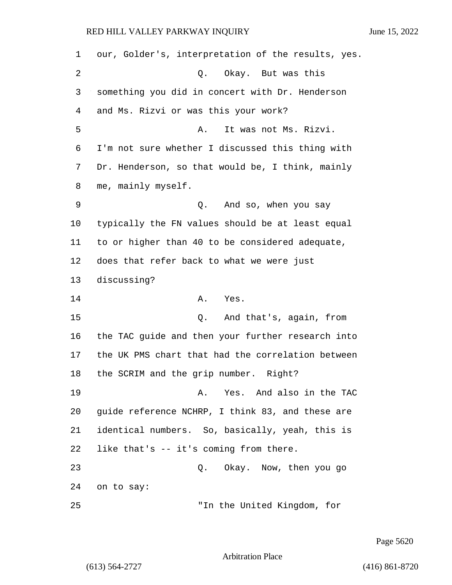our, Golder's, interpretation of the results, yes. 2 Q. Okay. But was this something you did in concert with Dr. Henderson and Ms. Rizvi or was this your work? 5 A. It was not Ms. Rizvi. I'm not sure whether I discussed this thing with Dr. Henderson, so that would be, I think, mainly me, mainly myself. 9 Q. And so, when you say typically the FN values should be at least equal to or higher than 40 to be considered adequate, does that refer back to what we were just discussing? 14 A. Yes. 15 Q. And that's, again, from the TAC guide and then your further research into the UK PMS chart that had the correlation between the SCRIM and the grip number. Right? 19 A. Yes. And also in the TAC guide reference NCHRP, I think 83, and these are identical numbers. So, basically, yeah, this is like that's -- it's coming from there. 23 Q. Okay. Now, then you go on to say: 25 "In the United Kingdom, for

Page 5620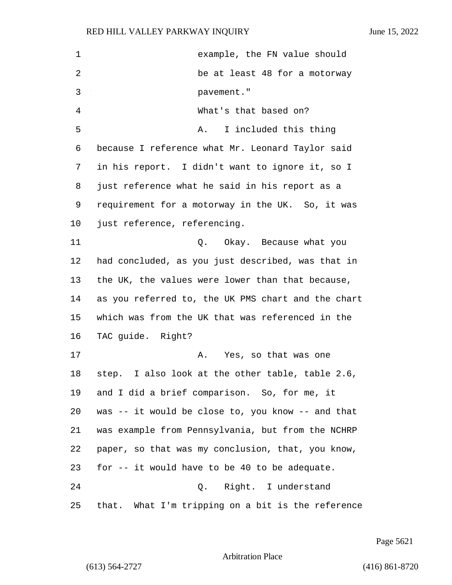| 1  | example, the FN value should                       |  |
|----|----------------------------------------------------|--|
| 2  | be at least 48 for a motorway                      |  |
| 3  | pavement."                                         |  |
| 4  | What's that based on?                              |  |
| 5  | I included this thing<br>A.                        |  |
| 6  | because I reference what Mr. Leonard Taylor said   |  |
| 7  | in his report. I didn't want to ignore it, so I    |  |
| 8  | just reference what he said in his report as a     |  |
| 9  | requirement for a motorway in the UK. So, it was   |  |
| 10 | just reference, referencing.                       |  |
| 11 | Q. Okay. Because what you                          |  |
| 12 | had concluded, as you just described, was that in  |  |
| 13 | the UK, the values were lower than that because,   |  |
| 14 | as you referred to, the UK PMS chart and the chart |  |
| 15 | which was from the UK that was referenced in the   |  |
| 16 | TAC guide. Right?                                  |  |
| 17 | Yes, so that was one<br>Α.                         |  |
| 18 | step. I also look at the other table, table 2.6,   |  |
| 19 | and I did a brief comparison. So, for me, it       |  |
| 20 | was -- it would be close to, you know -- and that  |  |
| 21 | was example from Pennsylvania, but from the NCHRP  |  |
| 22 | paper, so that was my conclusion, that, you know,  |  |
| 23 | for -- it would have to be 40 to be adequate.      |  |
| 24 | Right. I understand<br>Q.                          |  |
| 25 | that. What I'm tripping on a bit is the reference  |  |

Page 5621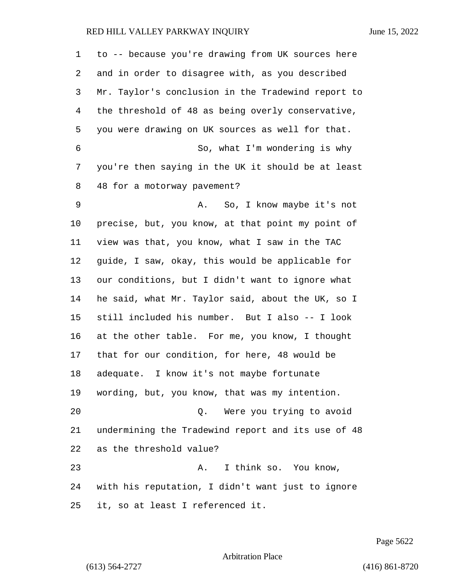| 1  | to -- because you're drawing from UK sources here  |  |  |  |
|----|----------------------------------------------------|--|--|--|
| 2  | and in order to disagree with, as you described    |  |  |  |
| 3  | Mr. Taylor's conclusion in the Tradewind report to |  |  |  |
| 4  | the threshold of 48 as being overly conservative,  |  |  |  |
| 5  | you were drawing on UK sources as well for that.   |  |  |  |
| 6  | So, what I'm wondering is why                      |  |  |  |
| 7  | you're then saying in the UK it should be at least |  |  |  |
| 8  | 48 for a motorway pavement?                        |  |  |  |
| 9  | A. So, I know maybe it's not                       |  |  |  |
| 10 | precise, but, you know, at that point my point of  |  |  |  |
| 11 | view was that, you know, what I saw in the TAC     |  |  |  |
| 12 | guide, I saw, okay, this would be applicable for   |  |  |  |
| 13 | our conditions, but I didn't want to ignore what   |  |  |  |
| 14 | he said, what Mr. Taylor said, about the UK, so I  |  |  |  |
| 15 | still included his number. But I also -- I look    |  |  |  |
| 16 | at the other table. For me, you know, I thought    |  |  |  |
| 17 | that for our condition, for here, 48 would be      |  |  |  |
| 18 | adequate. I know it's not maybe fortunate          |  |  |  |
| 19 | wording, but, you know, that was my intention.     |  |  |  |
| 20 | Were you trying to avoid<br>Q.                     |  |  |  |
| 21 | undermining the Tradewind report and its use of 48 |  |  |  |
| 22 | as the threshold value?                            |  |  |  |
| 23 | I think so. You know,<br>Α.                        |  |  |  |
| 24 | with his reputation, I didn't want just to ignore  |  |  |  |
| 25 | it, so at least I referenced it.                   |  |  |  |

Page 5622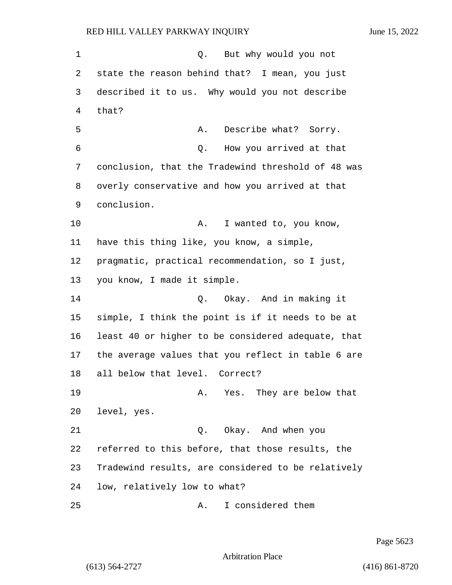1 Q. But why would you not state the reason behind that? I mean, you just described it to us. Why would you not describe 4 that? 5 A. Describe what? Sorry. 6 Q. How you arrived at that conclusion, that the Tradewind threshold of 48 was overly conservative and how you arrived at that conclusion. 10 A. I wanted to, you know, have this thing like, you know, a simple, pragmatic, practical recommendation, so I just, you know, I made it simple. 14 Q. Okay. And in making it simple, I think the point is if it needs to be at least 40 or higher to be considered adequate, that the average values that you reflect in table 6 are all below that level. Correct? 19 A. Yes. They are below that level, yes. 21 Q. Okay. And when you referred to this before, that those results, the Tradewind results, are considered to be relatively low, relatively low to what? 25 A. I considered them

Page 5623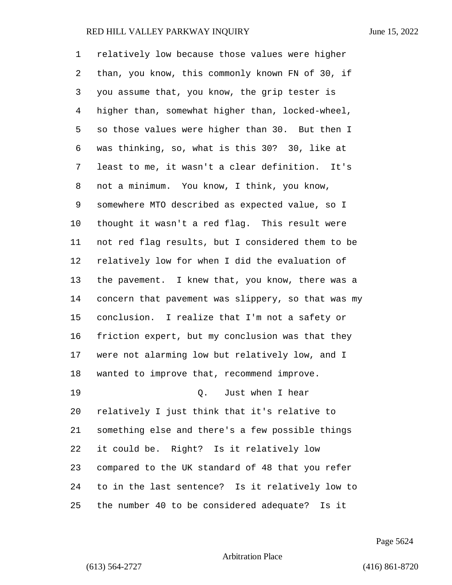relatively low because those values were higher than, you know, this commonly known FN of 30, if you assume that, you know, the grip tester is higher than, somewhat higher than, locked-wheel, so those values were higher than 30. But then I was thinking, so, what is this 30? 30, like at least to me, it wasn't a clear definition. It's not a minimum. You know, I think, you know, somewhere MTO described as expected value, so I thought it wasn't a red flag. This result were not red flag results, but I considered them to be relatively low for when I did the evaluation of the pavement. I knew that, you know, there was a concern that pavement was slippery, so that was my conclusion. I realize that I'm not a safety or friction expert, but my conclusion was that they were not alarming low but relatively low, and I wanted to improve that, recommend improve. 19 C. Just when I hear relatively I just think that it's relative to something else and there's a few possible things it could be. Right? Is it relatively low compared to the UK standard of 48 that you refer to in the last sentence? Is it relatively low to the number 40 to be considered adequate? Is it

Page 5624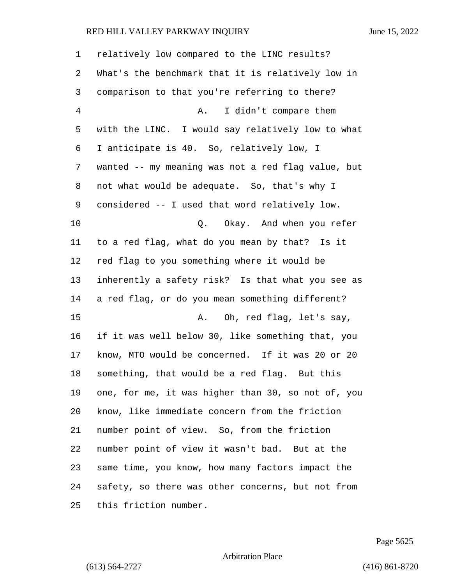| 1              | relatively low compared to the LINC results?       |
|----------------|----------------------------------------------------|
| 2              | What's the benchmark that it is relatively low in  |
| 3              | comparison to that you're referring to there?      |
| $\overline{4}$ | I didn't compare them<br>Α.                        |
| 5              | with the LINC. I would say relatively low to what  |
| 6              | I anticipate is 40. So, relatively low, I          |
| 7              | wanted -- my meaning was not a red flag value, but |
| 8              | not what would be adequate. So, that's why I       |
| 9              | considered -- I used that word relatively low.     |
| 10             | Okay. And when you refer<br>Q.                     |
| 11             | to a red flag, what do you mean by that? Is it     |
| 12             | red flag to you something where it would be        |
| 13             | inherently a safety risk? Is that what you see as  |
| 14             | a red flag, or do you mean something different?    |
| 15             | Oh, red flag, let's say,<br>Α.                     |
| 16             | if it was well below 30, like something that, you  |
| 17             | know, MTO would be concerned. If it was 20 or 20   |
| 18             | something, that would be a red flag. But this      |
| 19             | one, for me, it was higher than 30, so not of, you |
| 20             | know, like immediate concern from the friction     |
| 21             | number point of view. So, from the friction        |
| 22             | number point of view it wasn't bad. But at the     |
| 23             | same time, you know, how many factors impact the   |
| 24             | safety, so there was other concerns, but not from  |
| 25             | this friction number.                              |

Page 5625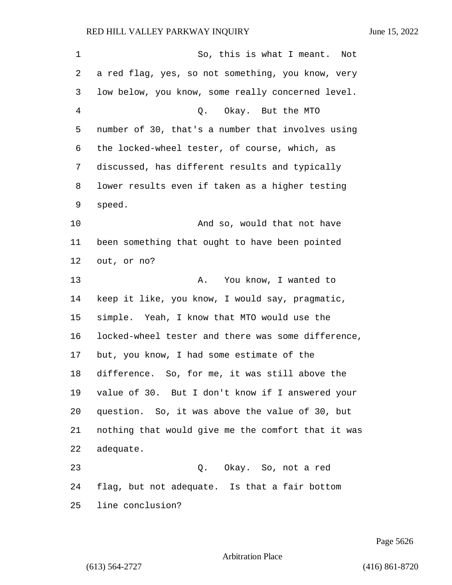| 1  | So, this is what I meant. Not                      |  |  |  |
|----|----------------------------------------------------|--|--|--|
| 2  | a red flag, yes, so not something, you know, very  |  |  |  |
| 3  | low below, you know, some really concerned level.  |  |  |  |
| 4  | Q. Okay. But the MTO                               |  |  |  |
| 5  | number of 30, that's a number that involves using  |  |  |  |
| 6  | the locked-wheel tester, of course, which, as      |  |  |  |
| 7  | discussed, has different results and typically     |  |  |  |
| 8  | lower results even if taken as a higher testing    |  |  |  |
| 9  | speed.                                             |  |  |  |
| 10 | And so, would that not have                        |  |  |  |
| 11 | been something that ought to have been pointed     |  |  |  |
| 12 | out, or no?                                        |  |  |  |
| 13 | You know, I wanted to<br>Α.                        |  |  |  |
| 14 | keep it like, you know, I would say, pragmatic,    |  |  |  |
| 15 | simple. Yeah, I know that MTO would use the        |  |  |  |
| 16 | locked-wheel tester and there was some difference, |  |  |  |
| 17 | but, you know, I had some estimate of the          |  |  |  |
| 18 | difference. So, for me, it was still above the     |  |  |  |
| 19 | value of 30. But I don't know if I answered your   |  |  |  |
| 20 | question. So, it was above the value of 30, but    |  |  |  |
| 21 | nothing that would give me the comfort that it was |  |  |  |
| 22 | adequate.                                          |  |  |  |
| 23 | Q. Okay. So, not a red                             |  |  |  |
| 24 | flag, but not adequate. Is that a fair bottom      |  |  |  |
| 25 | line conclusion?                                   |  |  |  |

Page 5626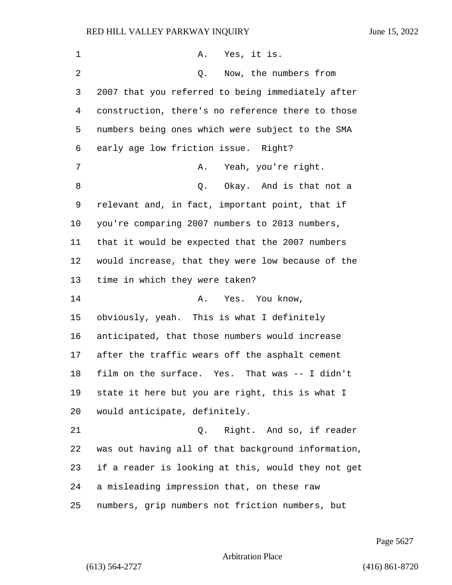| 1  | A. Yes, it is.                                     |  |
|----|----------------------------------------------------|--|
| 2  | Now, the numbers from<br>Q.                        |  |
| 3  | 2007 that you referred to being immediately after  |  |
| 4  | construction, there's no reference there to those  |  |
| 5  | numbers being ones which were subject to the SMA   |  |
| 6  | early age low friction issue. Right?               |  |
| 7  | Yeah, you're right.<br>Α.                          |  |
| 8  | Q. Okay. And is that not a                         |  |
| 9  | relevant and, in fact, important point, that if    |  |
| 10 | you're comparing 2007 numbers to 2013 numbers,     |  |
| 11 | that it would be expected that the 2007 numbers    |  |
| 12 | would increase, that they were low because of the  |  |
| 13 | time in which they were taken?                     |  |
| 14 | Yes. You know,<br>Α.                               |  |
| 15 | obviously, yeah. This is what I definitely         |  |
| 16 | anticipated, that those numbers would increase     |  |
| 17 | after the traffic wears off the asphalt cement     |  |
| 18 | film on the surface. Yes. That was -- I didn't     |  |
| 19 | state it here but you are right, this is what I    |  |
| 20 | would anticipate, definitely.                      |  |
| 21 | Right. And so, if reader<br>Q.                     |  |
| 22 | was out having all of that background information, |  |
| 23 | if a reader is looking at this, would they not get |  |
| 24 | a misleading impression that, on these raw         |  |
| 25 | numbers, grip numbers not friction numbers, but    |  |

Page 5627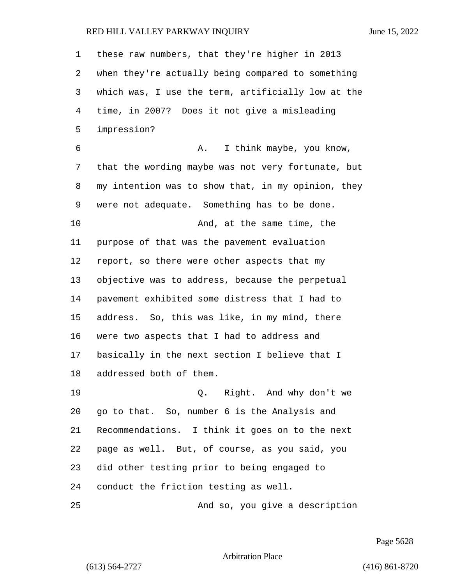| 1  | these raw numbers, that they're higher in 2013     |  |  |  |
|----|----------------------------------------------------|--|--|--|
| 2  | when they're actually being compared to something  |  |  |  |
| 3  | which was, I use the term, artificially low at the |  |  |  |
| 4  | time, in 2007? Does it not give a misleading       |  |  |  |
| 5  | impression?                                        |  |  |  |
| 6  | I think maybe, you know,<br>Α.                     |  |  |  |
| 7  | that the wording maybe was not very fortunate, but |  |  |  |
| 8  | my intention was to show that, in my opinion, they |  |  |  |
| 9  | were not adequate. Something has to be done.       |  |  |  |
| 10 | And, at the same time, the                         |  |  |  |
| 11 | purpose of that was the pavement evaluation        |  |  |  |
| 12 | report, so there were other aspects that my        |  |  |  |
| 13 | objective was to address, because the perpetual    |  |  |  |
| 14 | pavement exhibited some distress that I had to     |  |  |  |
| 15 | address. So, this was like, in my mind, there      |  |  |  |
| 16 | were two aspects that I had to address and         |  |  |  |
| 17 | basically in the next section I believe that I     |  |  |  |
| 18 | addressed both of them.                            |  |  |  |
| 19 | Q. Right. And why don't we                         |  |  |  |
| 20 | go to that. So, number 6 is the Analysis and       |  |  |  |
| 21 | Recommendations. I think it goes on to the next    |  |  |  |
| 22 | page as well. But, of course, as you said, you     |  |  |  |
| 23 | did other testing prior to being engaged to        |  |  |  |
| 24 | conduct the friction testing as well.              |  |  |  |
| 25 | And so, you give a description                     |  |  |  |

Page 5628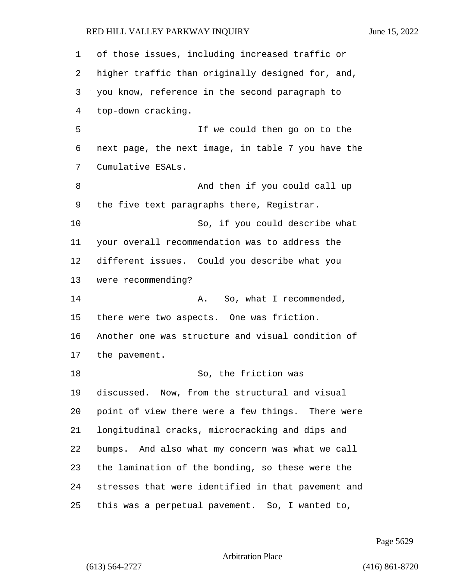of those issues, including increased traffic or higher traffic than originally designed for, and, you know, reference in the second paragraph to top-down cracking. 5 If we could then go on to the next page, the next image, in table 7 you have the Cumulative ESALs. 8 And then if you could call up the five text paragraphs there, Registrar. 10 So, if you could describe what your overall recommendation was to address the different issues. Could you describe what you were recommending? 14 A. So, what I recommended, there were two aspects. One was friction. Another one was structure and visual condition of the pavement. 18 So, the friction was discussed. Now, from the structural and visual point of view there were a few things. There were longitudinal cracks, microcracking and dips and bumps. And also what my concern was what we call the lamination of the bonding, so these were the stresses that were identified in that pavement and this was a perpetual pavement. So, I wanted to,

Page 5629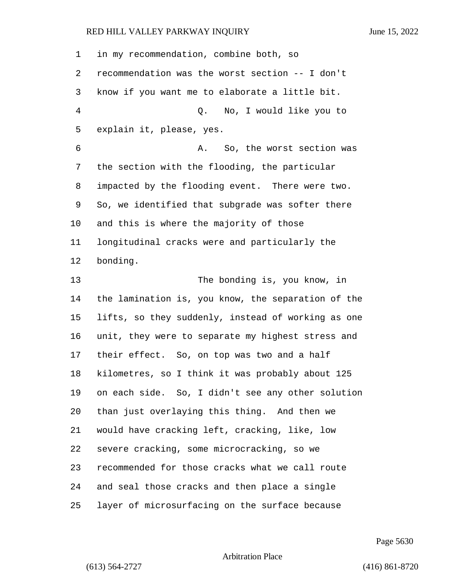| 1  | in my recommendation, combine both, so             |
|----|----------------------------------------------------|
| 2  | recommendation was the worst section -- I don't    |
| 3  | know if you want me to elaborate a little bit.     |
| 4  | Q. No, I would like you to                         |
| 5  | explain it, please, yes.                           |
| 6  | So, the worst section was<br>Α.                    |
| 7  | the section with the flooding, the particular      |
| 8  | impacted by the flooding event. There were two.    |
| 9  | So, we identified that subgrade was softer there   |
| 10 | and this is where the majority of those            |
| 11 | longitudinal cracks were and particularly the      |
| 12 | bonding.                                           |
| 13 | The bonding is, you know, in                       |
| 14 | the lamination is, you know, the separation of the |
| 15 | lifts, so they suddenly, instead of working as one |
| 16 | unit, they were to separate my highest stress and  |
| 17 | their effect. So, on top was two and a half        |
| 18 | kilometres, so I think it was probably about 125   |
| 19 | on each side. So, I didn't see any other solution  |
| 20 | than just overlaying this thing. And then we       |
| 21 | would have cracking left, cracking, like, low      |
| 22 | severe cracking, some microcracking, so we         |
| 23 | recommended for those cracks what we call route    |
| 24 | and seal those cracks and then place a single      |
| 25 | layer of microsurfacing on the surface because     |

Page 5630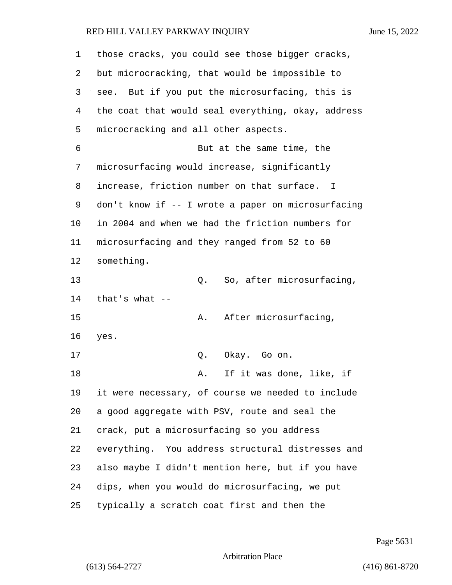| 1  | those cracks, you could see those bigger cracks,   |  |  |  |
|----|----------------------------------------------------|--|--|--|
| 2  | but microcracking, that would be impossible to     |  |  |  |
| 3  | see. But if you put the microsurfacing, this is    |  |  |  |
| 4  | the coat that would seal everything, okay, address |  |  |  |
| 5  | microcracking and all other aspects.               |  |  |  |
| 6  | But at the same time, the                          |  |  |  |
| 7  | microsurfacing would increase, significantly       |  |  |  |
| 8  | increase, friction number on that surface. I       |  |  |  |
| 9  | don't know if -- I wrote a paper on microsurfacing |  |  |  |
| 10 | in 2004 and when we had the friction numbers for   |  |  |  |
| 11 | microsurfacing and they ranged from 52 to 60       |  |  |  |
| 12 | something.                                         |  |  |  |
| 13 | So, after microsurfacing,<br>Q.                    |  |  |  |
| 14 | that's what $--$                                   |  |  |  |
| 15 | After microsurfacing,<br>Α.                        |  |  |  |
| 16 | yes.                                               |  |  |  |
| 17 | Okay. Go on.<br>Q.                                 |  |  |  |
| 18 | If it was done, like, if<br>Α.                     |  |  |  |
| 19 | it were necessary, of course we needed to include  |  |  |  |
| 20 | a good aggregate with PSV, route and seal the      |  |  |  |
| 21 | crack, put a microsurfacing so you address         |  |  |  |
| 22 | everything. You address structural distresses and  |  |  |  |
| 23 | also maybe I didn't mention here, but if you have  |  |  |  |
| 24 | dips, when you would do microsurfacing, we put     |  |  |  |
| 25 | typically a scratch coat first and then the        |  |  |  |

Page 5631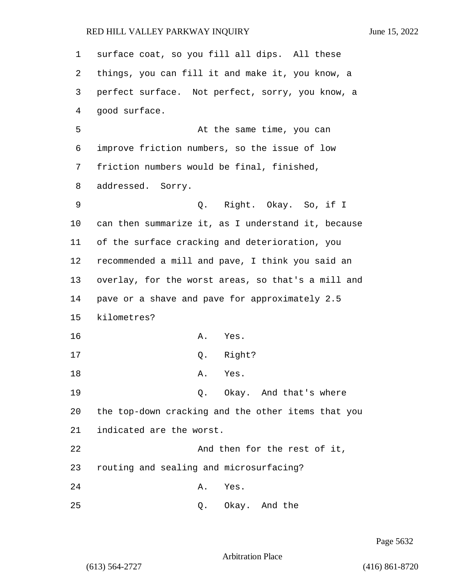| $\mathbf 1$ | surface coat, so you fill all dips. All these      |  |  |  |
|-------------|----------------------------------------------------|--|--|--|
| 2           | things, you can fill it and make it, you know, a   |  |  |  |
| 3           | perfect surface. Not perfect, sorry, you know, a   |  |  |  |
| 4           | good surface.                                      |  |  |  |
| 5           | At the same time, you can                          |  |  |  |
| 6           | improve friction numbers, so the issue of low      |  |  |  |
| 7           | friction numbers would be final, finished,         |  |  |  |
| 8           | addressed. Sorry.                                  |  |  |  |
| 9           | Q. Right. Okay. So, if I                           |  |  |  |
| 10          | can then summarize it, as I understand it, because |  |  |  |
| 11          | of the surface cracking and deterioration, you     |  |  |  |
| 12          | recommended a mill and pave, I think you said an   |  |  |  |
| 13          | overlay, for the worst areas, so that's a mill and |  |  |  |
| 14          | pave or a shave and pave for approximately 2.5     |  |  |  |
| 15          | kilometres?                                        |  |  |  |
| 16          | A. Yes.                                            |  |  |  |
| 17          | Q. Right?                                          |  |  |  |
| 18          | Yes.<br>Α.                                         |  |  |  |
| 19          | Q. Okay. And that's where                          |  |  |  |
| 20          | the top-down cracking and the other items that you |  |  |  |
| 21          | indicated are the worst.                           |  |  |  |
| 22          | And then for the rest of it,                       |  |  |  |
| 23          | routing and sealing and microsurfacing?            |  |  |  |
| 24          | Yes.<br>Α.                                         |  |  |  |
| 25          | Okay. And the<br>Q.                                |  |  |  |

Page 5632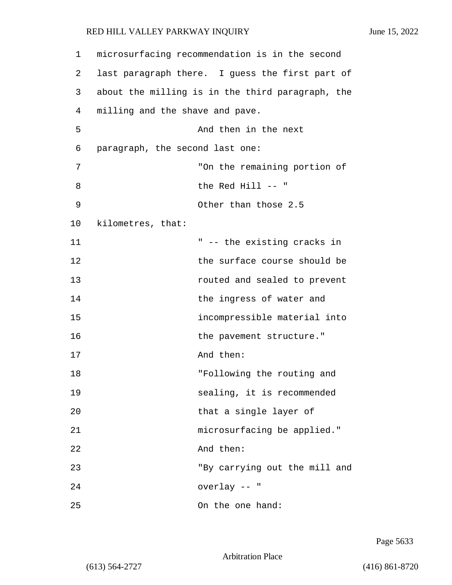| 1  | microsurfacing recommendation is in the second   |                          |  |
|----|--------------------------------------------------|--------------------------|--|
| 2  | last paragraph there. I guess the first part of  |                          |  |
| 3  | about the milling is in the third paragraph, the |                          |  |
| 4  | milling and the shave and pave.                  |                          |  |
| 5  | And then in the next                             |                          |  |
| 6  | paragraph, the second last one:                  |                          |  |
| 7  | "On the remaining portion of                     |                          |  |
| 8  | the Red Hill -- "                                |                          |  |
| 9  | Other than those 2.5                             |                          |  |
| 10 | kilometres, that:                                |                          |  |
| 11 | " -- the existing cracks in                      |                          |  |
| 12 | the surface course should be                     |                          |  |
| 13 | routed and sealed to prevent                     |                          |  |
| 14 | the ingress of water and                         |                          |  |
| 15 | incompressible material into                     |                          |  |
| 16 |                                                  | the pavement structure." |  |
| 17 | And then:                                        |                          |  |
| 18 | "Following the routing and                       |                          |  |
| 19 | sealing, it is recommended                       |                          |  |
| 20 | that a single layer of                           |                          |  |
| 21 | microsurfacing be applied."                      |                          |  |
| 22 | And then:                                        |                          |  |
| 23 | "By carrying out the mill and                    |                          |  |
| 24 | overlay -- "                                     |                          |  |
| 25 | On the one hand:                                 |                          |  |

Page 5633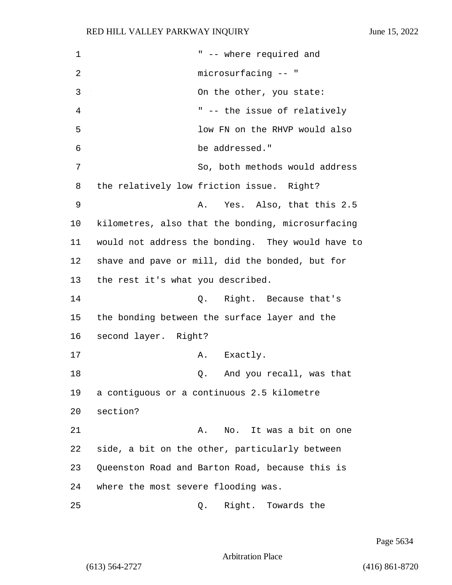1 The state of the state of the state of the state of the state of the state of the state of the state of the state of the state of the state of the state of the state of the state of the state of the state of the state of 2 microsurfacing -- " 3 On the other, you state: 4 " -- the issue of relatively 5 low FN on the RHVP would also 6 be addressed." 7 So, both methods would address 8 the relatively low friction issue. Right? 9 A. Yes. Also, that this 2.5 10 kilometres, also that the bonding, microsurfacing 11 would not address the bonding. They would have to 12 shave and pave or mill, did the bonded, but for 13 the rest it's what you described. 14 Q. Right. Because that's 15 the bonding between the surface layer and the 16 second layer. Right? 17 A. Exactly. 18 Q. And you recall, was that 19 a contiguous or a continuous 2.5 kilometre 20 section? 21 A. No. It was a bit on one 22 side, a bit on the other, particularly between 23 Queenston Road and Barton Road, because this is 24 where the most severe flooding was. 25 Q. Right. Towards the

Page 5634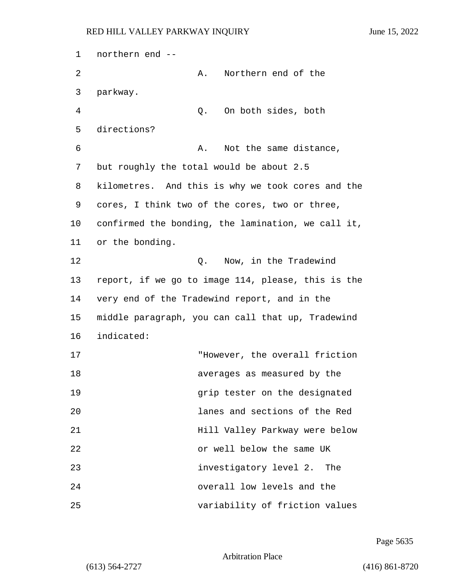1 northern end -- 2 A. Northern end of the 3 parkway. 4 Q. On both sides, both 5 directions? 6 A. Not the same distance, 7 but roughly the total would be about 2.5 8 kilometres. And this is why we took cores and the 9 cores, I think two of the cores, two or three, 10 confirmed the bonding, the lamination, we call it, 11 or the bonding. 12 Q. Now, in the Tradewind 13 report, if we go to image 114, please, this is the 14 very end of the Tradewind report, and in the 15 middle paragraph, you can call that up, Tradewind 16 indicated: 17 "However, the overall friction 18 averages as measured by the 19 grip tester on the designated 20 lanes and sections of the Red 21 Hill Valley Parkway were below 22 or well below the same UK 23 investigatory level 2. The 24 overall low levels and the 25 variability of friction values

Page 5635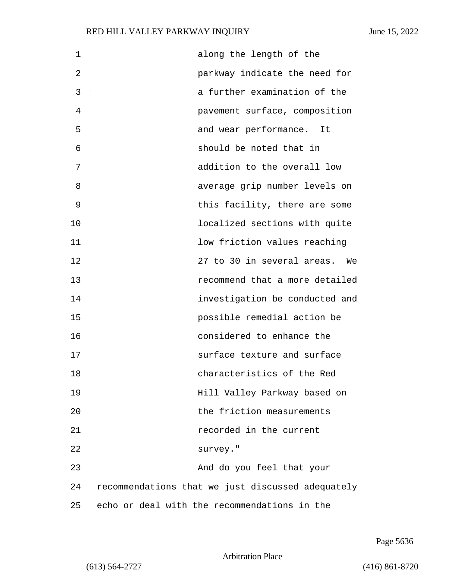| 1  | along the length of the                           |
|----|---------------------------------------------------|
| 2  | parkway indicate the need for                     |
| 3  | a further examination of the                      |
| 4  | pavement surface, composition                     |
| 5  | and wear performance. It                          |
| 6  | should be noted that in                           |
| 7  | addition to the overall low                       |
| 8  | average grip number levels on                     |
| 9  | this facility, there are some                     |
| 10 | localized sections with quite                     |
| 11 | low friction values reaching                      |
| 12 | 27 to 30 in several areas.<br>We                  |
| 13 | recommend that a more detailed                    |
| 14 | investigation be conducted and                    |
| 15 | possible remedial action be                       |
| 16 | considered to enhance the                         |
| 17 | surface texture and surface                       |
| 18 | characteristics of the Red                        |
| 19 | Hill Valley Parkway based on                      |
| 20 | the friction measurements                         |
| 21 | recorded in the current                           |
| 22 | survey."                                          |
| 23 | And do you feel that your                         |
| 24 | recommendations that we just discussed adequately |
| 25 | echo or deal with the recommendations in the      |

Page 5636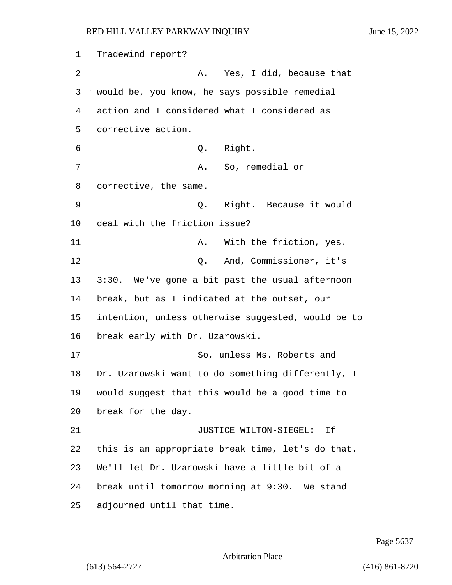Tradewind report? 2 A. Yes, I did, because that would be, you know, he says possible remedial action and I considered what I considered as corrective action. 6 Q. Right. 7 A. So, remedial or corrective, the same. 9 Q. Right. Because it would deal with the friction issue? 11 A. With the friction, yes. 12 O. And, Commissioner, it's 3:30. We've gone a bit past the usual afternoon break, but as I indicated at the outset, our intention, unless otherwise suggested, would be to break early with Dr. Uzarowski. 17 So, unless Ms. Roberts and Dr. Uzarowski want to do something differently, I would suggest that this would be a good time to break for the day. 21 JUSTICE WILTON-SIEGEL: If this is an appropriate break time, let's do that. We'll let Dr. Uzarowski have a little bit of a break until tomorrow morning at 9:30. We stand adjourned until that time.

Page 5637